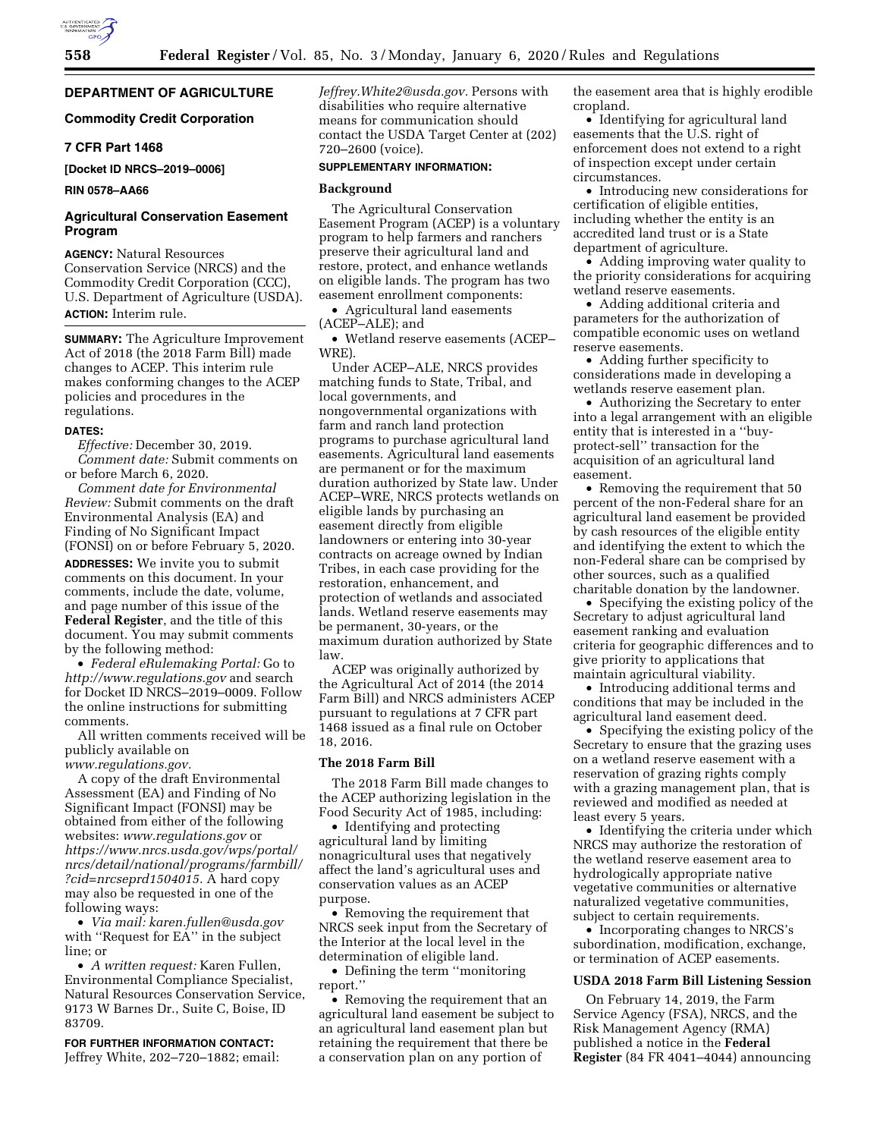# **DEPARTMENT OF AGRICULTURE**

## **Commodity Credit Corporation**

### **7 CFR Part 1468**

**[Docket ID NRCS–2019–0006]** 

## **RIN 0578–AA66**

## **Agricultural Conservation Easement Program**

**AGENCY:** Natural Resources Conservation Service (NRCS) and the Commodity Credit Corporation (CCC), U.S. Department of Agriculture (USDA). **ACTION:** Interim rule.

**SUMMARY:** The Agriculture Improvement Act of 2018 (the 2018 Farm Bill) made changes to ACEP. This interim rule makes conforming changes to the ACEP policies and procedures in the regulations.

### **DATES:**

*Effective:* December 30, 2019. *Comment date:* Submit comments on or before March 6, 2020.

*Comment date for Environmental Review:* Submit comments on the draft Environmental Analysis (EA) and Finding of No Significant Impact (FONSI) on or before February 5, 2020.

**ADDRESSES:** We invite you to submit comments on this document. In your comments, include the date, volume, and page number of this issue of the **Federal Register**, and the title of this document. You may submit comments by the following method:

• *Federal eRulemaking Portal:* Go to *<http://www.regulations.gov>* and search for Docket ID NRCS–2019–0009. Follow the online instructions for submitting comments.

All written comments received will be publicly available on *[www.regulations.gov.](http://www.regulations.gov)* 

A copy of the draft Environmental Assessment (EA) and Finding of No Significant Impact (FONSI) may be obtained from either of the following websites: *[www.regulations.gov](http://www.regulations.gov)* or *[https://www.nrcs.usda.gov/wps/portal/](https://www.nrcs.usda.gov/wps/portal/nrcs/detail/national/programs/farmbill/?cid=nrcseprd1504015)  [nrcs/detail/national/programs/farmbill/](https://www.nrcs.usda.gov/wps/portal/nrcs/detail/national/programs/farmbill/?cid=nrcseprd1504015) [?cid=nrcseprd1504015.](https://www.nrcs.usda.gov/wps/portal/nrcs/detail/national/programs/farmbill/?cid=nrcseprd1504015)* A hard copy may also be requested in one of the following ways:

• *Via mail: [karen.fullen@usda.gov](mailto:karen.fullen@usda.gov)*  with ''Request for EA'' in the subject line; or

• *A written request:* Karen Fullen, Environmental Compliance Specialist, Natural Resources Conservation Service, 9173 W Barnes Dr., Suite C, Boise, ID 83709.

**FOR FURTHER INFORMATION CONTACT:**  Jeffrey White, 202–720–1882; email: *[Jeffrey.White2@usda.gov.](mailto:Jeffrey.White2@usda.gov)* Persons with disabilities who require alternative means for communication should contact the USDA Target Center at (202) 720–2600 (voice).

# **SUPPLEMENTARY INFORMATION:**

### **Background**

The Agricultural Conservation Easement Program (ACEP) is a voluntary program to help farmers and ranchers preserve their agricultural land and restore, protect, and enhance wetlands on eligible lands. The program has two easement enrollment components:

• Agricultural land easements (ACEP–ALE); and

• Wetland reserve easements (ACEP– WRE).

Under ACEP–ALE, NRCS provides matching funds to State, Tribal, and local governments, and nongovernmental organizations with farm and ranch land protection programs to purchase agricultural land easements. Agricultural land easements are permanent or for the maximum duration authorized by State law. Under ACEP–WRE, NRCS protects wetlands on eligible lands by purchasing an easement directly from eligible landowners or entering into 30-year contracts on acreage owned by Indian Tribes, in each case providing for the restoration, enhancement, and protection of wetlands and associated lands. Wetland reserve easements may be permanent, 30-years, or the maximum duration authorized by State law.

ACEP was originally authorized by the Agricultural Act of 2014 (the 2014 Farm Bill) and NRCS administers ACEP pursuant to regulations at 7 CFR part 1468 issued as a final rule on October 18, 2016.

### **The 2018 Farm Bill**

The 2018 Farm Bill made changes to the ACEP authorizing legislation in the Food Security Act of 1985, including:

• Identifying and protecting agricultural land by limiting nonagricultural uses that negatively affect the land's agricultural uses and conservation values as an ACEP purpose.

• Removing the requirement that NRCS seek input from the Secretary of the Interior at the local level in the determination of eligible land.

• Defining the term ''monitoring report.''

• Removing the requirement that an agricultural land easement be subject to an agricultural land easement plan but retaining the requirement that there be a conservation plan on any portion of

the easement area that is highly erodible cropland.

• Identifying for agricultural land easements that the U.S. right of enforcement does not extend to a right of inspection except under certain circumstances.

• Introducing new considerations for certification of eligible entities, including whether the entity is an accredited land trust or is a State department of agriculture.

• Adding improving water quality to the priority considerations for acquiring wetland reserve easements.

• Adding additional criteria and parameters for the authorization of compatible economic uses on wetland reserve easements.

• Adding further specificity to considerations made in developing a wetlands reserve easement plan.

• Authorizing the Secretary to enter into a legal arrangement with an eligible entity that is interested in a ''buyprotect-sell'' transaction for the acquisition of an agricultural land easement.

• Removing the requirement that 50 percent of the non-Federal share for an agricultural land easement be provided by cash resources of the eligible entity and identifying the extent to which the non-Federal share can be comprised by other sources, such as a qualified charitable donation by the landowner.

• Specifying the existing policy of the Secretary to adjust agricultural land easement ranking and evaluation criteria for geographic differences and to give priority to applications that maintain agricultural viability.

• Introducing additional terms and conditions that may be included in the agricultural land easement deed.

• Specifying the existing policy of the Secretary to ensure that the grazing uses on a wetland reserve easement with a reservation of grazing rights comply with a grazing management plan, that is reviewed and modified as needed at least every 5 years.

• Identifying the criteria under which NRCS may authorize the restoration of the wetland reserve easement area to hydrologically appropriate native vegetative communities or alternative naturalized vegetative communities, subject to certain requirements.

• Incorporating changes to NRCS's subordination, modification, exchange, or termination of ACEP easements.

### **USDA 2018 Farm Bill Listening Session**

On February 14, 2019, the Farm Service Agency (FSA), NRCS, and the Risk Management Agency (RMA) published a notice in the **Federal Register** (84 FR 4041–4044) announcing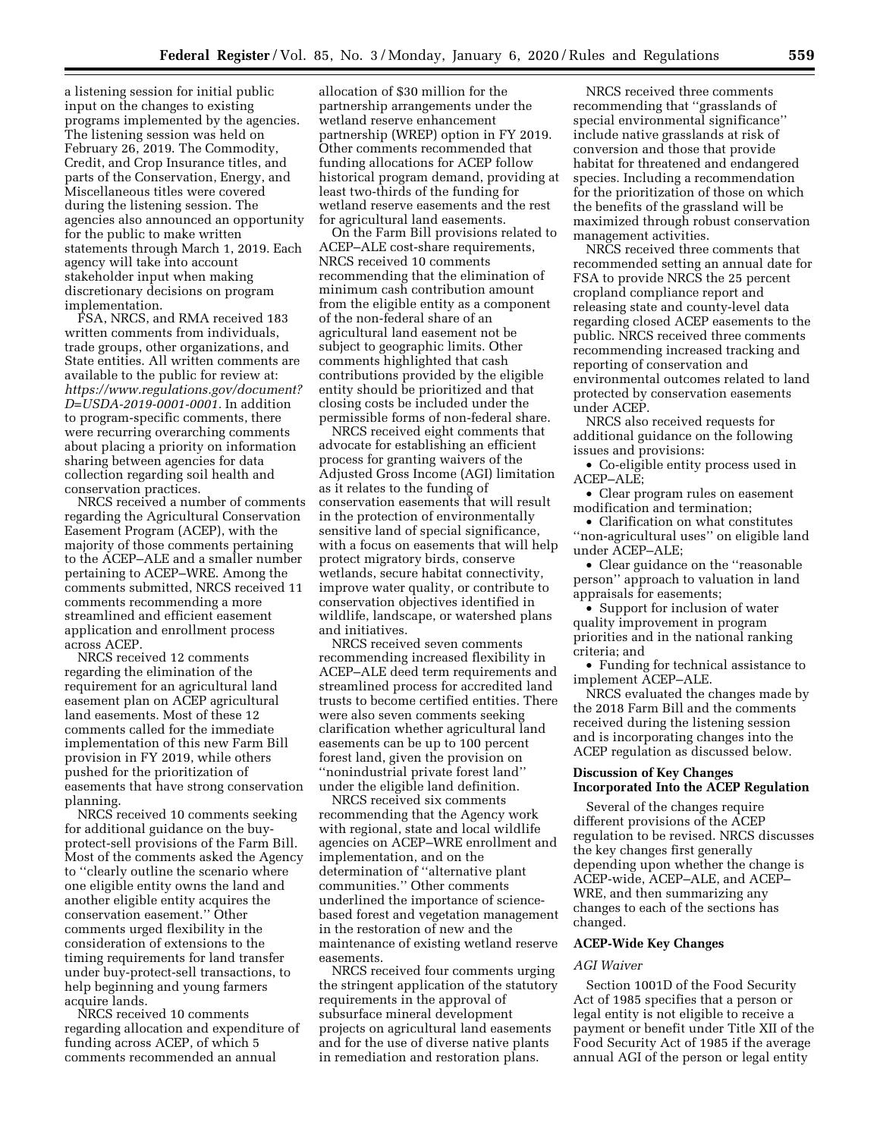a listening session for initial public input on the changes to existing programs implemented by the agencies. The listening session was held on February 26, 2019. The Commodity, Credit, and Crop Insurance titles, and parts of the Conservation, Energy, and Miscellaneous titles were covered during the listening session. The agencies also announced an opportunity for the public to make written statements through March 1, 2019. Each agency will take into account stakeholder input when making discretionary decisions on program implementation.

FSA, NRCS, and RMA received 183 written comments from individuals, trade groups, other organizations, and State entities. All written comments are available to the public for review at: *[https://www.regulations.gov/document?](https://www.regulations.gov/document?D=USDA-2019-0001-0001) [D=USDA-2019-0001-0001.](https://www.regulations.gov/document?D=USDA-2019-0001-0001)* In addition to program-specific comments, there were recurring overarching comments about placing a priority on information sharing between agencies for data collection regarding soil health and conservation practices.

NRCS received a number of comments regarding the Agricultural Conservation Easement Program (ACEP), with the majority of those comments pertaining to the ACEP–ALE and a smaller number pertaining to ACEP–WRE. Among the comments submitted, NRCS received 11 comments recommending a more streamlined and efficient easement application and enrollment process across ACEP.

NRCS received 12 comments regarding the elimination of the requirement for an agricultural land easement plan on ACEP agricultural land easements. Most of these 12 comments called for the immediate implementation of this new Farm Bill provision in FY 2019, while others pushed for the prioritization of easements that have strong conservation planning.

NRCS received 10 comments seeking for additional guidance on the buyprotect-sell provisions of the Farm Bill. Most of the comments asked the Agency to ''clearly outline the scenario where one eligible entity owns the land and another eligible entity acquires the conservation easement.'' Other comments urged flexibility in the consideration of extensions to the timing requirements for land transfer under buy-protect-sell transactions, to help beginning and young farmers acquire lands.

NRCS received 10 comments regarding allocation and expenditure of funding across ACEP, of which 5 comments recommended an annual

allocation of \$30 million for the partnership arrangements under the wetland reserve enhancement partnership (WREP) option in FY 2019. Other comments recommended that funding allocations for ACEP follow historical program demand, providing at least two-thirds of the funding for wetland reserve easements and the rest for agricultural land easements.

On the Farm Bill provisions related to ACEP–ALE cost-share requirements, NRCS received 10 comments recommending that the elimination of minimum cash contribution amount from the eligible entity as a component of the non-federal share of an agricultural land easement not be subject to geographic limits. Other comments highlighted that cash contributions provided by the eligible entity should be prioritized and that closing costs be included under the permissible forms of non-federal share.

NRCS received eight comments that advocate for establishing an efficient process for granting waivers of the Adjusted Gross Income (AGI) limitation as it relates to the funding of conservation easements that will result in the protection of environmentally sensitive land of special significance, with a focus on easements that will help protect migratory birds, conserve wetlands, secure habitat connectivity, improve water quality, or contribute to conservation objectives identified in wildlife, landscape, or watershed plans and initiatives.

NRCS received seven comments recommending increased flexibility in ACEP–ALE deed term requirements and streamlined process for accredited land trusts to become certified entities. There were also seven comments seeking clarification whether agricultural land easements can be up to 100 percent forest land, given the provision on ''nonindustrial private forest land'' under the eligible land definition.

NRCS received six comments recommending that the Agency work with regional, state and local wildlife agencies on ACEP–WRE enrollment and implementation, and on the determination of ''alternative plant communities.'' Other comments underlined the importance of sciencebased forest and vegetation management in the restoration of new and the maintenance of existing wetland reserve easements.

NRCS received four comments urging the stringent application of the statutory requirements in the approval of subsurface mineral development projects on agricultural land easements and for the use of diverse native plants in remediation and restoration plans.

NRCS received three comments recommending that ''grasslands of special environmental significance'' include native grasslands at risk of conversion and those that provide habitat for threatened and endangered species. Including a recommendation for the prioritization of those on which the benefits of the grassland will be maximized through robust conservation management activities.

NRCS received three comments that recommended setting an annual date for FSA to provide NRCS the 25 percent cropland compliance report and releasing state and county-level data regarding closed ACEP easements to the public. NRCS received three comments recommending increased tracking and reporting of conservation and environmental outcomes related to land protected by conservation easements under ACEP.

NRCS also received requests for additional guidance on the following issues and provisions:

• Co-eligible entity process used in ACEP–ALE;

• Clear program rules on easement modification and termination;

• Clarification on what constitutes ''non-agricultural uses'' on eligible land under ACEP–ALE;

• Clear guidance on the ''reasonable person'' approach to valuation in land appraisals for easements;

• Support for inclusion of water quality improvement in program priorities and in the national ranking criteria; and

• Funding for technical assistance to implement ACEP–ALE.

NRCS evaluated the changes made by the 2018 Farm Bill and the comments received during the listening session and is incorporating changes into the ACEP regulation as discussed below.

## **Discussion of Key Changes Incorporated Into the ACEP Regulation**

Several of the changes require different provisions of the ACEP regulation to be revised. NRCS discusses the key changes first generally depending upon whether the change is ACEP-wide, ACEP–ALE, and ACEP– WRE, and then summarizing any changes to each of the sections has changed.

# **ACEP-Wide Key Changes**

### *AGI Waiver*

Section 1001D of the Food Security Act of 1985 specifies that a person or legal entity is not eligible to receive a payment or benefit under Title XII of the Food Security Act of 1985 if the average annual AGI of the person or legal entity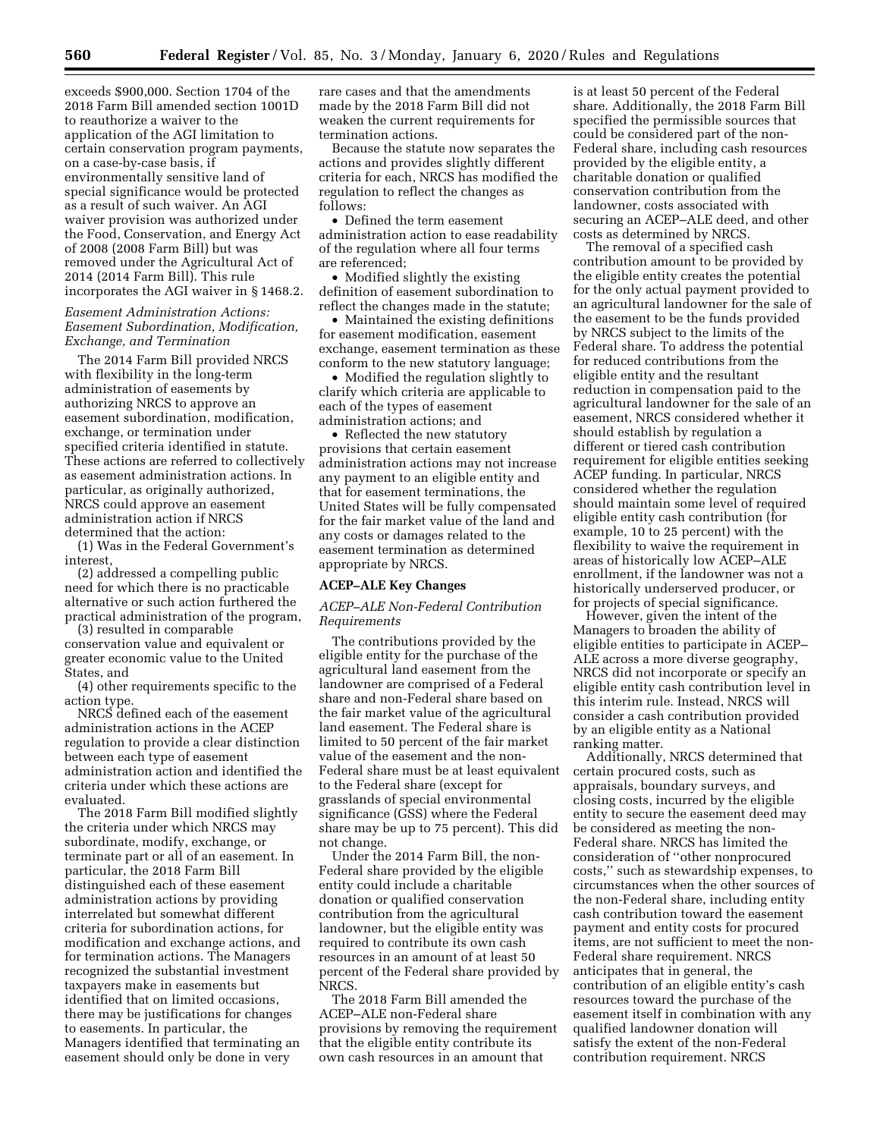exceeds \$900,000. Section 1704 of the 2018 Farm Bill amended section 1001D to reauthorize a waiver to the application of the AGI limitation to certain conservation program payments, on a case-by-case basis, if environmentally sensitive land of special significance would be protected as a result of such waiver. An AGI waiver provision was authorized under the Food, Conservation, and Energy Act of 2008 (2008 Farm Bill) but was removed under the Agricultural Act of 2014 (2014 Farm Bill). This rule incorporates the AGI waiver in § 1468.2.

## *Easement Administration Actions: Easement Subordination, Modification, Exchange, and Termination*

The 2014 Farm Bill provided NRCS with flexibility in the long-term administration of easements by authorizing NRCS to approve an easement subordination, modification, exchange, or termination under specified criteria identified in statute. These actions are referred to collectively as easement administration actions. In particular, as originally authorized, NRCS could approve an easement administration action if NRCS determined that the action:

(1) Was in the Federal Government's interest,

(2) addressed a compelling public need for which there is no practicable alternative or such action furthered the practical administration of the program,

(3) resulted in comparable conservation value and equivalent or greater economic value to the United States, and

(4) other requirements specific to the action type.

NRCS defined each of the easement administration actions in the ACEP regulation to provide a clear distinction between each type of easement administration action and identified the criteria under which these actions are evaluated.

The 2018 Farm Bill modified slightly the criteria under which NRCS may subordinate, modify, exchange, or terminate part or all of an easement. In particular, the 2018 Farm Bill distinguished each of these easement administration actions by providing interrelated but somewhat different criteria for subordination actions, for modification and exchange actions, and for termination actions. The Managers recognized the substantial investment taxpayers make in easements but identified that on limited occasions, there may be justifications for changes to easements. In particular, the Managers identified that terminating an easement should only be done in very

rare cases and that the amendments made by the 2018 Farm Bill did not weaken the current requirements for termination actions.

Because the statute now separates the actions and provides slightly different criteria for each, NRCS has modified the regulation to reflect the changes as follows:

• Defined the term easement administration action to ease readability of the regulation where all four terms are referenced;

• Modified slightly the existing definition of easement subordination to reflect the changes made in the statute;

• Maintained the existing definitions for easement modification, easement exchange, easement termination as these conform to the new statutory language;

• Modified the regulation slightly to clarify which criteria are applicable to each of the types of easement administration actions; and

• Reflected the new statutory provisions that certain easement administration actions may not increase any payment to an eligible entity and that for easement terminations, the United States will be fully compensated for the fair market value of the land and any costs or damages related to the easement termination as determined appropriate by NRCS.

#### **ACEP–ALE Key Changes**

## *ACEP–ALE Non-Federal Contribution Requirements*

The contributions provided by the eligible entity for the purchase of the agricultural land easement from the landowner are comprised of a Federal share and non-Federal share based on the fair market value of the agricultural land easement. The Federal share is limited to 50 percent of the fair market value of the easement and the non-Federal share must be at least equivalent to the Federal share (except for grasslands of special environmental significance (GSS) where the Federal share may be up to 75 percent). This did not change.

Under the 2014 Farm Bill, the non-Federal share provided by the eligible entity could include a charitable donation or qualified conservation contribution from the agricultural landowner, but the eligible entity was required to contribute its own cash resources in an amount of at least 50 percent of the Federal share provided by NRCS.

The 2018 Farm Bill amended the ACEP–ALE non-Federal share provisions by removing the requirement that the eligible entity contribute its own cash resources in an amount that

is at least 50 percent of the Federal share. Additionally, the 2018 Farm Bill specified the permissible sources that could be considered part of the non-Federal share, including cash resources provided by the eligible entity, a charitable donation or qualified conservation contribution from the landowner, costs associated with securing an ACEP–ALE deed, and other costs as determined by NRCS.

The removal of a specified cash contribution amount to be provided by the eligible entity creates the potential for the only actual payment provided to an agricultural landowner for the sale of the easement to be the funds provided by NRCS subject to the limits of the Federal share. To address the potential for reduced contributions from the eligible entity and the resultant reduction in compensation paid to the agricultural landowner for the sale of an easement, NRCS considered whether it should establish by regulation a different or tiered cash contribution requirement for eligible entities seeking ACEP funding. In particular, NRCS considered whether the regulation should maintain some level of required eligible entity cash contribution (for example, 10 to 25 percent) with the flexibility to waive the requirement in areas of historically low ACEP–ALE enrollment, if the landowner was not a historically underserved producer, or for projects of special significance.

However, given the intent of the Managers to broaden the ability of eligible entities to participate in ACEP– ALE across a more diverse geography, NRCS did not incorporate or specify an eligible entity cash contribution level in this interim rule. Instead, NRCS will consider a cash contribution provided by an eligible entity as a National ranking matter.

Additionally, NRCS determined that certain procured costs, such as appraisals, boundary surveys, and closing costs, incurred by the eligible entity to secure the easement deed may be considered as meeting the non-Federal share. NRCS has limited the consideration of ''other nonprocured costs,'' such as stewardship expenses, to circumstances when the other sources of the non-Federal share, including entity cash contribution toward the easement payment and entity costs for procured items, are not sufficient to meet the non-Federal share requirement. NRCS anticipates that in general, the contribution of an eligible entity's cash resources toward the purchase of the easement itself in combination with any qualified landowner donation will satisfy the extent of the non-Federal contribution requirement. NRCS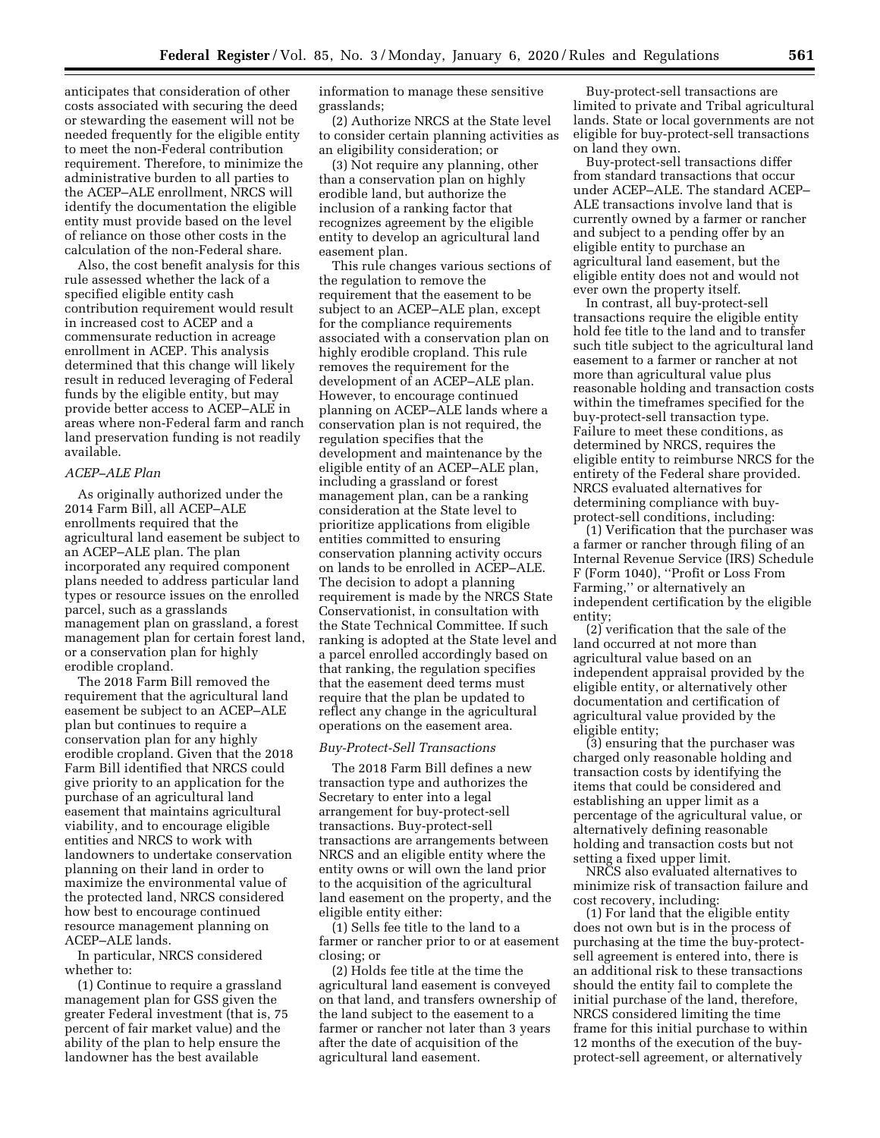anticipates that consideration of other costs associated with securing the deed or stewarding the easement will not be needed frequently for the eligible entity to meet the non-Federal contribution requirement. Therefore, to minimize the administrative burden to all parties to the ACEP–ALE enrollment, NRCS will identify the documentation the eligible entity must provide based on the level of reliance on those other costs in the calculation of the non-Federal share.

Also, the cost benefit analysis for this rule assessed whether the lack of a specified eligible entity cash contribution requirement would result in increased cost to ACEP and a commensurate reduction in acreage enrollment in ACEP. This analysis determined that this change will likely result in reduced leveraging of Federal funds by the eligible entity, but may provide better access to ACEP–ALE in areas where non-Federal farm and ranch land preservation funding is not readily available.

### *ACEP–ALE Plan*

As originally authorized under the 2014 Farm Bill, all ACEP–ALE enrollments required that the agricultural land easement be subject to an ACEP–ALE plan. The plan incorporated any required component plans needed to address particular land types or resource issues on the enrolled parcel, such as a grasslands management plan on grassland, a forest management plan for certain forest land, or a conservation plan for highly erodible cropland.

The 2018 Farm Bill removed the requirement that the agricultural land easement be subject to an ACEP–ALE plan but continues to require a conservation plan for any highly erodible cropland. Given that the 2018 Farm Bill identified that NRCS could give priority to an application for the purchase of an agricultural land easement that maintains agricultural viability, and to encourage eligible entities and NRCS to work with landowners to undertake conservation planning on their land in order to maximize the environmental value of the protected land, NRCS considered how best to encourage continued resource management planning on ACEP–ALE lands.

In particular, NRCS considered whether to:

(1) Continue to require a grassland management plan for GSS given the greater Federal investment (that is, 75 percent of fair market value) and the ability of the plan to help ensure the landowner has the best available

information to manage these sensitive grasslands;

(2) Authorize NRCS at the State level to consider certain planning activities as an eligibility consideration; or

(3) Not require any planning, other than a conservation plan on highly erodible land, but authorize the inclusion of a ranking factor that recognizes agreement by the eligible entity to develop an agricultural land easement plan.

This rule changes various sections of the regulation to remove the requirement that the easement to be subject to an ACEP–ALE plan, except for the compliance requirements associated with a conservation plan on highly erodible cropland. This rule removes the requirement for the development of an ACEP–ALE plan. However, to encourage continued planning on ACEP–ALE lands where a conservation plan is not required, the regulation specifies that the development and maintenance by the eligible entity of an ACEP–ALE plan, including a grassland or forest management plan, can be a ranking consideration at the State level to prioritize applications from eligible entities committed to ensuring conservation planning activity occurs on lands to be enrolled in ACEP–ALE. The decision to adopt a planning requirement is made by the NRCS State Conservationist, in consultation with the State Technical Committee. If such ranking is adopted at the State level and a parcel enrolled accordingly based on that ranking, the regulation specifies that the easement deed terms must require that the plan be updated to reflect any change in the agricultural operations on the easement area.

## *Buy-Protect-Sell Transactions*

The 2018 Farm Bill defines a new transaction type and authorizes the Secretary to enter into a legal arrangement for buy-protect-sell transactions. Buy-protect-sell transactions are arrangements between NRCS and an eligible entity where the entity owns or will own the land prior to the acquisition of the agricultural land easement on the property, and the eligible entity either:

(1) Sells fee title to the land to a farmer or rancher prior to or at easement closing; or

(2) Holds fee title at the time the agricultural land easement is conveyed on that land, and transfers ownership of the land subject to the easement to a farmer or rancher not later than 3 years after the date of acquisition of the agricultural land easement.

Buy-protect-sell transactions are limited to private and Tribal agricultural lands. State or local governments are not eligible for buy-protect-sell transactions on land they own.

Buy-protect-sell transactions differ from standard transactions that occur under ACEP–ALE. The standard ACEP– ALE transactions involve land that is currently owned by a farmer or rancher and subject to a pending offer by an eligible entity to purchase an agricultural land easement, but the eligible entity does not and would not ever own the property itself.

In contrast, all buy-protect-sell transactions require the eligible entity hold fee title to the land and to transfer such title subject to the agricultural land easement to a farmer or rancher at not more than agricultural value plus reasonable holding and transaction costs within the timeframes specified for the buy-protect-sell transaction type. Failure to meet these conditions, as determined by NRCS, requires the eligible entity to reimburse NRCS for the entirety of the Federal share provided. NRCS evaluated alternatives for determining compliance with buyprotect-sell conditions, including:

(1) Verification that the purchaser was a farmer or rancher through filing of an Internal Revenue Service (IRS) Schedule F (Form 1040), ''Profit or Loss From Farming,'' or alternatively an independent certification by the eligible entity;

(2) verification that the sale of the land occurred at not more than agricultural value based on an independent appraisal provided by the eligible entity, or alternatively other documentation and certification of agricultural value provided by the eligible entity;

(3) ensuring that the purchaser was charged only reasonable holding and transaction costs by identifying the items that could be considered and establishing an upper limit as a percentage of the agricultural value, or alternatively defining reasonable holding and transaction costs but not setting a fixed upper limit.

NRCS also evaluated alternatives to minimize risk of transaction failure and cost recovery, including:

(1) For land that the eligible entity does not own but is in the process of purchasing at the time the buy-protectsell agreement is entered into, there is an additional risk to these transactions should the entity fail to complete the initial purchase of the land, therefore, NRCS considered limiting the time frame for this initial purchase to within 12 months of the execution of the buyprotect-sell agreement, or alternatively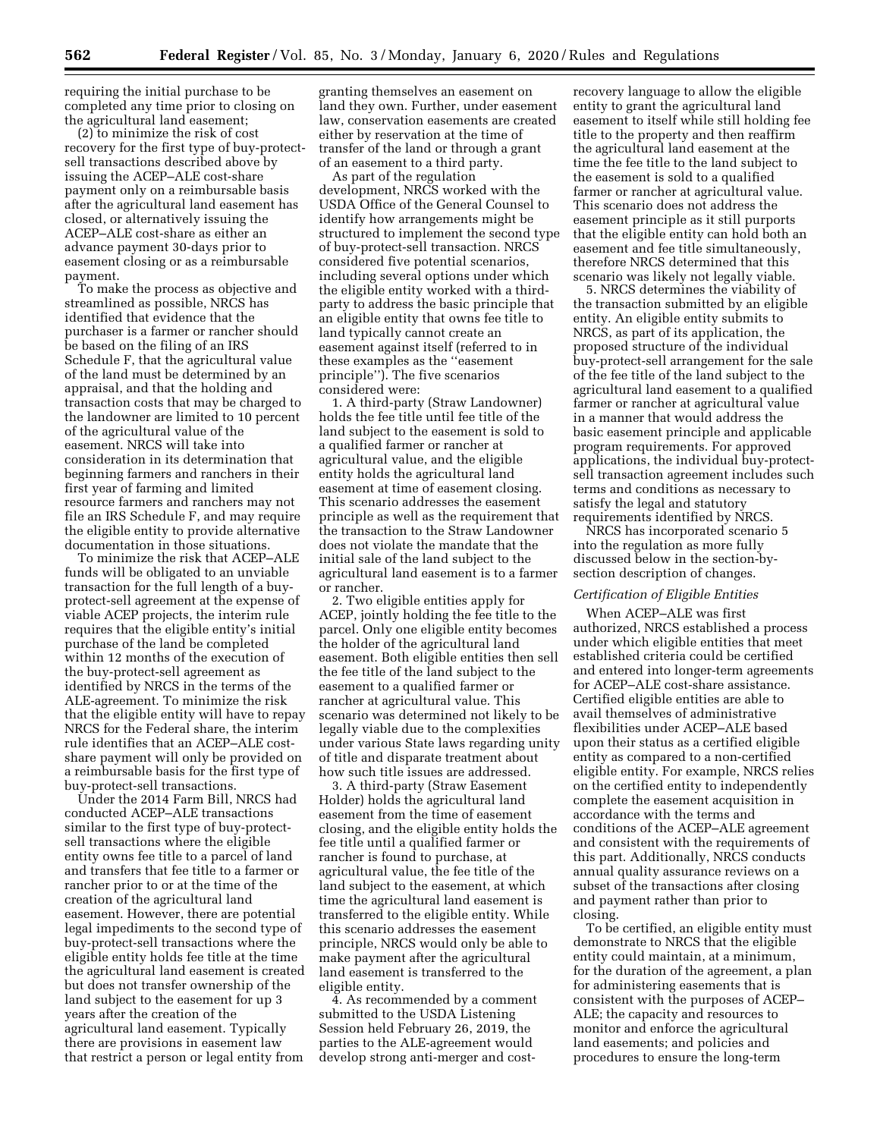requiring the initial purchase to be completed any time prior to closing on the agricultural land easement;

(2) to minimize the risk of cost recovery for the first type of buy-protectsell transactions described above by issuing the ACEP–ALE cost-share payment only on a reimbursable basis after the agricultural land easement has closed, or alternatively issuing the ACEP–ALE cost-share as either an advance payment 30-days prior to easement closing or as a reimbursable payment.

To make the process as objective and streamlined as possible, NRCS has identified that evidence that the purchaser is a farmer or rancher should be based on the filing of an IRS Schedule F, that the agricultural value of the land must be determined by an appraisal, and that the holding and transaction costs that may be charged to the landowner are limited to 10 percent of the agricultural value of the easement. NRCS will take into consideration in its determination that beginning farmers and ranchers in their first year of farming and limited resource farmers and ranchers may not file an IRS Schedule F, and may require the eligible entity to provide alternative documentation in those situations.

To minimize the risk that ACEP–ALE funds will be obligated to an unviable transaction for the full length of a buyprotect-sell agreement at the expense of viable ACEP projects, the interim rule requires that the eligible entity's initial purchase of the land be completed within 12 months of the execution of the buy-protect-sell agreement as identified by NRCS in the terms of the ALE-agreement. To minimize the risk that the eligible entity will have to repay NRCS for the Federal share, the interim rule identifies that an ACEP–ALE costshare payment will only be provided on a reimbursable basis for the first type of buy-protect-sell transactions.

Under the 2014 Farm Bill, NRCS had conducted ACEP–ALE transactions similar to the first type of buy-protectsell transactions where the eligible entity owns fee title to a parcel of land and transfers that fee title to a farmer or rancher prior to or at the time of the creation of the agricultural land easement. However, there are potential legal impediments to the second type of buy-protect-sell transactions where the eligible entity holds fee title at the time the agricultural land easement is created but does not transfer ownership of the land subject to the easement for up 3 years after the creation of the agricultural land easement. Typically there are provisions in easement law that restrict a person or legal entity from

granting themselves an easement on land they own. Further, under easement law, conservation easements are created either by reservation at the time of transfer of the land or through a grant of an easement to a third party.

As part of the regulation development, NRCS worked with the USDA Office of the General Counsel to identify how arrangements might be structured to implement the second type of buy-protect-sell transaction. NRCS considered five potential scenarios, including several options under which the eligible entity worked with a thirdparty to address the basic principle that an eligible entity that owns fee title to land typically cannot create an easement against itself (referred to in these examples as the ''easement principle''). The five scenarios considered were:

1. A third-party (Straw Landowner) holds the fee title until fee title of the land subject to the easement is sold to a qualified farmer or rancher at agricultural value, and the eligible entity holds the agricultural land easement at time of easement closing. This scenario addresses the easement principle as well as the requirement that the transaction to the Straw Landowner does not violate the mandate that the initial sale of the land subject to the agricultural land easement is to a farmer or rancher.

2. Two eligible entities apply for ACEP, jointly holding the fee title to the parcel. Only one eligible entity becomes the holder of the agricultural land easement. Both eligible entities then sell the fee title of the land subject to the easement to a qualified farmer or rancher at agricultural value. This scenario was determined not likely to be legally viable due to the complexities under various State laws regarding unity of title and disparate treatment about how such title issues are addressed.

3. A third-party (Straw Easement Holder) holds the agricultural land easement from the time of easement closing, and the eligible entity holds the fee title until a qualified farmer or rancher is found to purchase, at agricultural value, the fee title of the land subject to the easement, at which time the agricultural land easement is transferred to the eligible entity. While this scenario addresses the easement principle, NRCS would only be able to make payment after the agricultural land easement is transferred to the eligible entity.

4. As recommended by a comment submitted to the USDA Listening Session held February 26, 2019, the parties to the ALE-agreement would develop strong anti-merger and cost-

recovery language to allow the eligible entity to grant the agricultural land easement to itself while still holding fee title to the property and then reaffirm the agricultural land easement at the time the fee title to the land subject to the easement is sold to a qualified farmer or rancher at agricultural value. This scenario does not address the easement principle as it still purports that the eligible entity can hold both an easement and fee title simultaneously, therefore NRCS determined that this scenario was likely not legally viable.

5. NRCS determines the viability of the transaction submitted by an eligible entity. An eligible entity submits to NRCS, as part of its application, the proposed structure of the individual buy-protect-sell arrangement for the sale of the fee title of the land subject to the agricultural land easement to a qualified farmer or rancher at agricultural value in a manner that would address the basic easement principle and applicable program requirements. For approved applications, the individual buy-protectsell transaction agreement includes such terms and conditions as necessary to satisfy the legal and statutory requirements identified by NRCS.

NRCS has incorporated scenario 5 into the regulation as more fully discussed below in the section-bysection description of changes.

## *Certification of Eligible Entities*

When ACEP–ALE was first authorized, NRCS established a process under which eligible entities that meet established criteria could be certified and entered into longer-term agreements for ACEP–ALE cost-share assistance. Certified eligible entities are able to avail themselves of administrative flexibilities under ACEP–ALE based upon their status as a certified eligible entity as compared to a non-certified eligible entity. For example, NRCS relies on the certified entity to independently complete the easement acquisition in accordance with the terms and conditions of the ACEP–ALE agreement and consistent with the requirements of this part. Additionally, NRCS conducts annual quality assurance reviews on a subset of the transactions after closing and payment rather than prior to closing.

To be certified, an eligible entity must demonstrate to NRCS that the eligible entity could maintain, at a minimum, for the duration of the agreement, a plan for administering easements that is consistent with the purposes of ACEP– ALE; the capacity and resources to monitor and enforce the agricultural land easements; and policies and procedures to ensure the long-term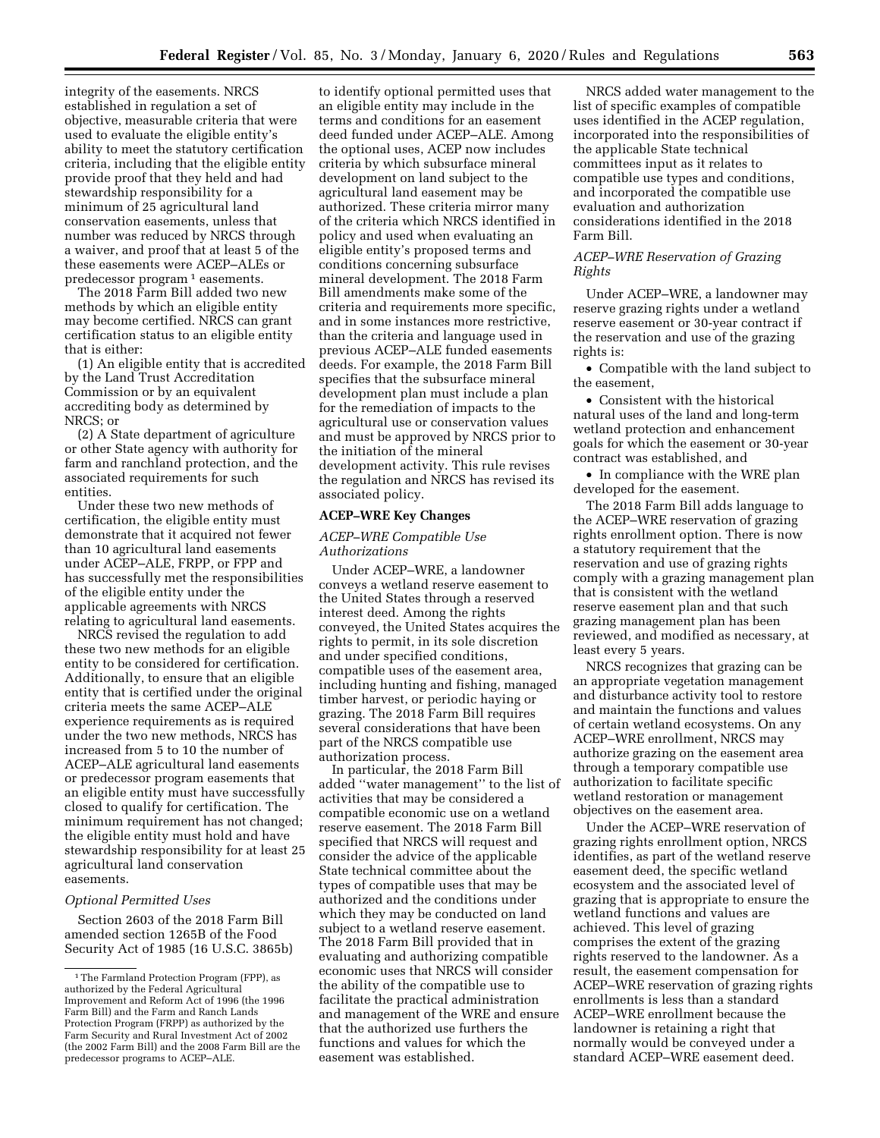integrity of the easements. NRCS established in regulation a set of objective, measurable criteria that were used to evaluate the eligible entity's ability to meet the statutory certification criteria, including that the eligible entity provide proof that they held and had stewardship responsibility for a minimum of 25 agricultural land conservation easements, unless that number was reduced by NRCS through a waiver, and proof that at least 5 of the these easements were ACEP–ALEs or predecessor program 1 easements.

The 2018 Farm Bill added two new methods by which an eligible entity may become certified. NRCS can grant certification status to an eligible entity that is either:

(1) An eligible entity that is accredited by the Land Trust Accreditation Commission or by an equivalent accrediting body as determined by NRCS; or

(2) A State department of agriculture or other State agency with authority for farm and ranchland protection, and the associated requirements for such entities.

Under these two new methods of certification, the eligible entity must demonstrate that it acquired not fewer than 10 agricultural land easements under ACEP–ALE, FRPP, or FPP and has successfully met the responsibilities of the eligible entity under the applicable agreements with NRCS relating to agricultural land easements.

NRCS revised the regulation to add these two new methods for an eligible entity to be considered for certification. Additionally, to ensure that an eligible entity that is certified under the original criteria meets the same ACEP–ALE experience requirements as is required under the two new methods, NRCS has increased from 5 to 10 the number of ACEP–ALE agricultural land easements or predecessor program easements that an eligible entity must have successfully closed to qualify for certification. The minimum requirement has not changed; the eligible entity must hold and have stewardship responsibility for at least 25 agricultural land conservation easements.

#### *Optional Permitted Uses*

Section 2603 of the 2018 Farm Bill amended section 1265B of the Food Security Act of 1985 (16 U.S.C. 3865b)

to identify optional permitted uses that an eligible entity may include in the terms and conditions for an easement deed funded under ACEP–ALE. Among the optional uses, ACEP now includes criteria by which subsurface mineral development on land subject to the agricultural land easement may be authorized. These criteria mirror many of the criteria which NRCS identified in policy and used when evaluating an eligible entity's proposed terms and conditions concerning subsurface mineral development. The 2018 Farm Bill amendments make some of the criteria and requirements more specific, and in some instances more restrictive, than the criteria and language used in previous ACEP–ALE funded easements deeds. For example, the 2018 Farm Bill specifies that the subsurface mineral development plan must include a plan for the remediation of impacts to the agricultural use or conservation values and must be approved by NRCS prior to the initiation of the mineral development activity. This rule revises the regulation and NRCS has revised its associated policy.

#### **ACEP–WRE Key Changes**

### *ACEP–WRE Compatible Use Authorizations*

Under ACEP–WRE, a landowner conveys a wetland reserve easement to the United States through a reserved interest deed. Among the rights conveyed, the United States acquires the rights to permit, in its sole discretion and under specified conditions, compatible uses of the easement area, including hunting and fishing, managed timber harvest, or periodic haying or grazing. The 2018 Farm Bill requires several considerations that have been part of the NRCS compatible use authorization process.

In particular, the 2018 Farm Bill added ''water management'' to the list of activities that may be considered a compatible economic use on a wetland reserve easement. The 2018 Farm Bill specified that NRCS will request and consider the advice of the applicable State technical committee about the types of compatible uses that may be authorized and the conditions under which they may be conducted on land subject to a wetland reserve easement. The 2018 Farm Bill provided that in evaluating and authorizing compatible economic uses that NRCS will consider the ability of the compatible use to facilitate the practical administration and management of the WRE and ensure that the authorized use furthers the functions and values for which the easement was established.

NRCS added water management to the list of specific examples of compatible uses identified in the ACEP regulation, incorporated into the responsibilities of the applicable State technical committees input as it relates to compatible use types and conditions, and incorporated the compatible use evaluation and authorization considerations identified in the 2018 Farm Bill.

## *ACEP–WRE Reservation of Grazing Rights*

Under ACEP–WRE, a landowner may reserve grazing rights under a wetland reserve easement or 30-year contract if the reservation and use of the grazing rights is:

• Compatible with the land subject to the easement,

• Consistent with the historical natural uses of the land and long-term wetland protection and enhancement goals for which the easement or 30-year contract was established, and

• In compliance with the WRE plan developed for the easement.

The 2018 Farm Bill adds language to the ACEP–WRE reservation of grazing rights enrollment option. There is now a statutory requirement that the reservation and use of grazing rights comply with a grazing management plan that is consistent with the wetland reserve easement plan and that such grazing management plan has been reviewed, and modified as necessary, at least every 5 years.

NRCS recognizes that grazing can be an appropriate vegetation management and disturbance activity tool to restore and maintain the functions and values of certain wetland ecosystems. On any ACEP–WRE enrollment, NRCS may authorize grazing on the easement area through a temporary compatible use authorization to facilitate specific wetland restoration or management objectives on the easement area.

Under the ACEP–WRE reservation of grazing rights enrollment option, NRCS identifies, as part of the wetland reserve easement deed, the specific wetland ecosystem and the associated level of grazing that is appropriate to ensure the wetland functions and values are achieved. This level of grazing comprises the extent of the grazing rights reserved to the landowner. As a result, the easement compensation for ACEP–WRE reservation of grazing rights enrollments is less than a standard ACEP–WRE enrollment because the landowner is retaining a right that normally would be conveyed under a standard ACEP–WRE easement deed.

<sup>1</sup>The Farmland Protection Program (FPP), as authorized by the Federal Agricultural Improvement and Reform Act of 1996 (the 1996 Farm Bill) and the Farm and Ranch Lands Protection Program (FRPP) as authorized by the Farm Security and Rural Investment Act of 2002 (the 2002 Farm Bill) and the 2008 Farm Bill are the predecessor programs to ACEP–ALE.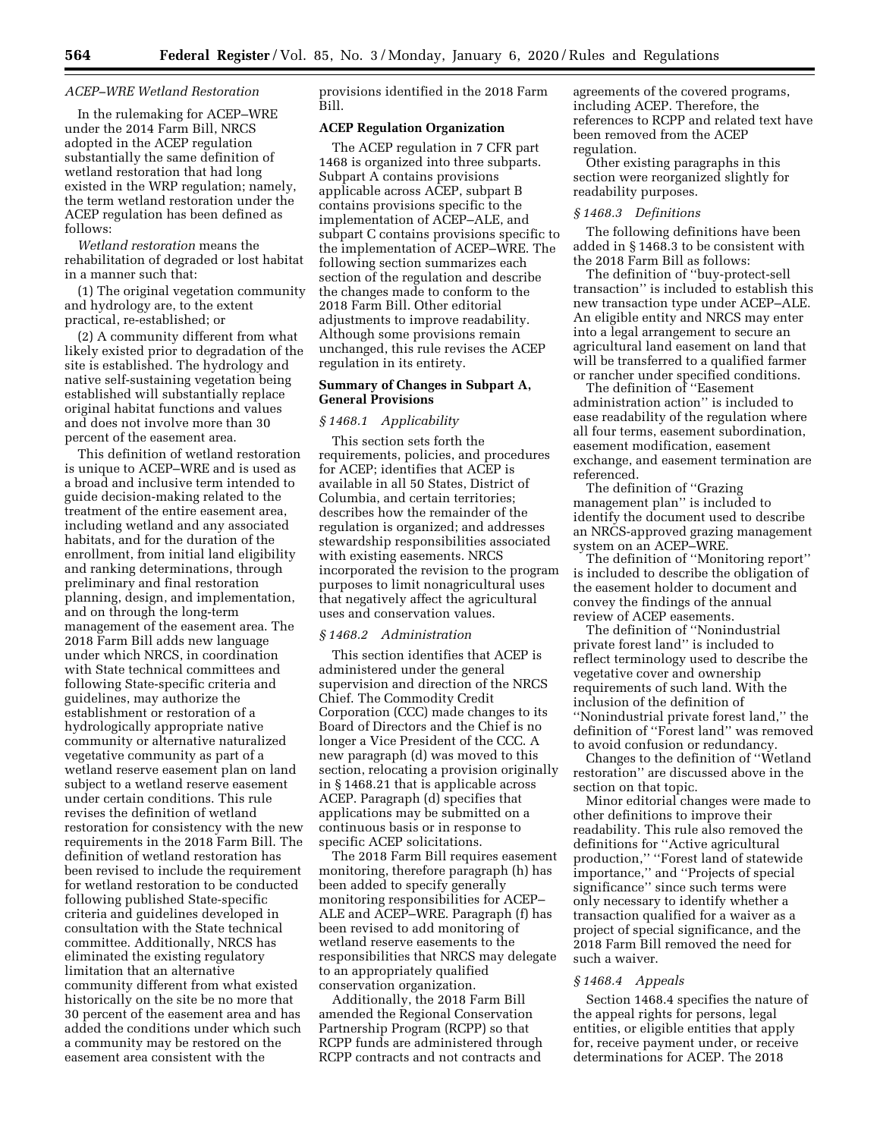#### *ACEP–WRE Wetland Restoration*

In the rulemaking for ACEP–WRE under the 2014 Farm Bill, NRCS adopted in the ACEP regulation substantially the same definition of wetland restoration that had long existed in the WRP regulation; namely, the term wetland restoration under the ACEP regulation has been defined as follows:

*Wetland restoration* means the rehabilitation of degraded or lost habitat in a manner such that:

(1) The original vegetation community and hydrology are, to the extent practical, re-established; or

(2) A community different from what likely existed prior to degradation of the site is established. The hydrology and native self-sustaining vegetation being established will substantially replace original habitat functions and values and does not involve more than 30 percent of the easement area.

This definition of wetland restoration is unique to ACEP–WRE and is used as a broad and inclusive term intended to guide decision-making related to the treatment of the entire easement area, including wetland and any associated habitats, and for the duration of the enrollment, from initial land eligibility and ranking determinations, through preliminary and final restoration planning, design, and implementation, and on through the long-term management of the easement area. The 2018 Farm Bill adds new language under which NRCS, in coordination with State technical committees and following State-specific criteria and guidelines, may authorize the establishment or restoration of a hydrologically appropriate native community or alternative naturalized vegetative community as part of a wetland reserve easement plan on land subject to a wetland reserve easement under certain conditions. This rule revises the definition of wetland restoration for consistency with the new requirements in the 2018 Farm Bill. The definition of wetland restoration has been revised to include the requirement for wetland restoration to be conducted following published State-specific criteria and guidelines developed in consultation with the State technical committee. Additionally, NRCS has eliminated the existing regulatory limitation that an alternative community different from what existed historically on the site be no more that 30 percent of the easement area and has added the conditions under which such a community may be restored on the easement area consistent with the

provisions identified in the 2018 Farm Bill.

## **ACEP Regulation Organization**

The ACEP regulation in 7 CFR part 1468 is organized into three subparts. Subpart A contains provisions applicable across ACEP, subpart B contains provisions specific to the implementation of ACEP–ALE, and subpart C contains provisions specific to the implementation of ACEP–WRE. The following section summarizes each section of the regulation and describe the changes made to conform to the 2018 Farm Bill. Other editorial adjustments to improve readability. Although some provisions remain unchanged, this rule revises the ACEP regulation in its entirety.

## **Summary of Changes in Subpart A, General Provisions**

#### *§ 1468.1 Applicability*

This section sets forth the requirements, policies, and procedures for ACEP; identifies that ACEP is available in all 50 States, District of Columbia, and certain territories; describes how the remainder of the regulation is organized; and addresses stewardship responsibilities associated with existing easements. NRCS incorporated the revision to the program purposes to limit nonagricultural uses that negatively affect the agricultural uses and conservation values.

#### *§ 1468.2 Administration*

This section identifies that ACEP is administered under the general supervision and direction of the NRCS Chief. The Commodity Credit Corporation (CCC) made changes to its Board of Directors and the Chief is no longer a Vice President of the CCC. A new paragraph (d) was moved to this section, relocating a provision originally in § 1468.21 that is applicable across ACEP. Paragraph (d) specifies that applications may be submitted on a continuous basis or in response to specific ACEP solicitations.

The 2018 Farm Bill requires easement monitoring, therefore paragraph (h) has been added to specify generally monitoring responsibilities for ACEP– ALE and ACEP–WRE. Paragraph (f) has been revised to add monitoring of wetland reserve easements to the responsibilities that NRCS may delegate to an appropriately qualified conservation organization.

Additionally, the 2018 Farm Bill amended the Regional Conservation Partnership Program (RCPP) so that RCPP funds are administered through RCPP contracts and not contracts and

agreements of the covered programs, including ACEP. Therefore, the references to RCPP and related text have been removed from the ACEP regulation.

Other existing paragraphs in this section were reorganized slightly for readability purposes.

### *§ 1468.3 Definitions*

The following definitions have been added in § 1468.3 to be consistent with the 2018 Farm Bill as follows:

The definition of ''buy-protect-sell transaction'' is included to establish this new transaction type under ACEP–ALE. An eligible entity and NRCS may enter into a legal arrangement to secure an agricultural land easement on land that will be transferred to a qualified farmer or rancher under specified conditions.

The definition of ''Easement administration action'' is included to ease readability of the regulation where all four terms, easement subordination, easement modification, easement exchange, and easement termination are referenced.

The definition of ''Grazing management plan'' is included to identify the document used to describe an NRCS-approved grazing management system on an ACEP–WRE.

The definition of ''Monitoring report'' is included to describe the obligation of the easement holder to document and convey the findings of the annual review of ACEP easements.

The definition of ''Nonindustrial private forest land'' is included to reflect terminology used to describe the vegetative cover and ownership requirements of such land. With the inclusion of the definition of ''Nonindustrial private forest land,'' the definition of ''Forest land'' was removed to avoid confusion or redundancy.

Changes to the definition of ''Wetland restoration'' are discussed above in the section on that topic.

Minor editorial changes were made to other definitions to improve their readability. This rule also removed the definitions for ''Active agricultural production,'' ''Forest land of statewide importance,'' and ''Projects of special significance'' since such terms were only necessary to identify whether a transaction qualified for a waiver as a project of special significance, and the 2018 Farm Bill removed the need for such a waiver.

#### *§ 1468.4 Appeals*

Section 1468.4 specifies the nature of the appeal rights for persons, legal entities, or eligible entities that apply for, receive payment under, or receive determinations for ACEP. The 2018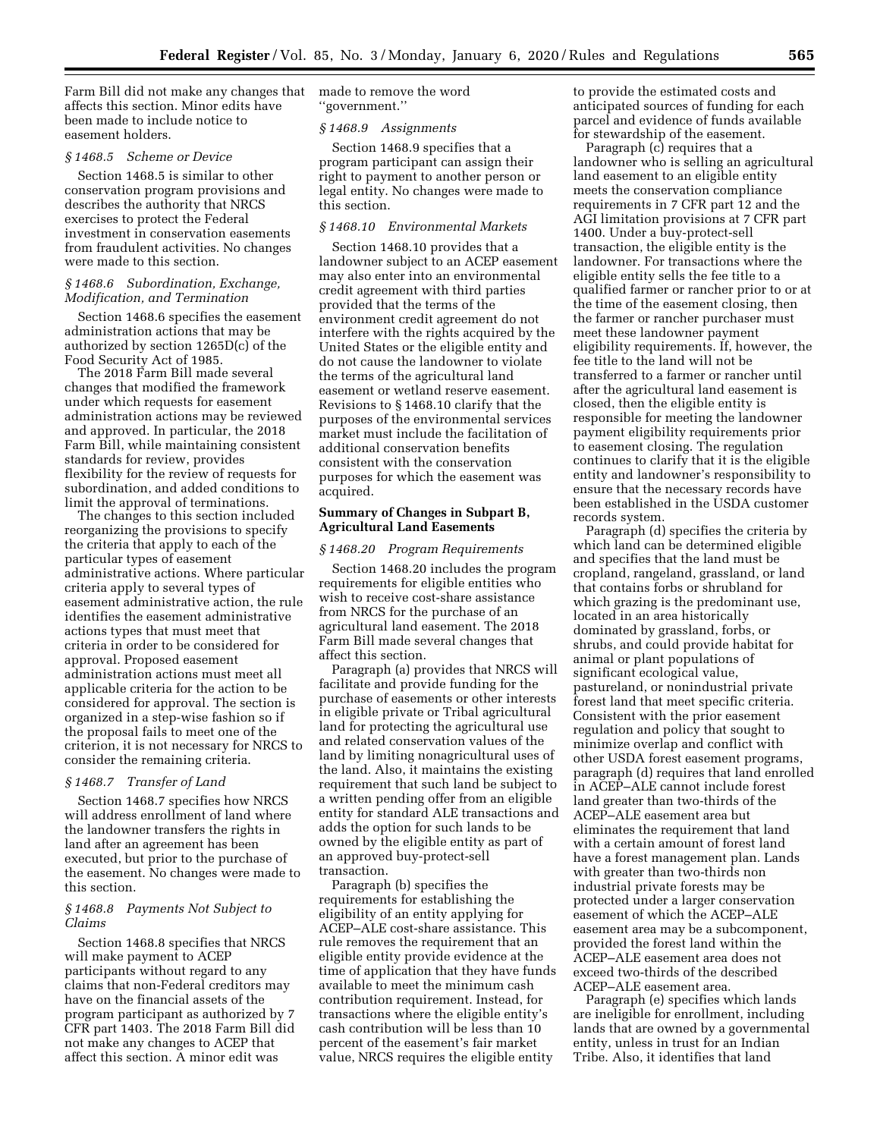Farm Bill did not make any changes that affects this section. Minor edits have been made to include notice to easement holders.

## *§ 1468.5 Scheme or Device*

Section 1468.5 is similar to other conservation program provisions and describes the authority that NRCS exercises to protect the Federal investment in conservation easements from fraudulent activities. No changes were made to this section.

### *§ 1468.6 Subordination, Exchange, Modification, and Termination*

Section 1468.6 specifies the easement administration actions that may be authorized by section 1265D(c) of the Food Security Act of 1985.

The 2018 Farm Bill made several changes that modified the framework under which requests for easement administration actions may be reviewed and approved. In particular, the 2018 Farm Bill, while maintaining consistent standards for review, provides flexibility for the review of requests for subordination, and added conditions to limit the approval of terminations.

The changes to this section included reorganizing the provisions to specify the criteria that apply to each of the particular types of easement administrative actions. Where particular criteria apply to several types of easement administrative action, the rule identifies the easement administrative actions types that must meet that criteria in order to be considered for approval. Proposed easement administration actions must meet all applicable criteria for the action to be considered for approval. The section is organized in a step-wise fashion so if the proposal fails to meet one of the criterion, it is not necessary for NRCS to consider the remaining criteria.

## *§ 1468.7 Transfer of Land*

Section 1468.7 specifies how NRCS will address enrollment of land where the landowner transfers the rights in land after an agreement has been executed, but prior to the purchase of the easement. No changes were made to this section.

### *§ 1468.8 Payments Not Subject to Claims*

Section 1468.8 specifies that NRCS will make payment to ACEP participants without regard to any claims that non-Federal creditors may have on the financial assets of the program participant as authorized by 7 CFR part 1403. The 2018 Farm Bill did not make any changes to ACEP that affect this section. A minor edit was

made to remove the word ''government.''

#### *§ 1468.9 Assignments*

Section 1468.9 specifies that a program participant can assign their right to payment to another person or legal entity. No changes were made to this section.

# *§ 1468.10 Environmental Markets*

Section 1468.10 provides that a landowner subject to an ACEP easement may also enter into an environmental credit agreement with third parties provided that the terms of the environment credit agreement do not interfere with the rights acquired by the United States or the eligible entity and do not cause the landowner to violate the terms of the agricultural land easement or wetland reserve easement. Revisions to § 1468.10 clarify that the purposes of the environmental services market must include the facilitation of additional conservation benefits consistent with the conservation purposes for which the easement was acquired.

## **Summary of Changes in Subpart B, Agricultural Land Easements**

#### *§ 1468.20 Program Requirements*

Section 1468.20 includes the program requirements for eligible entities who wish to receive cost-share assistance from NRCS for the purchase of an agricultural land easement. The 2018 Farm Bill made several changes that affect this section.

Paragraph (a) provides that NRCS will facilitate and provide funding for the purchase of easements or other interests in eligible private or Tribal agricultural land for protecting the agricultural use and related conservation values of the land by limiting nonagricultural uses of the land. Also, it maintains the existing requirement that such land be subject to a written pending offer from an eligible entity for standard ALE transactions and adds the option for such lands to be owned by the eligible entity as part of an approved buy-protect-sell transaction.

Paragraph (b) specifies the requirements for establishing the eligibility of an entity applying for ACEP–ALE cost-share assistance. This rule removes the requirement that an eligible entity provide evidence at the time of application that they have funds available to meet the minimum cash contribution requirement. Instead, for transactions where the eligible entity's cash contribution will be less than 10 percent of the easement's fair market value, NRCS requires the eligible entity

to provide the estimated costs and anticipated sources of funding for each parcel and evidence of funds available for stewardship of the easement.

Paragraph (c) requires that a landowner who is selling an agricultural land easement to an eligible entity meets the conservation compliance requirements in 7 CFR part 12 and the AGI limitation provisions at 7 CFR part 1400. Under a buy-protect-sell transaction, the eligible entity is the landowner. For transactions where the eligible entity sells the fee title to a qualified farmer or rancher prior to or at the time of the easement closing, then the farmer or rancher purchaser must meet these landowner payment eligibility requirements. If, however, the fee title to the land will not be transferred to a farmer or rancher until after the agricultural land easement is closed, then the eligible entity is responsible for meeting the landowner payment eligibility requirements prior to easement closing. The regulation continues to clarify that it is the eligible entity and landowner's responsibility to ensure that the necessary records have been established in the USDA customer records system.

Paragraph (d) specifies the criteria by which land can be determined eligible and specifies that the land must be cropland, rangeland, grassland, or land that contains forbs or shrubland for which grazing is the predominant use, located in an area historically dominated by grassland, forbs, or shrubs, and could provide habitat for animal or plant populations of significant ecological value, pastureland, or nonindustrial private forest land that meet specific criteria. Consistent with the prior easement regulation and policy that sought to minimize overlap and conflict with other USDA forest easement programs, paragraph (d) requires that land enrolled in ACEP–ALE cannot include forest land greater than two-thirds of the ACEP–ALE easement area but eliminates the requirement that land with a certain amount of forest land have a forest management plan. Lands with greater than two-thirds non industrial private forests may be protected under a larger conservation easement of which the ACEP–ALE easement area may be a subcomponent, provided the forest land within the ACEP–ALE easement area does not exceed two-thirds of the described ACEP–ALE easement area.

Paragraph (e) specifies which lands are ineligible for enrollment, including lands that are owned by a governmental entity, unless in trust for an Indian Tribe. Also, it identifies that land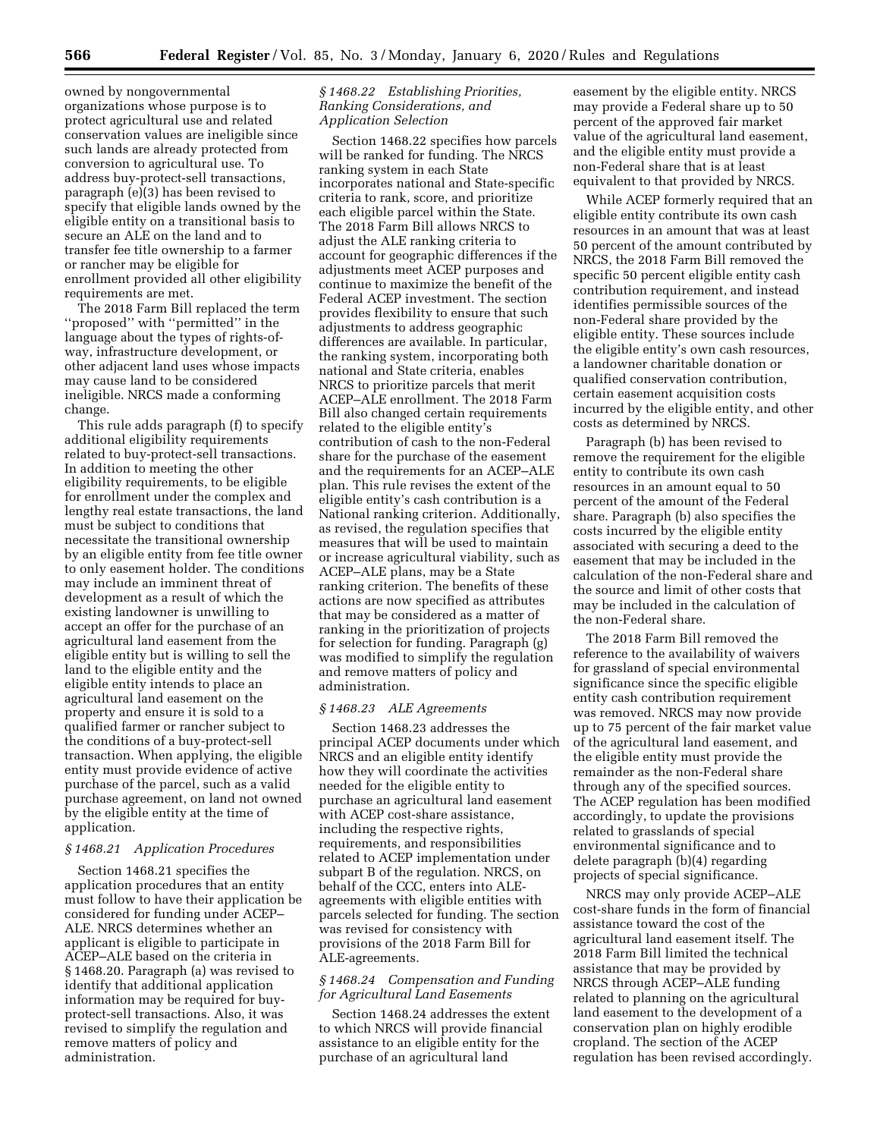owned by nongovernmental organizations whose purpose is to protect agricultural use and related conservation values are ineligible since such lands are already protected from conversion to agricultural use. To address buy-protect-sell transactions, paragraph (e)(3) has been revised to specify that eligible lands owned by the eligible entity on a transitional basis to secure an ALE on the land and to transfer fee title ownership to a farmer or rancher may be eligible for enrollment provided all other eligibility requirements are met.

The 2018 Farm Bill replaced the term ''proposed'' with ''permitted'' in the language about the types of rights-ofway, infrastructure development, or other adjacent land uses whose impacts may cause land to be considered ineligible. NRCS made a conforming change.

This rule adds paragraph (f) to specify additional eligibility requirements related to buy-protect-sell transactions. In addition to meeting the other eligibility requirements, to be eligible for enrollment under the complex and lengthy real estate transactions, the land must be subject to conditions that necessitate the transitional ownership by an eligible entity from fee title owner to only easement holder. The conditions may include an imminent threat of development as a result of which the existing landowner is unwilling to accept an offer for the purchase of an agricultural land easement from the eligible entity but is willing to sell the land to the eligible entity and the eligible entity intends to place an agricultural land easement on the property and ensure it is sold to a qualified farmer or rancher subject to the conditions of a buy-protect-sell transaction. When applying, the eligible entity must provide evidence of active purchase of the parcel, such as a valid purchase agreement, on land not owned by the eligible entity at the time of application.

### *§ 1468.21 Application Procedures*

Section 1468.21 specifies the application procedures that an entity must follow to have their application be considered for funding under ACEP– ALE. NRCS determines whether an applicant is eligible to participate in ACEP–ALE based on the criteria in § 1468.20. Paragraph (a) was revised to identify that additional application information may be required for buyprotect-sell transactions. Also, it was revised to simplify the regulation and remove matters of policy and administration.

## *§ 1468.22 Establishing Priorities, Ranking Considerations, and Application Selection*

Section 1468.22 specifies how parcels will be ranked for funding. The NRCS ranking system in each State incorporates national and State-specific criteria to rank, score, and prioritize each eligible parcel within the State. The 2018 Farm Bill allows NRCS to adjust the ALE ranking criteria to account for geographic differences if the adjustments meet ACEP purposes and continue to maximize the benefit of the Federal ACEP investment. The section provides flexibility to ensure that such adjustments to address geographic differences are available. In particular, the ranking system, incorporating both national and State criteria, enables NRCS to prioritize parcels that merit ACEP–ALE enrollment. The 2018 Farm Bill also changed certain requirements related to the eligible entity's contribution of cash to the non-Federal share for the purchase of the easement and the requirements for an ACEP–ALE plan. This rule revises the extent of the eligible entity's cash contribution is a National ranking criterion. Additionally, as revised, the regulation specifies that measures that will be used to maintain or increase agricultural viability, such as ACEP–ALE plans, may be a State ranking criterion. The benefits of these actions are now specified as attributes that may be considered as a matter of ranking in the prioritization of projects for selection for funding. Paragraph (g) was modified to simplify the regulation and remove matters of policy and administration.

### *§ 1468.23 ALE Agreements*

Section 1468.23 addresses the principal ACEP documents under which NRCS and an eligible entity identify how they will coordinate the activities needed for the eligible entity to purchase an agricultural land easement with ACEP cost-share assistance, including the respective rights, requirements, and responsibilities related to ACEP implementation under subpart B of the regulation. NRCS, on behalf of the CCC, enters into ALEagreements with eligible entities with parcels selected for funding. The section was revised for consistency with provisions of the 2018 Farm Bill for ALE-agreements.

## *§ 1468.24 Compensation and Funding for Agricultural Land Easements*

Section 1468.24 addresses the extent to which NRCS will provide financial assistance to an eligible entity for the purchase of an agricultural land

easement by the eligible entity. NRCS may provide a Federal share up to 50 percent of the approved fair market value of the agricultural land easement, and the eligible entity must provide a non-Federal share that is at least equivalent to that provided by NRCS.

While ACEP formerly required that an eligible entity contribute its own cash resources in an amount that was at least 50 percent of the amount contributed by NRCS, the 2018 Farm Bill removed the specific 50 percent eligible entity cash contribution requirement, and instead identifies permissible sources of the non-Federal share provided by the eligible entity. These sources include the eligible entity's own cash resources, a landowner charitable donation or qualified conservation contribution, certain easement acquisition costs incurred by the eligible entity, and other costs as determined by NRCS.

Paragraph (b) has been revised to remove the requirement for the eligible entity to contribute its own cash resources in an amount equal to 50 percent of the amount of the Federal share. Paragraph (b) also specifies the costs incurred by the eligible entity associated with securing a deed to the easement that may be included in the calculation of the non-Federal share and the source and limit of other costs that may be included in the calculation of the non-Federal share.

The 2018 Farm Bill removed the reference to the availability of waivers for grassland of special environmental significance since the specific eligible entity cash contribution requirement was removed. NRCS may now provide up to 75 percent of the fair market value of the agricultural land easement, and the eligible entity must provide the remainder as the non-Federal share through any of the specified sources. The ACEP regulation has been modified accordingly, to update the provisions related to grasslands of special environmental significance and to delete paragraph (b)(4) regarding projects of special significance.

NRCS may only provide ACEP–ALE cost-share funds in the form of financial assistance toward the cost of the agricultural land easement itself. The 2018 Farm Bill limited the technical assistance that may be provided by NRCS through ACEP–ALE funding related to planning on the agricultural land easement to the development of a conservation plan on highly erodible cropland. The section of the ACEP regulation has been revised accordingly.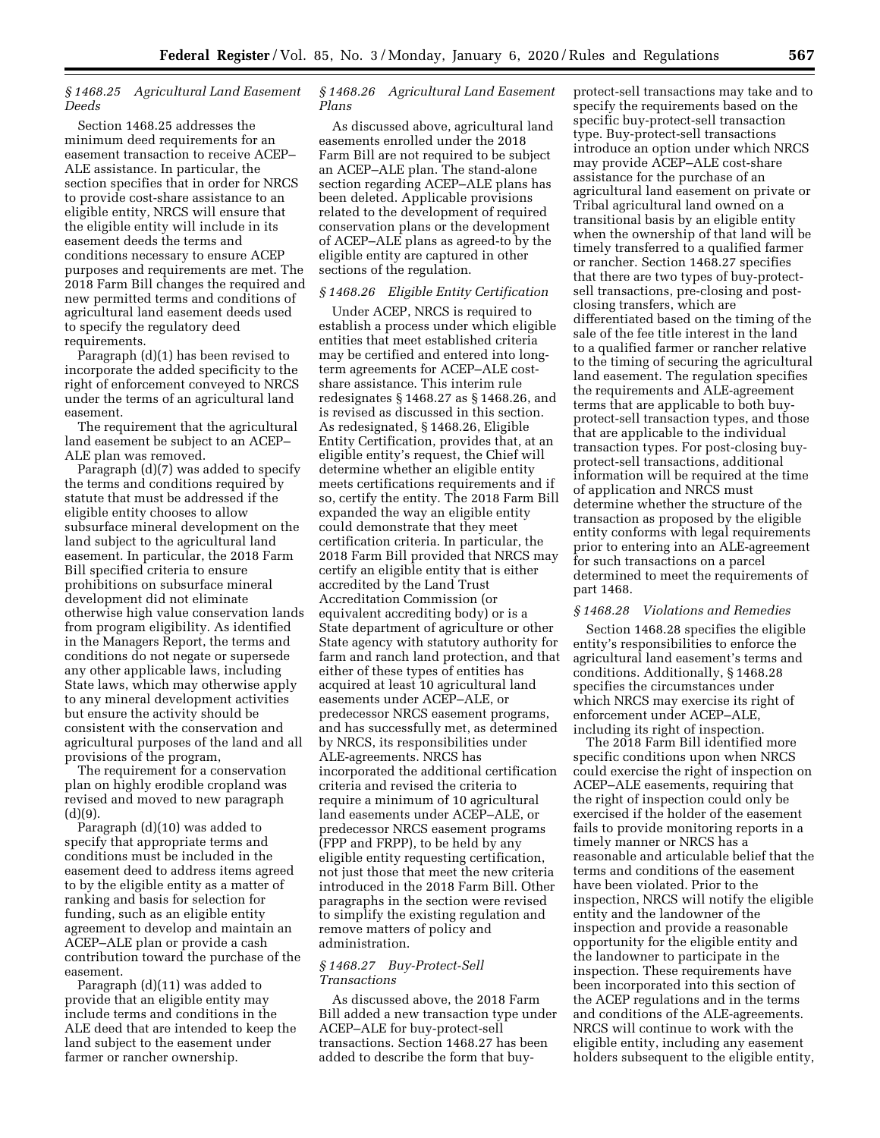## *§ 1468.25 Agricultural Land Easement Deeds*

Section 1468.25 addresses the minimum deed requirements for an easement transaction to receive ACEP– ALE assistance. In particular, the section specifies that in order for NRCS to provide cost-share assistance to an eligible entity, NRCS will ensure that the eligible entity will include in its easement deeds the terms and conditions necessary to ensure ACEP purposes and requirements are met. The 2018 Farm Bill changes the required and new permitted terms and conditions of agricultural land easement deeds used to specify the regulatory deed requirements.

Paragraph (d)(1) has been revised to incorporate the added specificity to the right of enforcement conveyed to NRCS under the terms of an agricultural land easement.

The requirement that the agricultural land easement be subject to an ACEP– ALE plan was removed.

Paragraph (d)(7) was added to specify the terms and conditions required by statute that must be addressed if the eligible entity chooses to allow subsurface mineral development on the land subject to the agricultural land easement. In particular, the 2018 Farm Bill specified criteria to ensure prohibitions on subsurface mineral development did not eliminate otherwise high value conservation lands from program eligibility. As identified in the Managers Report, the terms and conditions do not negate or supersede any other applicable laws, including State laws, which may otherwise apply to any mineral development activities but ensure the activity should be consistent with the conservation and agricultural purposes of the land and all provisions of the program,

The requirement for a conservation plan on highly erodible cropland was revised and moved to new paragraph  $(d)(9)$ .

Paragraph (d)(10) was added to specify that appropriate terms and conditions must be included in the easement deed to address items agreed to by the eligible entity as a matter of ranking and basis for selection for funding, such as an eligible entity agreement to develop and maintain an ACEP–ALE plan or provide a cash contribution toward the purchase of the easement.

Paragraph (d)(11) was added to provide that an eligible entity may include terms and conditions in the ALE deed that are intended to keep the land subject to the easement under farmer or rancher ownership.

### *§ 1468.26 Agricultural Land Easement Plans*

As discussed above, agricultural land easements enrolled under the 2018 Farm Bill are not required to be subject an ACEP–ALE plan. The stand-alone section regarding ACEP–ALE plans has been deleted. Applicable provisions related to the development of required conservation plans or the development of ACEP–ALE plans as agreed-to by the eligible entity are captured in other sections of the regulation.

### *§ 1468.26 Eligible Entity Certification*

Under ACEP, NRCS is required to establish a process under which eligible entities that meet established criteria may be certified and entered into longterm agreements for ACEP–ALE costshare assistance. This interim rule redesignates § 1468.27 as § 1468.26, and is revised as discussed in this section. As redesignated, § 1468.26, Eligible Entity Certification, provides that, at an eligible entity's request, the Chief will determine whether an eligible entity meets certifications requirements and if so, certify the entity. The 2018 Farm Bill expanded the way an eligible entity could demonstrate that they meet certification criteria. In particular, the 2018 Farm Bill provided that NRCS may certify an eligible entity that is either accredited by the Land Trust Accreditation Commission (or equivalent accrediting body) or is a State department of agriculture or other State agency with statutory authority for farm and ranch land protection, and that either of these types of entities has acquired at least 10 agricultural land easements under ACEP–ALE, or predecessor NRCS easement programs, and has successfully met, as determined by NRCS, its responsibilities under ALE-agreements. NRCS has incorporated the additional certification criteria and revised the criteria to require a minimum of 10 agricultural land easements under ACEP–ALE, or predecessor NRCS easement programs (FPP and FRPP), to be held by any eligible entity requesting certification, not just those that meet the new criteria introduced in the 2018 Farm Bill. Other paragraphs in the section were revised to simplify the existing regulation and remove matters of policy and administration.

### *§ 1468.27 Buy-Protect-Sell Transactions*

As discussed above, the 2018 Farm Bill added a new transaction type under ACEP–ALE for buy-protect-sell transactions. Section 1468.27 has been added to describe the form that buyprotect-sell transactions may take and to specify the requirements based on the specific buy-protect-sell transaction type. Buy-protect-sell transactions introduce an option under which NRCS may provide ACEP–ALE cost-share assistance for the purchase of an agricultural land easement on private or Tribal agricultural land owned on a transitional basis by an eligible entity when the ownership of that land will be timely transferred to a qualified farmer or rancher. Section 1468.27 specifies that there are two types of buy-protectsell transactions, pre-closing and postclosing transfers, which are differentiated based on the timing of the sale of the fee title interest in the land to a qualified farmer or rancher relative to the timing of securing the agricultural land easement. The regulation specifies the requirements and ALE-agreement terms that are applicable to both buyprotect-sell transaction types, and those that are applicable to the individual transaction types. For post-closing buyprotect-sell transactions, additional information will be required at the time of application and NRCS must determine whether the structure of the transaction as proposed by the eligible entity conforms with legal requirements prior to entering into an ALE-agreement for such transactions on a parcel determined to meet the requirements of part 1468.

#### *§ 1468.28 Violations and Remedies*

Section 1468.28 specifies the eligible entity's responsibilities to enforce the agricultural land easement's terms and conditions. Additionally, § 1468.28 specifies the circumstances under which NRCS may exercise its right of enforcement under ACEP–ALE, including its right of inspection.

The 2018 Farm Bill identified more specific conditions upon when NRCS could exercise the right of inspection on ACEP–ALE easements, requiring that the right of inspection could only be exercised if the holder of the easement fails to provide monitoring reports in a timely manner or NRCS has a reasonable and articulable belief that the terms and conditions of the easement have been violated. Prior to the inspection, NRCS will notify the eligible entity and the landowner of the inspection and provide a reasonable opportunity for the eligible entity and the landowner to participate in the inspection. These requirements have been incorporated into this section of the ACEP regulations and in the terms and conditions of the ALE-agreements. NRCS will continue to work with the eligible entity, including any easement holders subsequent to the eligible entity,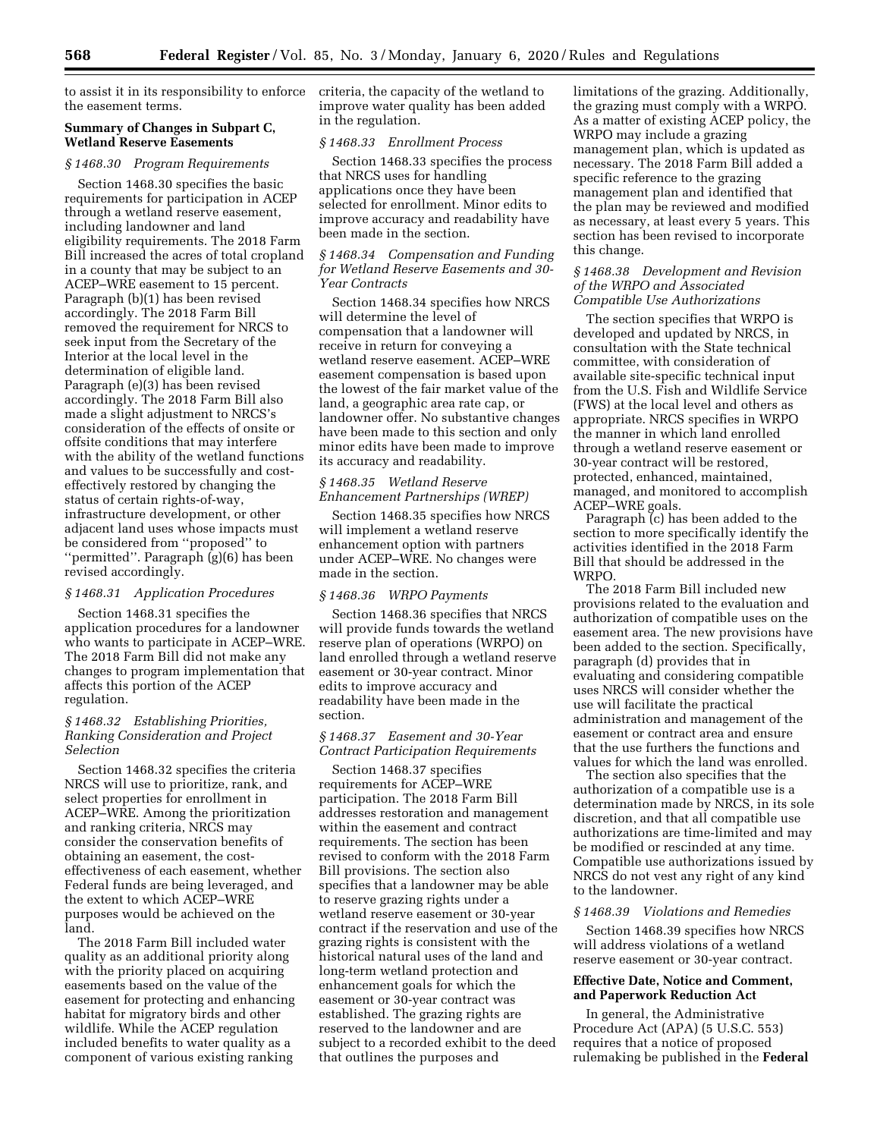to assist it in its responsibility to enforce the easement terms.

### **Summary of Changes in Subpart C, Wetland Reserve Easements**

#### *§ 1468.30 Program Requirements*

Section 1468.30 specifies the basic requirements for participation in ACEP through a wetland reserve easement, including landowner and land eligibility requirements. The 2018 Farm Bill increased the acres of total cropland in a county that may be subject to an ACEP–WRE easement to 15 percent. Paragraph (b)(1) has been revised accordingly. The 2018 Farm Bill removed the requirement for NRCS to seek input from the Secretary of the Interior at the local level in the determination of eligible land. Paragraph (e)(3) has been revised accordingly. The 2018 Farm Bill also made a slight adjustment to NRCS's consideration of the effects of onsite or offsite conditions that may interfere with the ability of the wetland functions and values to be successfully and costeffectively restored by changing the status of certain rights-of-way, infrastructure development, or other adjacent land uses whose impacts must be considered from ''proposed'' to ''permitted''. Paragraph (g)(6) has been revised accordingly.

### *§ 1468.31 Application Procedures*

Section 1468.31 specifies the application procedures for a landowner who wants to participate in ACEP–WRE. The 2018 Farm Bill did not make any changes to program implementation that affects this portion of the ACEP regulation.

## *§ 1468.32 Establishing Priorities, Ranking Consideration and Project Selection*

Section 1468.32 specifies the criteria NRCS will use to prioritize, rank, and select properties for enrollment in ACEP–WRE. Among the prioritization and ranking criteria, NRCS may consider the conservation benefits of obtaining an easement, the costeffectiveness of each easement, whether Federal funds are being leveraged, and the extent to which ACEP–WRE purposes would be achieved on the land.

The 2018 Farm Bill included water quality as an additional priority along with the priority placed on acquiring easements based on the value of the easement for protecting and enhancing habitat for migratory birds and other wildlife. While the ACEP regulation included benefits to water quality as a component of various existing ranking

criteria, the capacity of the wetland to improve water quality has been added in the regulation.

#### *§ 1468.33 Enrollment Process*

Section 1468.33 specifies the process that NRCS uses for handling applications once they have been selected for enrollment. Minor edits to improve accuracy and readability have been made in the section.

## *§ 1468.34 Compensation and Funding for Wetland Reserve Easements and 30- Year Contracts*

Section 1468.34 specifies how NRCS will determine the level of compensation that a landowner will receive in return for conveying a wetland reserve easement. ACEP–WRE easement compensation is based upon the lowest of the fair market value of the land, a geographic area rate cap, or landowner offer. No substantive changes have been made to this section and only minor edits have been made to improve its accuracy and readability.

### *§ 1468.35 Wetland Reserve Enhancement Partnerships (WREP)*

Section 1468.35 specifies how NRCS will implement a wetland reserve enhancement option with partners under ACEP–WRE. No changes were made in the section.

### *§ 1468.36 WRPO Payments*

Section 1468.36 specifies that NRCS will provide funds towards the wetland reserve plan of operations (WRPO) on land enrolled through a wetland reserve easement or 30-year contract. Minor edits to improve accuracy and readability have been made in the section.

## *§ 1468.37 Easement and 30-Year Contract Participation Requirements*

Section 1468.37 specifies requirements for ACEP–WRE participation. The 2018 Farm Bill addresses restoration and management within the easement and contract requirements. The section has been revised to conform with the 2018 Farm Bill provisions. The section also specifies that a landowner may be able to reserve grazing rights under a wetland reserve easement or 30-year contract if the reservation and use of the grazing rights is consistent with the historical natural uses of the land and long-term wetland protection and enhancement goals for which the easement or 30-year contract was established. The grazing rights are reserved to the landowner and are subject to a recorded exhibit to the deed that outlines the purposes and

limitations of the grazing. Additionally, the grazing must comply with a WRPO. As a matter of existing ACEP policy, the WRPO may include a grazing management plan, which is updated as necessary. The 2018 Farm Bill added a specific reference to the grazing management plan and identified that the plan may be reviewed and modified as necessary, at least every 5 years. This section has been revised to incorporate this change.

### *§ 1468.38 Development and Revision of the WRPO and Associated Compatible Use Authorizations*

The section specifies that WRPO is developed and updated by NRCS, in consultation with the State technical committee, with consideration of available site-specific technical input from the U.S. Fish and Wildlife Service (FWS) at the local level and others as appropriate. NRCS specifies in WRPO the manner in which land enrolled through a wetland reserve easement or 30-year contract will be restored, protected, enhanced, maintained, managed, and monitored to accomplish ACEP–WRE goals.

Paragraph (c) has been added to the section to more specifically identify the activities identified in the 2018 Farm Bill that should be addressed in the WRPO.

The 2018 Farm Bill included new provisions related to the evaluation and authorization of compatible uses on the easement area. The new provisions have been added to the section. Specifically, paragraph (d) provides that in evaluating and considering compatible uses NRCS will consider whether the use will facilitate the practical administration and management of the easement or contract area and ensure that the use furthers the functions and values for which the land was enrolled.

The section also specifies that the authorization of a compatible use is a determination made by NRCS, in its sole discretion, and that all compatible use authorizations are time-limited and may be modified or rescinded at any time. Compatible use authorizations issued by NRCS do not vest any right of any kind to the landowner.

#### *§ 1468.39 Violations and Remedies*

Section 1468.39 specifies how NRCS will address violations of a wetland reserve easement or 30-year contract.

## **Effective Date, Notice and Comment, and Paperwork Reduction Act**

In general, the Administrative Procedure Act (APA) (5 U.S.C. 553) requires that a notice of proposed rulemaking be published in the **Federal**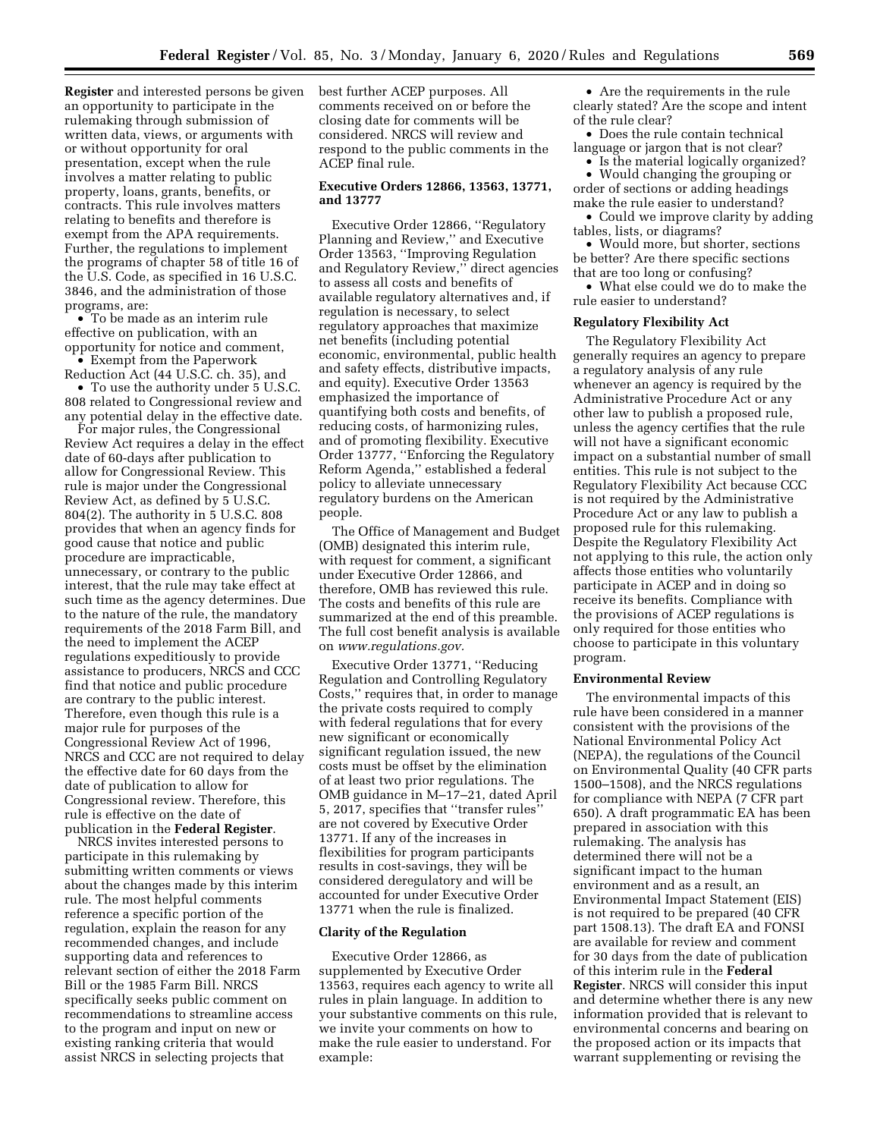**Register** and interested persons be given an opportunity to participate in the rulemaking through submission of written data, views, or arguments with or without opportunity for oral presentation, except when the rule involves a matter relating to public property, loans, grants, benefits, or contracts. This rule involves matters relating to benefits and therefore is exempt from the APA requirements. Further, the regulations to implement the programs of chapter 58 of title 16 of the U.S. Code, as specified in 16 U.S.C. 3846, and the administration of those programs, are:

• To be made as an interim rule effective on publication, with an opportunity for notice and comment, • Exempt from the Paperwork

Reduction Act (44 U.S.C. ch. 35), and

• To use the authority under 5 U.S.C. 808 related to Congressional review and any potential delay in the effective date.

For major rules, the Congressional Review Act requires a delay in the effect date of 60-days after publication to allow for Congressional Review. This rule is major under the Congressional Review Act, as defined by 5 U.S.C. 804(2). The authority in 5 U.S.C. 808 provides that when an agency finds for good cause that notice and public procedure are impracticable, unnecessary, or contrary to the public interest, that the rule may take effect at such time as the agency determines. Due to the nature of the rule, the mandatory requirements of the 2018 Farm Bill, and the need to implement the ACEP regulations expeditiously to provide assistance to producers, NRCS and CCC find that notice and public procedure are contrary to the public interest. Therefore, even though this rule is a major rule for purposes of the Congressional Review Act of 1996, NRCS and CCC are not required to delay the effective date for 60 days from the date of publication to allow for Congressional review. Therefore, this rule is effective on the date of publication in the **Federal Register**.

NRCS invites interested persons to participate in this rulemaking by submitting written comments or views about the changes made by this interim rule. The most helpful comments reference a specific portion of the regulation, explain the reason for any recommended changes, and include supporting data and references to relevant section of either the 2018 Farm Bill or the 1985 Farm Bill. NRCS specifically seeks public comment on recommendations to streamline access to the program and input on new or existing ranking criteria that would assist NRCS in selecting projects that

best further ACEP purposes. All comments received on or before the closing date for comments will be considered. NRCS will review and respond to the public comments in the ACEP final rule.

### **Executive Orders 12866, 13563, 13771, and 13777**

Executive Order 12866, ''Regulatory Planning and Review,'' and Executive Order 13563, ''Improving Regulation and Regulatory Review,'' direct agencies to assess all costs and benefits of available regulatory alternatives and, if regulation is necessary, to select regulatory approaches that maximize net benefits (including potential economic, environmental, public health and safety effects, distributive impacts, and equity). Executive Order 13563 emphasized the importance of quantifying both costs and benefits, of reducing costs, of harmonizing rules, and of promoting flexibility. Executive Order 13777, ''Enforcing the Regulatory Reform Agenda,'' established a federal policy to alleviate unnecessary regulatory burdens on the American people.

The Office of Management and Budget (OMB) designated this interim rule, with request for comment, a significant under Executive Order 12866, and therefore, OMB has reviewed this rule. The costs and benefits of this rule are summarized at the end of this preamble. The full cost benefit analysis is available on *[www.regulations.gov.](http://www.regulations.gov)* 

Executive Order 13771, ''Reducing Regulation and Controlling Regulatory Costs,'' requires that, in order to manage the private costs required to comply with federal regulations that for every new significant or economically significant regulation issued, the new costs must be offset by the elimination of at least two prior regulations. The OMB guidance in M–17–21, dated April 5, 2017, specifies that ''transfer rules'' are not covered by Executive Order 13771. If any of the increases in flexibilities for program participants results in cost-savings, they will be considered deregulatory and will be accounted for under Executive Order 13771 when the rule is finalized.

### **Clarity of the Regulation**

Executive Order 12866, as supplemented by Executive Order 13563, requires each agency to write all rules in plain language. In addition to your substantive comments on this rule, we invite your comments on how to make the rule easier to understand. For example:

• Are the requirements in the rule clearly stated? Are the scope and intent of the rule clear?

• Does the rule contain technical language or jargon that is not clear?

• Is the material logically organized? • Would changing the grouping or order of sections or adding headings make the rule easier to understand?

• Could we improve clarity by adding tables, lists, or diagrams?

• Would more, but shorter, sections be better? Are there specific sections that are too long or confusing?

• What else could we do to make the rule easier to understand?

## **Regulatory Flexibility Act**

The Regulatory Flexibility Act generally requires an agency to prepare a regulatory analysis of any rule whenever an agency is required by the Administrative Procedure Act or any other law to publish a proposed rule, unless the agency certifies that the rule will not have a significant economic impact on a substantial number of small entities. This rule is not subject to the Regulatory Flexibility Act because CCC is not required by the Administrative Procedure Act or any law to publish a proposed rule for this rulemaking. Despite the Regulatory Flexibility Act not applying to this rule, the action only affects those entities who voluntarily participate in ACEP and in doing so receive its benefits. Compliance with the provisions of ACEP regulations is only required for those entities who choose to participate in this voluntary program.

## **Environmental Review**

The environmental impacts of this rule have been considered in a manner consistent with the provisions of the National Environmental Policy Act (NEPA), the regulations of the Council on Environmental Quality (40 CFR parts 1500–1508), and the NRCS regulations for compliance with NEPA (7 CFR part 650). A draft programmatic EA has been prepared in association with this rulemaking. The analysis has determined there will not be a significant impact to the human environment and as a result, an Environmental Impact Statement (EIS) is not required to be prepared (40 CFR part 1508.13). The draft EA and FONSI are available for review and comment for 30 days from the date of publication of this interim rule in the **Federal Register**. NRCS will consider this input and determine whether there is any new information provided that is relevant to environmental concerns and bearing on the proposed action or its impacts that warrant supplementing or revising the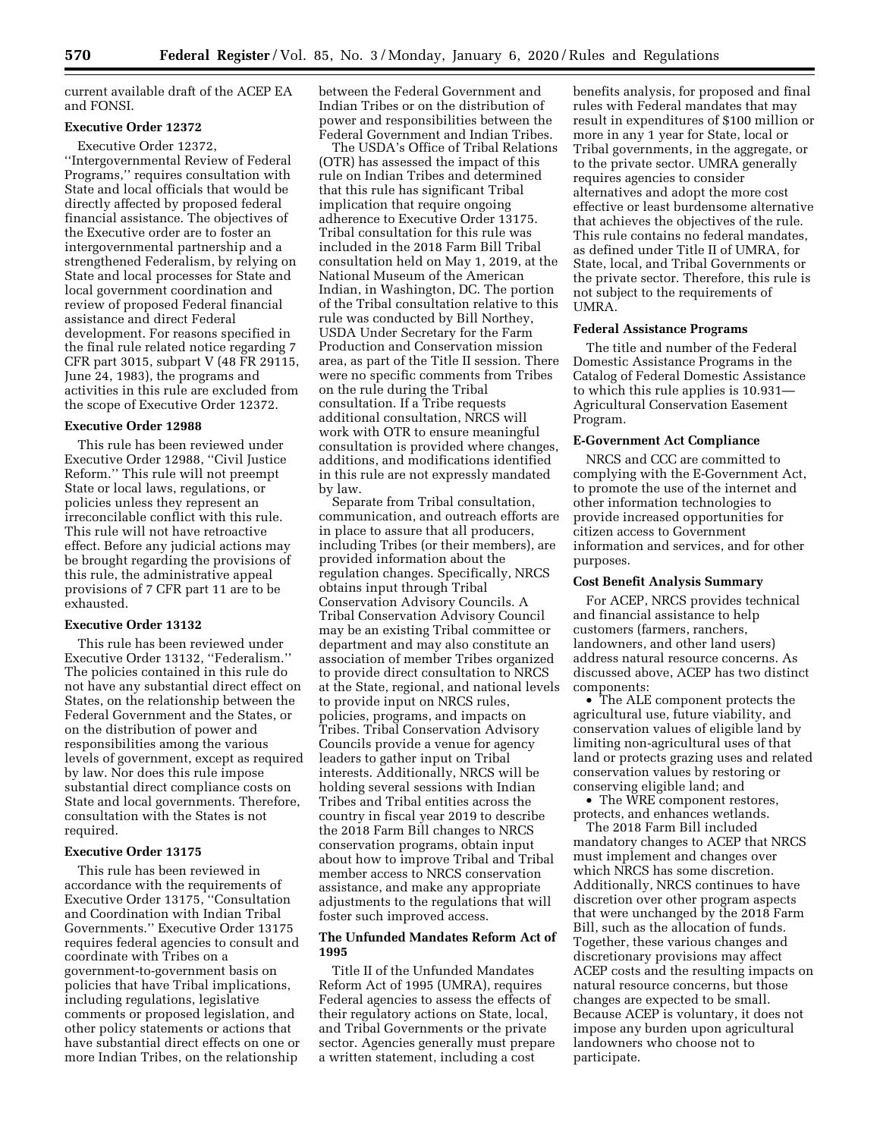current available draft of the ACEP EA and FONSI.

# **Executive Order 12372**

Executive Order 12372,

''Intergovernmental Review of Federal Programs,'' requires consultation with State and local officials that would be directly affected by proposed federal financial assistance. The objectives of the Executive order are to foster an intergovernmental partnership and a strengthened Federalism, by relying on State and local processes for State and local government coordination and review of proposed Federal financial assistance and direct Federal development. For reasons specified in the final rule related notice regarding 7 CFR part 3015, subpart V (48 FR 29115, June 24, 1983), the programs and activities in this rule are excluded from the scope of Executive Order 12372.

### **Executive Order 12988**

This rule has been reviewed under Executive Order 12988, ''Civil Justice Reform.'' This rule will not preempt State or local laws, regulations, or policies unless they represent an irreconcilable conflict with this rule. This rule will not have retroactive effect. Before any judicial actions may be brought regarding the provisions of this rule, the administrative appeal provisions of 7 CFR part 11 are to be exhausted.

#### **Executive Order 13132**

This rule has been reviewed under Executive Order 13132, ''Federalism.'' The policies contained in this rule do not have any substantial direct effect on States, on the relationship between the Federal Government and the States, or on the distribution of power and responsibilities among the various levels of government, except as required by law. Nor does this rule impose substantial direct compliance costs on State and local governments. Therefore, consultation with the States is not required.

#### **Executive Order 13175**

This rule has been reviewed in accordance with the requirements of Executive Order 13175, ''Consultation and Coordination with Indian Tribal Governments.'' Executive Order 13175 requires federal agencies to consult and coordinate with Tribes on a government-to-government basis on policies that have Tribal implications, including regulations, legislative comments or proposed legislation, and other policy statements or actions that have substantial direct effects on one or more Indian Tribes, on the relationship

between the Federal Government and Indian Tribes or on the distribution of power and responsibilities between the Federal Government and Indian Tribes.

The USDA's Office of Tribal Relations (OTR) has assessed the impact of this rule on Indian Tribes and determined that this rule has significant Tribal implication that require ongoing adherence to Executive Order 13175. Tribal consultation for this rule was included in the 2018 Farm Bill Tribal consultation held on May 1, 2019, at the National Museum of the American Indian, in Washington, DC. The portion of the Tribal consultation relative to this rule was conducted by Bill Northey, USDA Under Secretary for the Farm Production and Conservation mission area, as part of the Title II session. There were no specific comments from Tribes on the rule during the Tribal consultation. If a Tribe requests additional consultation, NRCS will work with OTR to ensure meaningful consultation is provided where changes, additions, and modifications identified in this rule are not expressly mandated by law.

Separate from Tribal consultation, communication, and outreach efforts are in place to assure that all producers, including Tribes (or their members), are provided information about the regulation changes. Specifically, NRCS obtains input through Tribal Conservation Advisory Councils. A Tribal Conservation Advisory Council may be an existing Tribal committee or department and may also constitute an association of member Tribes organized to provide direct consultation to NRCS at the State, regional, and national levels to provide input on NRCS rules, policies, programs, and impacts on Tribes. Tribal Conservation Advisory Councils provide a venue for agency leaders to gather input on Tribal interests. Additionally, NRCS will be holding several sessions with Indian Tribes and Tribal entities across the country in fiscal year 2019 to describe the 2018 Farm Bill changes to NRCS conservation programs, obtain input about how to improve Tribal and Tribal member access to NRCS conservation assistance, and make any appropriate adjustments to the regulations that will foster such improved access.

## **The Unfunded Mandates Reform Act of 1995**

Title II of the Unfunded Mandates Reform Act of 1995 (UMRA), requires Federal agencies to assess the effects of their regulatory actions on State, local, and Tribal Governments or the private sector. Agencies generally must prepare a written statement, including a cost

benefits analysis, for proposed and final rules with Federal mandates that may result in expenditures of \$100 million or more in any 1 year for State, local or Tribal governments, in the aggregate, or to the private sector. UMRA generally requires agencies to consider alternatives and adopt the more cost effective or least burdensome alternative that achieves the objectives of the rule. This rule contains no federal mandates, as defined under Title II of UMRA, for State, local, and Tribal Governments or the private sector. Therefore, this rule is not subject to the requirements of UMRA.

### **Federal Assistance Programs**

The title and number of the Federal Domestic Assistance Programs in the Catalog of Federal Domestic Assistance to which this rule applies is 10.931— Agricultural Conservation Easement Program.

# **E-Government Act Compliance**

NRCS and CCC are committed to complying with the E-Government Act, to promote the use of the internet and other information technologies to provide increased opportunities for citizen access to Government information and services, and for other purposes.

### **Cost Benefit Analysis Summary**

For ACEP, NRCS provides technical and financial assistance to help customers (farmers, ranchers, landowners, and other land users) address natural resource concerns. As discussed above, ACEP has two distinct components:

• The ALE component protects the agricultural use, future viability, and conservation values of eligible land by limiting non-agricultural uses of that land or protects grazing uses and related conservation values by restoring or conserving eligible land; and

• The WRE component restores, protects, and enhances wetlands.

The 2018 Farm Bill included mandatory changes to ACEP that NRCS must implement and changes over which NRCS has some discretion. Additionally, NRCS continues to have discretion over other program aspects that were unchanged by the 2018 Farm Bill, such as the allocation of funds. Together, these various changes and discretionary provisions may affect ACEP costs and the resulting impacts on natural resource concerns, but those changes are expected to be small. Because ACEP is voluntary, it does not impose any burden upon agricultural landowners who choose not to participate.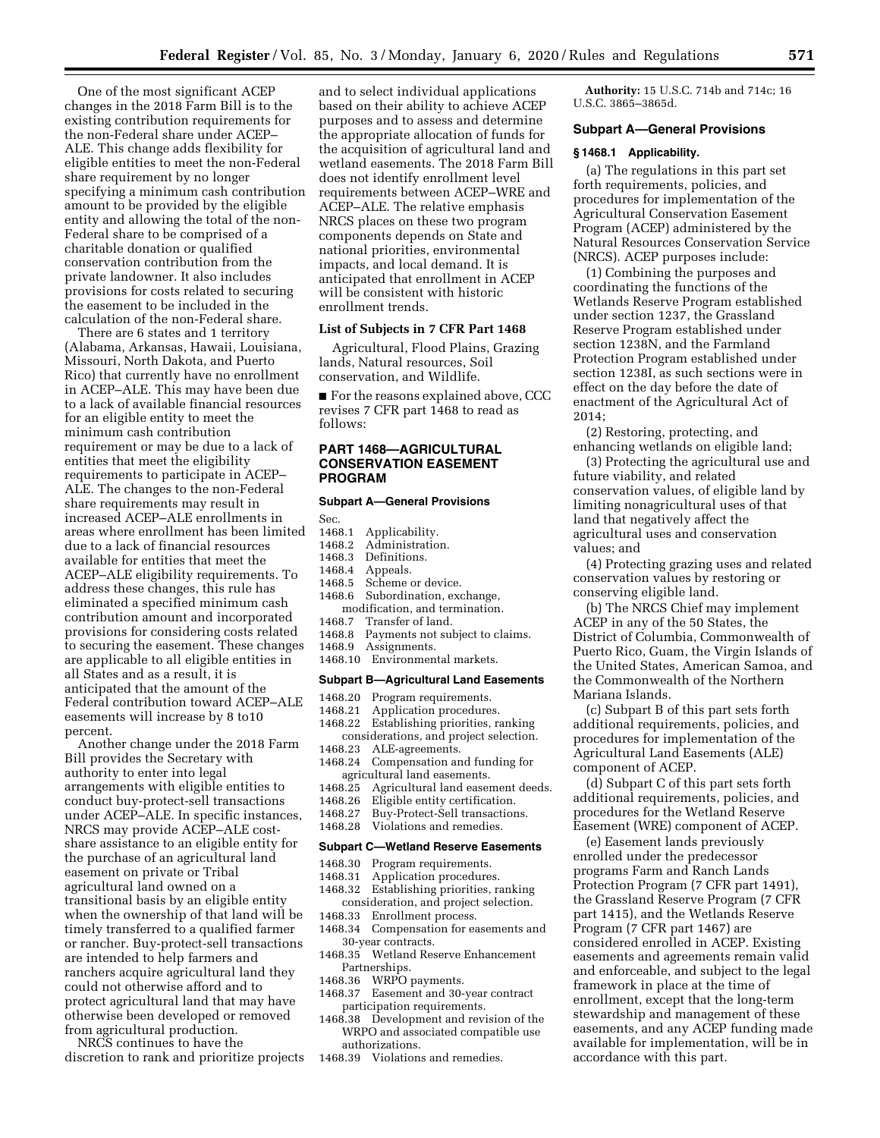One of the most significant ACEP changes in the 2018 Farm Bill is to the existing contribution requirements for the non-Federal share under ACEP– ALE. This change adds flexibility for eligible entities to meet the non-Federal share requirement by no longer specifying a minimum cash contribution amount to be provided by the eligible entity and allowing the total of the non-Federal share to be comprised of a charitable donation or qualified conservation contribution from the private landowner. It also includes provisions for costs related to securing the easement to be included in the calculation of the non-Federal share.

There are 6 states and 1 territory (Alabama, Arkansas, Hawaii, Louisiana, Missouri, North Dakota, and Puerto Rico) that currently have no enrollment in ACEP–ALE. This may have been due to a lack of available financial resources for an eligible entity to meet the minimum cash contribution requirement or may be due to a lack of entities that meet the eligibility requirements to participate in ACEP– ALE. The changes to the non-Federal share requirements may result in increased ACEP–ALE enrollments in areas where enrollment has been limited due to a lack of financial resources available for entities that meet the ACEP–ALE eligibility requirements. To address these changes, this rule has eliminated a specified minimum cash contribution amount and incorporated provisions for considering costs related to securing the easement. These changes are applicable to all eligible entities in all States and as a result, it is anticipated that the amount of the Federal contribution toward ACEP–ALE easements will increase by 8 to10 percent.

Another change under the 2018 Farm Bill provides the Secretary with authority to enter into legal arrangements with eligible entities to conduct buy-protect-sell transactions under ACEP–ALE. In specific instances, NRCS may provide ACEP–ALE costshare assistance to an eligible entity for the purchase of an agricultural land easement on private or Tribal agricultural land owned on a transitional basis by an eligible entity when the ownership of that land will be timely transferred to a qualified farmer or rancher. Buy-protect-sell transactions are intended to help farmers and ranchers acquire agricultural land they could not otherwise afford and to protect agricultural land that may have otherwise been developed or removed from agricultural production.

NRCS continues to have the discretion to rank and prioritize projects

and to select individual applications based on their ability to achieve ACEP purposes and to assess and determine the appropriate allocation of funds for the acquisition of agricultural land and wetland easements. The 2018 Farm Bill does not identify enrollment level requirements between ACEP–WRE and ACEP–ALE. The relative emphasis NRCS places on these two program components depends on State and national priorities, environmental impacts, and local demand. It is anticipated that enrollment in ACEP will be consistent with historic enrollment trends.

### **List of Subjects in 7 CFR Part 1468**

Agricultural, Flood Plains, Grazing lands, Natural resources, Soil conservation, and Wildlife.

■ For the reasons explained above, CCC revises 7 CFR part 1468 to read as follows:

#### **PART 1468—AGRICULTURAL CONSERVATION EASEMENT PROGRAM**

#### **Subpart A—General Provisions**

Sec.

- 1468.1 Applicability.
- 1468.2 Administration.
- 1468.3 Definitions.
- 1468.4 Appeals.
- 1468.5 Scheme or device.<br>1468.6 Subordination. exc Subordination, exchange,
- modification, and termination.<br>1468.7 Transfer of land. Transfer of land.
- 1468.8 Payments not subject to claims.
- 1468.9 Assignments.
- 1468.10 Environmental markets.

#### **Subpart B—Agricultural Land Easements**

- 1468.20 Program requirements.
- 1468.21 Application procedures.
- 1468.22 Establishing priorities, ranking considerations, and project selection.
- 1468.23 ALE-agreements.
- 1468.24 Compensation and funding for agricultural land easements.<br>1468.25 Agricultural land easer
- Agricultural land easement deeds.
- 1468.26 Eligible entity certification.
- 1468.27 Buy-Protect-Sell transactions.<br>1468.28 Violations and remedies.
- Violations and remedies.

## **Subpart C—Wetland Reserve Easements**

- 1468.30 Program requirements.<br>1468.31 Application procedure
- Application procedures.
- 1468.32 Establishing priorities, ranking consideration, and project selection.
- 1468.33 Enrollment process.
- 1468.34 Compensation for easements and 30-year contracts.
- 1468.35 Wetland Reserve Enhancement Partnerships.
- 1468.36 WRPO payments.
- 1468.37 Easement and 30-year contract participation requirements.
- 1468.38 Development and revision of the WRPO and associated compatible use authorizations.
- 1468.39 Violations and remedies.

**Authority:** 15 U.S.C. 714b and 714c; 16 U.S.C. 3865–3865d.

### **Subpart A—General Provisions**

#### **§ 1468.1 Applicability.**

(a) The regulations in this part set forth requirements, policies, and procedures for implementation of the Agricultural Conservation Easement Program (ACEP) administered by the Natural Resources Conservation Service (NRCS). ACEP purposes include:

(1) Combining the purposes and coordinating the functions of the Wetlands Reserve Program established under section 1237, the Grassland Reserve Program established under section 1238N, and the Farmland Protection Program established under section 1238I, as such sections were in effect on the day before the date of enactment of the Agricultural Act of 2014;

(2) Restoring, protecting, and enhancing wetlands on eligible land;

(3) Protecting the agricultural use and future viability, and related conservation values, of eligible land by limiting nonagricultural uses of that land that negatively affect the agricultural uses and conservation values; and

(4) Protecting grazing uses and related conservation values by restoring or conserving eligible land.

(b) The NRCS Chief may implement ACEP in any of the 50 States, the District of Columbia, Commonwealth of Puerto Rico, Guam, the Virgin Islands of the United States, American Samoa, and the Commonwealth of the Northern Mariana Islands.

(c) Subpart B of this part sets forth additional requirements, policies, and procedures for implementation of the Agricultural Land Easements (ALE) component of ACEP.

(d) Subpart C of this part sets forth additional requirements, policies, and procedures for the Wetland Reserve Easement (WRE) component of ACEP.

(e) Easement lands previously enrolled under the predecessor programs Farm and Ranch Lands Protection Program (7 CFR part 1491), the Grassland Reserve Program (7 CFR part 1415), and the Wetlands Reserve Program (7 CFR part 1467) are considered enrolled in ACEP. Existing easements and agreements remain valid and enforceable, and subject to the legal framework in place at the time of enrollment, except that the long-term stewardship and management of these easements, and any ACEP funding made available for implementation, will be in accordance with this part.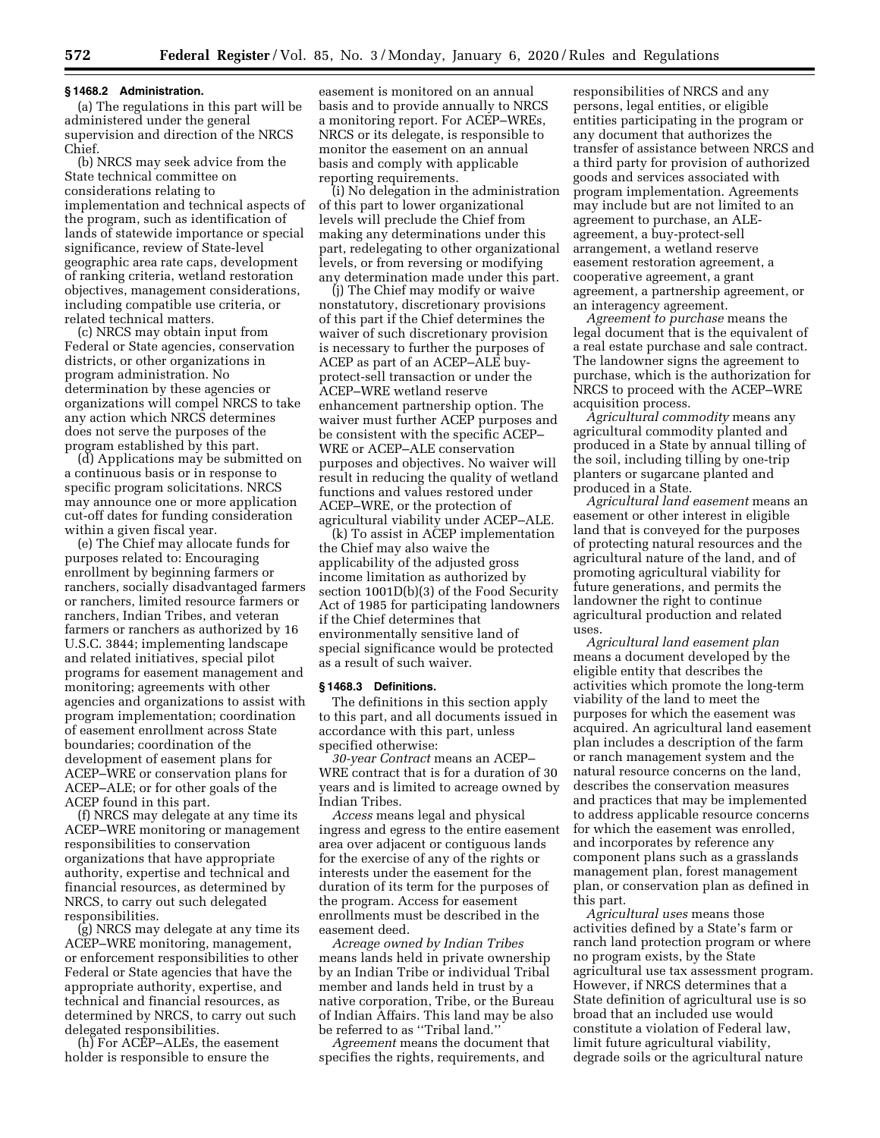#### **§ 1468.2 Administration.**

(a) The regulations in this part will be administered under the general supervision and direction of the NRCS Chief.

(b) NRCS may seek advice from the State technical committee on considerations relating to implementation and technical aspects of the program, such as identification of lands of statewide importance or special significance, review of State-level geographic area rate caps, development of ranking criteria, wetland restoration objectives, management considerations, including compatible use criteria, or related technical matters.

(c) NRCS may obtain input from Federal or State agencies, conservation districts, or other organizations in program administration. No determination by these agencies or organizations will compel NRCS to take any action which NRCS determines does not serve the purposes of the program established by this part.

(d) Applications may be submitted on a continuous basis or in response to specific program solicitations. NRCS may announce one or more application cut-off dates for funding consideration within a given fiscal year.

(e) The Chief may allocate funds for purposes related to: Encouraging enrollment by beginning farmers or ranchers, socially disadvantaged farmers or ranchers, limited resource farmers or ranchers, Indian Tribes, and veteran farmers or ranchers as authorized by 16 U.S.C. 3844; implementing landscape and related initiatives, special pilot programs for easement management and monitoring; agreements with other agencies and organizations to assist with program implementation; coordination of easement enrollment across State boundaries; coordination of the development of easement plans for ACEP–WRE or conservation plans for ACEP–ALE; or for other goals of the ACEP found in this part.

(f) NRCS may delegate at any time its ACEP–WRE monitoring or management responsibilities to conservation organizations that have appropriate authority, expertise and technical and financial resources, as determined by NRCS, to carry out such delegated responsibilities.

(g) NRCS may delegate at any time its ACEP–WRE monitoring, management, or enforcement responsibilities to other Federal or State agencies that have the appropriate authority, expertise, and technical and financial resources, as determined by NRCS, to carry out such delegated responsibilities.

(h) For ACEP–ALEs, the easement holder is responsible to ensure the

easement is monitored on an annual basis and to provide annually to NRCS a monitoring report. For ACEP–WREs, NRCS or its delegate, is responsible to monitor the easement on an annual basis and comply with applicable reporting requirements.

(i) No delegation in the administration of this part to lower organizational levels will preclude the Chief from making any determinations under this part, redelegating to other organizational levels, or from reversing or modifying any determination made under this part.

(j) The Chief may modify or waive nonstatutory, discretionary provisions of this part if the Chief determines the waiver of such discretionary provision is necessary to further the purposes of ACEP as part of an ACEP–ALE buyprotect-sell transaction or under the ACEP–WRE wetland reserve enhancement partnership option. The waiver must further ACEP purposes and be consistent with the specific ACEP– WRE or ACEP–ALE conservation purposes and objectives. No waiver will result in reducing the quality of wetland functions and values restored under ACEP–WRE, or the protection of agricultural viability under ACEP–ALE.

(k) To assist in ACEP implementation the Chief may also waive the applicability of the adjusted gross income limitation as authorized by section 1001D(b)(3) of the Food Security Act of 1985 for participating landowners if the Chief determines that environmentally sensitive land of special significance would be protected as a result of such waiver.

#### **§ 1468.3 Definitions.**

The definitions in this section apply to this part, and all documents issued in accordance with this part, unless specified otherwise:

*30-year Contract* means an ACEP– WRE contract that is for a duration of 30 years and is limited to acreage owned by Indian Tribes.

*Access* means legal and physical ingress and egress to the entire easement area over adjacent or contiguous lands for the exercise of any of the rights or interests under the easement for the duration of its term for the purposes of the program. Access for easement enrollments must be described in the easement deed.

*Acreage owned by Indian Tribes*  means lands held in private ownership by an Indian Tribe or individual Tribal member and lands held in trust by a native corporation, Tribe, or the Bureau of Indian Affairs. This land may be also be referred to as ''Tribal land.''

*Agreement* means the document that specifies the rights, requirements, and

responsibilities of NRCS and any persons, legal entities, or eligible entities participating in the program or any document that authorizes the transfer of assistance between NRCS and a third party for provision of authorized goods and services associated with program implementation. Agreements may include but are not limited to an agreement to purchase, an ALEagreement, a buy-protect-sell arrangement, a wetland reserve easement restoration agreement, a cooperative agreement, a grant agreement, a partnership agreement, or an interagency agreement.

*Agreement to purchase* means the legal document that is the equivalent of a real estate purchase and sale contract. The landowner signs the agreement to purchase, which is the authorization for NRCS to proceed with the ACEP–WRE acquisition process.

*Agricultural commodity* means any agricultural commodity planted and produced in a State by annual tilling of the soil, including tilling by one-trip planters or sugarcane planted and produced in a State.

*Agricultural land easement* means an easement or other interest in eligible land that is conveyed for the purposes of protecting natural resources and the agricultural nature of the land, and of promoting agricultural viability for future generations, and permits the landowner the right to continue agricultural production and related uses.

*Agricultural land easement plan*  means a document developed by the eligible entity that describes the activities which promote the long-term viability of the land to meet the purposes for which the easement was acquired. An agricultural land easement plan includes a description of the farm or ranch management system and the natural resource concerns on the land, describes the conservation measures and practices that may be implemented to address applicable resource concerns for which the easement was enrolled, and incorporates by reference any component plans such as a grasslands management plan, forest management plan, or conservation plan as defined in this part.

*Agricultural uses* means those activities defined by a State's farm or ranch land protection program or where no program exists, by the State agricultural use tax assessment program. However, if NRCS determines that a State definition of agricultural use is so broad that an included use would constitute a violation of Federal law, limit future agricultural viability, degrade soils or the agricultural nature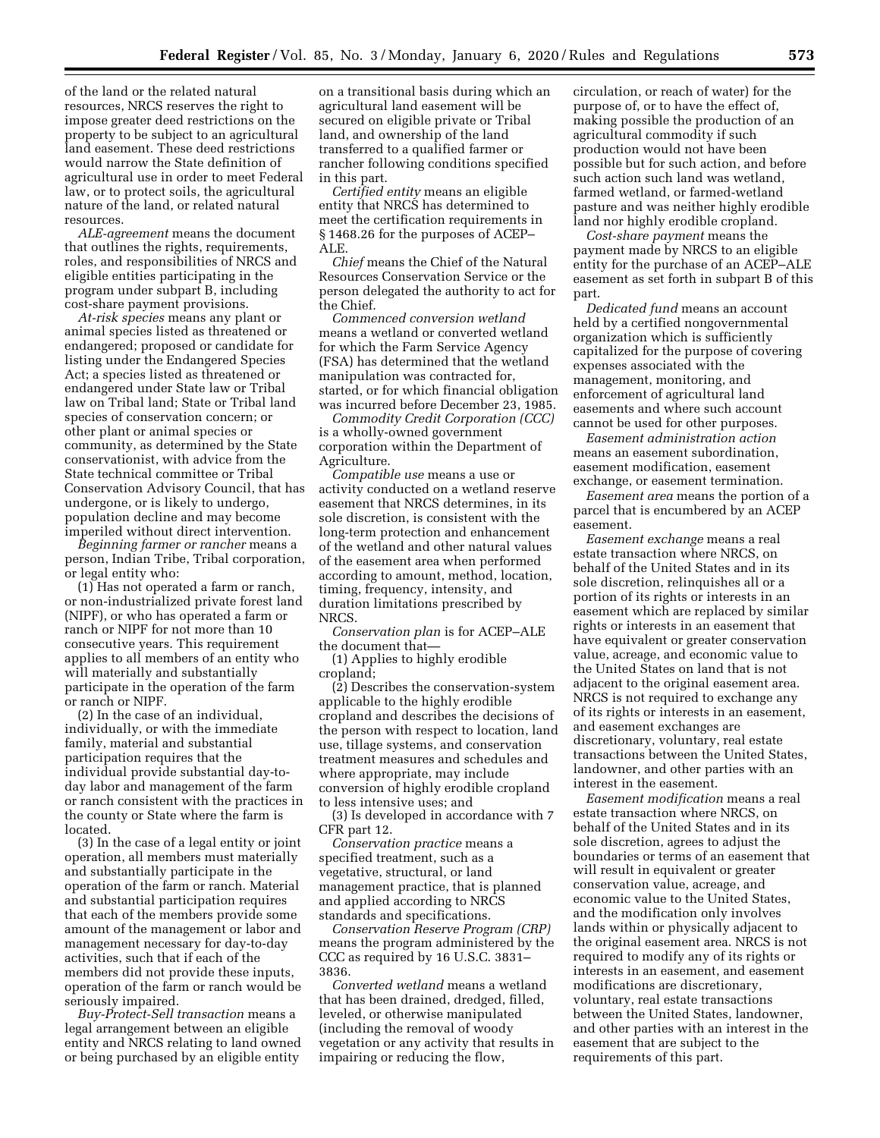of the land or the related natural resources, NRCS reserves the right to impose greater deed restrictions on the property to be subject to an agricultural land easement. These deed restrictions would narrow the State definition of agricultural use in order to meet Federal law, or to protect soils, the agricultural nature of the land, or related natural resources.

*ALE-agreement* means the document that outlines the rights, requirements, roles, and responsibilities of NRCS and eligible entities participating in the program under subpart B, including cost-share payment provisions.

*At-risk species* means any plant or animal species listed as threatened or endangered; proposed or candidate for listing under the Endangered Species Act; a species listed as threatened or endangered under State law or Tribal law on Tribal land; State or Tribal land species of conservation concern; or other plant or animal species or community, as determined by the State conservationist, with advice from the State technical committee or Tribal Conservation Advisory Council, that has undergone, or is likely to undergo, population decline and may become imperiled without direct intervention.

*Beginning farmer or rancher* means a person, Indian Tribe, Tribal corporation, or legal entity who:

(1) Has not operated a farm or ranch, or non-industrialized private forest land (NIPF), or who has operated a farm or ranch or NIPF for not more than 10 consecutive years. This requirement applies to all members of an entity who will materially and substantially participate in the operation of the farm or ranch or NIPF.

(2) In the case of an individual, individually, or with the immediate family, material and substantial participation requires that the individual provide substantial day-today labor and management of the farm or ranch consistent with the practices in the county or State where the farm is located.

(3) In the case of a legal entity or joint operation, all members must materially and substantially participate in the operation of the farm or ranch. Material and substantial participation requires that each of the members provide some amount of the management or labor and management necessary for day-to-day activities, such that if each of the members did not provide these inputs, operation of the farm or ranch would be seriously impaired.

*Buy-Protect-Sell transaction* means a legal arrangement between an eligible entity and NRCS relating to land owned or being purchased by an eligible entity

on a transitional basis during which an agricultural land easement will be secured on eligible private or Tribal land, and ownership of the land transferred to a qualified farmer or rancher following conditions specified in this part.

*Certified entity* means an eligible entity that NRCS has determined to meet the certification requirements in § 1468.26 for the purposes of ACEP– ALE.

*Chief* means the Chief of the Natural Resources Conservation Service or the person delegated the authority to act for the Chief.

*Commenced conversion wetland*  means a wetland or converted wetland for which the Farm Service Agency (FSA) has determined that the wetland manipulation was contracted for, started, or for which financial obligation was incurred before December 23, 1985.

*Commodity Credit Corporation (CCC)*  is a wholly-owned government corporation within the Department of Agriculture.

*Compatible use* means a use or activity conducted on a wetland reserve easement that NRCS determines, in its sole discretion, is consistent with the long-term protection and enhancement of the wetland and other natural values of the easement area when performed according to amount, method, location, timing, frequency, intensity, and duration limitations prescribed by NRCS.

*Conservation plan* is for ACEP–ALE the document that—

(1) Applies to highly erodible cropland;

(2) Describes the conservation-system applicable to the highly erodible cropland and describes the decisions of the person with respect to location, land use, tillage systems, and conservation treatment measures and schedules and where appropriate, may include conversion of highly erodible cropland to less intensive uses; and

(3) Is developed in accordance with 7 CFR part 12.

*Conservation practice* means a specified treatment, such as a vegetative, structural, or land management practice, that is planned and applied according to NRCS standards and specifications.

*Conservation Reserve Program (CRP)*  means the program administered by the CCC as required by 16 U.S.C. 3831– 3836.

*Converted wetland* means a wetland that has been drained, dredged, filled, leveled, or otherwise manipulated (including the removal of woody vegetation or any activity that results in impairing or reducing the flow,

circulation, or reach of water) for the purpose of, or to have the effect of, making possible the production of an agricultural commodity if such production would not have been possible but for such action, and before such action such land was wetland, farmed wetland, or farmed-wetland pasture and was neither highly erodible land nor highly erodible cropland.

*Cost-share payment* means the payment made by NRCS to an eligible entity for the purchase of an ACEP–ALE easement as set forth in subpart B of this part.

*Dedicated fund* means an account held by a certified nongovernmental organization which is sufficiently capitalized for the purpose of covering expenses associated with the management, monitoring, and enforcement of agricultural land easements and where such account cannot be used for other purposes.

*Easement administration action*  means an easement subordination, easement modification, easement exchange, or easement termination.

*Easement area* means the portion of a parcel that is encumbered by an ACEP easement.

*Easement exchange* means a real estate transaction where NRCS, on behalf of the United States and in its sole discretion, relinquishes all or a portion of its rights or interests in an easement which are replaced by similar rights or interests in an easement that have equivalent or greater conservation value, acreage, and economic value to the United States on land that is not adjacent to the original easement area. NRCS is not required to exchange any of its rights or interests in an easement, and easement exchanges are discretionary, voluntary, real estate transactions between the United States, landowner, and other parties with an interest in the easement.

*Easement modification* means a real estate transaction where NRCS, on behalf of the United States and in its sole discretion, agrees to adjust the boundaries or terms of an easement that will result in equivalent or greater conservation value, acreage, and economic value to the United States, and the modification only involves lands within or physically adjacent to the original easement area. NRCS is not required to modify any of its rights or interests in an easement, and easement modifications are discretionary, voluntary, real estate transactions between the United States, landowner, and other parties with an interest in the easement that are subject to the requirements of this part.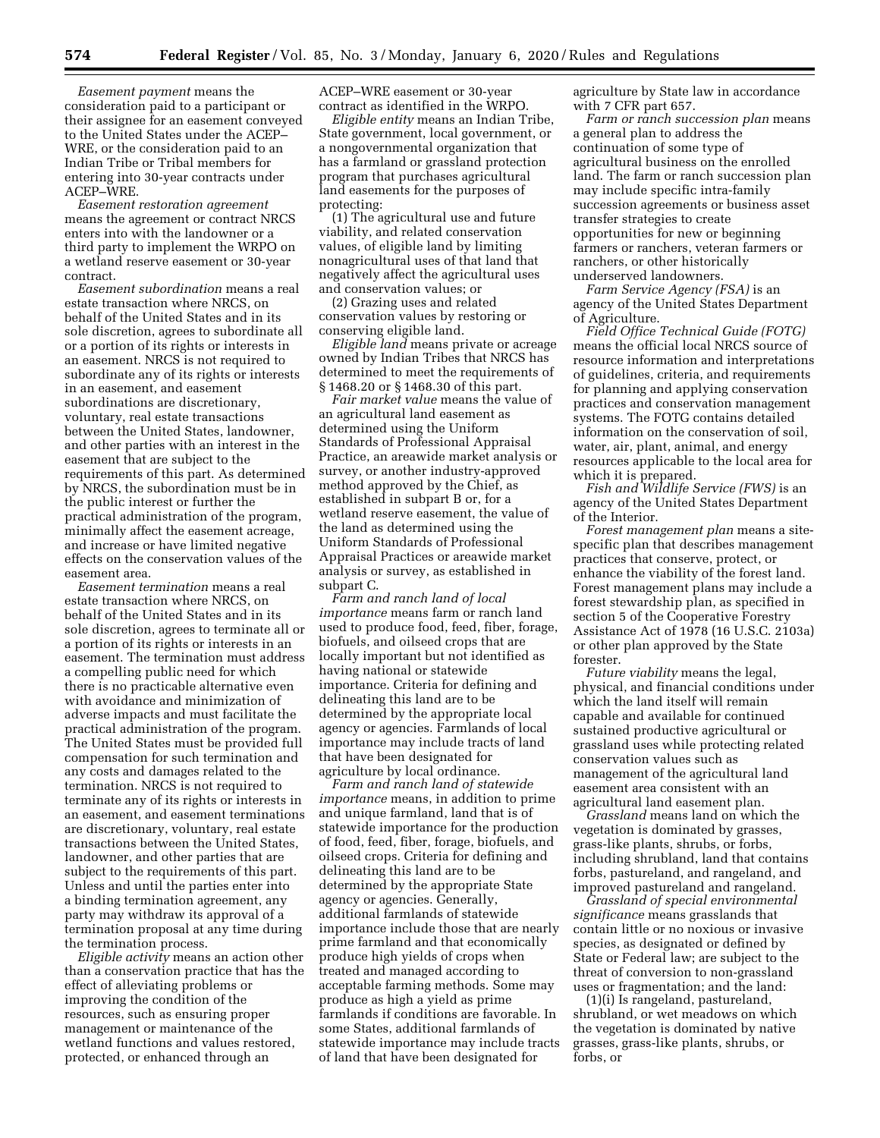*Easement payment* means the consideration paid to a participant or their assignee for an easement conveyed to the United States under the ACEP– WRE, or the consideration paid to an Indian Tribe or Tribal members for entering into 30-year contracts under ACEP–WRE.

*Easement restoration agreement*  means the agreement or contract NRCS enters into with the landowner or a third party to implement the WRPO on a wetland reserve easement or 30-year contract.

*Easement subordination* means a real estate transaction where NRCS, on behalf of the United States and in its sole discretion, agrees to subordinate all or a portion of its rights or interests in an easement. NRCS is not required to subordinate any of its rights or interests in an easement, and easement subordinations are discretionary, voluntary, real estate transactions between the United States, landowner, and other parties with an interest in the easement that are subject to the requirements of this part. As determined by NRCS, the subordination must be in the public interest or further the practical administration of the program, minimally affect the easement acreage, and increase or have limited negative effects on the conservation values of the easement area.

*Easement termination* means a real estate transaction where NRCS, on behalf of the United States and in its sole discretion, agrees to terminate all or a portion of its rights or interests in an easement. The termination must address a compelling public need for which there is no practicable alternative even with avoidance and minimization of adverse impacts and must facilitate the practical administration of the program. The United States must be provided full compensation for such termination and any costs and damages related to the termination. NRCS is not required to terminate any of its rights or interests in an easement, and easement terminations are discretionary, voluntary, real estate transactions between the United States, landowner, and other parties that are subject to the requirements of this part. Unless and until the parties enter into a binding termination agreement, any party may withdraw its approval of a termination proposal at any time during the termination process.

*Eligible activity* means an action other than a conservation practice that has the effect of alleviating problems or improving the condition of the resources, such as ensuring proper management or maintenance of the wetland functions and values restored, protected, or enhanced through an

ACEP–WRE easement or 30-year contract as identified in the WRPO.

*Eligible entity* means an Indian Tribe, State government, local government, or a nongovernmental organization that has a farmland or grassland protection program that purchases agricultural land easements for the purposes of protecting:

(1) The agricultural use and future viability, and related conservation values, of eligible land by limiting nonagricultural uses of that land that negatively affect the agricultural uses and conservation values; or

(2) Grazing uses and related conservation values by restoring or conserving eligible land.

*Eligible land* means private or acreage owned by Indian Tribes that NRCS has determined to meet the requirements of § 1468.20 or § 1468.30 of this part.

*Fair market value* means the value of an agricultural land easement as determined using the Uniform Standards of Professional Appraisal Practice, an areawide market analysis or survey, or another industry-approved method approved by the Chief, as established in subpart B or, for a wetland reserve easement, the value of the land as determined using the Uniform Standards of Professional Appraisal Practices or areawide market analysis or survey, as established in subpart C.

*Farm and ranch land of local importance* means farm or ranch land used to produce food, feed, fiber, forage, biofuels, and oilseed crops that are locally important but not identified as having national or statewide importance. Criteria for defining and delineating this land are to be determined by the appropriate local agency or agencies. Farmlands of local importance may include tracts of land that have been designated for agriculture by local ordinance.

*Farm and ranch land of statewide importance* means, in addition to prime and unique farmland, land that is of statewide importance for the production of food, feed, fiber, forage, biofuels, and oilseed crops. Criteria for defining and delineating this land are to be determined by the appropriate State agency or agencies. Generally, additional farmlands of statewide importance include those that are nearly prime farmland and that economically produce high yields of crops when treated and managed according to acceptable farming methods. Some may produce as high a yield as prime farmlands if conditions are favorable. In some States, additional farmlands of statewide importance may include tracts of land that have been designated for

agriculture by State law in accordance with 7 CFR part 657.

*Farm or ranch succession plan* means a general plan to address the continuation of some type of agricultural business on the enrolled land. The farm or ranch succession plan may include specific intra-family succession agreements or business asset transfer strategies to create opportunities for new or beginning farmers or ranchers, veteran farmers or ranchers, or other historically underserved landowners.

*Farm Service Agency (FSA)* is an agency of the United States Department of Agriculture.

*Field Office Technical Guide (FOTG)*  means the official local NRCS source of resource information and interpretations of guidelines, criteria, and requirements for planning and applying conservation practices and conservation management systems. The FOTG contains detailed information on the conservation of soil, water, air, plant, animal, and energy resources applicable to the local area for which it is prepared.

*Fish and Wildlife Service (FWS)* is an agency of the United States Department of the Interior.

*Forest management plan* means a sitespecific plan that describes management practices that conserve, protect, or enhance the viability of the forest land. Forest management plans may include a forest stewardship plan, as specified in section 5 of the Cooperative Forestry Assistance Act of 1978 (16 U.S.C. 2103a) or other plan approved by the State forester.

*Future viability* means the legal, physical, and financial conditions under which the land itself will remain capable and available for continued sustained productive agricultural or grassland uses while protecting related conservation values such as management of the agricultural land easement area consistent with an agricultural land easement plan.

*Grassland* means land on which the vegetation is dominated by grasses, grass-like plants, shrubs, or forbs, including shrubland, land that contains forbs, pastureland, and rangeland, and improved pastureland and rangeland.

*Grassland of special environmental significance* means grasslands that contain little or no noxious or invasive species, as designated or defined by State or Federal law; are subject to the threat of conversion to non-grassland uses or fragmentation; and the land:

(1)(i) Is rangeland, pastureland, shrubland, or wet meadows on which the vegetation is dominated by native grasses, grass-like plants, shrubs, or forbs, or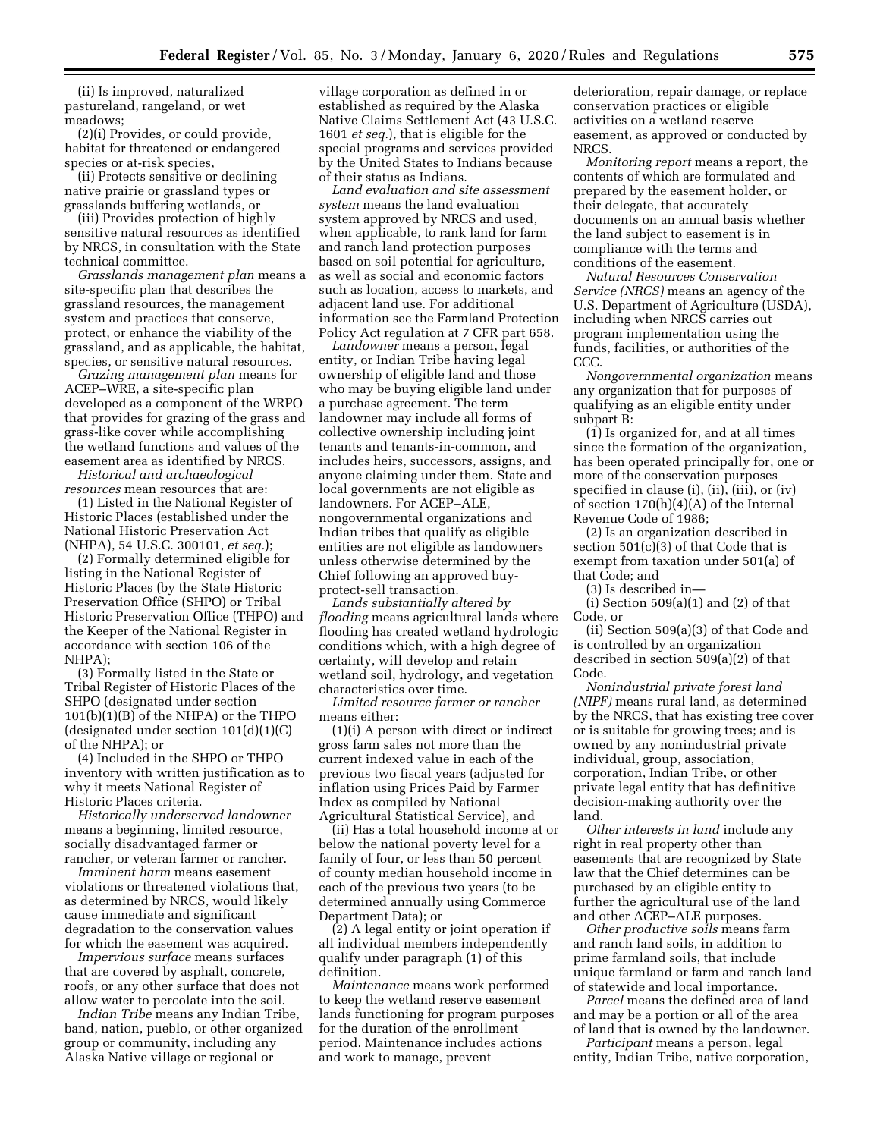(ii) Is improved, naturalized pastureland, rangeland, or wet meadows;

(2)(i) Provides, or could provide, habitat for threatened or endangered species or at-risk species,

(ii) Protects sensitive or declining native prairie or grassland types or grasslands buffering wetlands, or

(iii) Provides protection of highly sensitive natural resources as identified by NRCS, in consultation with the State technical committee.

*Grasslands management plan* means a site-specific plan that describes the grassland resources, the management system and practices that conserve, protect, or enhance the viability of the grassland, and as applicable, the habitat, species, or sensitive natural resources.

*Grazing management plan* means for ACEP–WRE, a site-specific plan developed as a component of the WRPO that provides for grazing of the grass and grass-like cover while accomplishing the wetland functions and values of the easement area as identified by NRCS.

*Historical and archaeological resources* mean resources that are:

(1) Listed in the National Register of Historic Places (established under the National Historic Preservation Act (NHPA), 54 U.S.C. 300101, *et seq.*);

(2) Formally determined eligible for listing in the National Register of Historic Places (by the State Historic Preservation Office (SHPO) or Tribal Historic Preservation Office (THPO) and the Keeper of the National Register in accordance with section 106 of the NHPA);

(3) Formally listed in the State or Tribal Register of Historic Places of the SHPO (designated under section 101(b)(1)(B) of the NHPA) or the THPO (designated under section 101(d)(1)(C) of the NHPA); or

(4) Included in the SHPO or THPO inventory with written justification as to why it meets National Register of Historic Places criteria.

*Historically underserved landowner*  means a beginning, limited resource, socially disadvantaged farmer or rancher, or veteran farmer or rancher.

*Imminent harm* means easement violations or threatened violations that, as determined by NRCS, would likely cause immediate and significant degradation to the conservation values for which the easement was acquired.

*Impervious surface* means surfaces that are covered by asphalt, concrete, roofs, or any other surface that does not allow water to percolate into the soil.

*Indian Tribe* means any Indian Tribe, band, nation, pueblo, or other organized group or community, including any Alaska Native village or regional or

village corporation as defined in or established as required by the Alaska Native Claims Settlement Act (43 U.S.C. 1601 *et seq.*), that is eligible for the special programs and services provided by the United States to Indians because of their status as Indians.

*Land evaluation and site assessment system* means the land evaluation system approved by NRCS and used, when applicable, to rank land for farm and ranch land protection purposes based on soil potential for agriculture, as well as social and economic factors such as location, access to markets, and adjacent land use. For additional information see the Farmland Protection Policy Act regulation at 7 CFR part 658.

*Landowner* means a person, legal entity, or Indian Tribe having legal ownership of eligible land and those who may be buying eligible land under a purchase agreement. The term landowner may include all forms of collective ownership including joint tenants and tenants-in-common, and includes heirs, successors, assigns, and anyone claiming under them. State and local governments are not eligible as landowners. For ACEP–ALE, nongovernmental organizations and Indian tribes that qualify as eligible entities are not eligible as landowners unless otherwise determined by the Chief following an approved buyprotect-sell transaction.

*Lands substantially altered by flooding* means agricultural lands where flooding has created wetland hydrologic conditions which, with a high degree of certainty, will develop and retain wetland soil, hydrology, and vegetation characteristics over time.

*Limited resource farmer or rancher*  means either:

(1)(i) A person with direct or indirect gross farm sales not more than the current indexed value in each of the previous two fiscal years (adjusted for inflation using Prices Paid by Farmer Index as compiled by National Agricultural Statistical Service), and

(ii) Has a total household income at or below the national poverty level for a family of four, or less than 50 percent of county median household income in each of the previous two years (to be determined annually using Commerce Department Data); or

(2) A legal entity or joint operation if all individual members independently qualify under paragraph (1) of this definition.

*Maintenance* means work performed to keep the wetland reserve easement lands functioning for program purposes for the duration of the enrollment period. Maintenance includes actions and work to manage, prevent

deterioration, repair damage, or replace conservation practices or eligible activities on a wetland reserve easement, as approved or conducted by NRCS.

*Monitoring report* means a report, the contents of which are formulated and prepared by the easement holder, or their delegate, that accurately documents on an annual basis whether the land subject to easement is in compliance with the terms and conditions of the easement.

*Natural Resources Conservation Service (NRCS)* means an agency of the U.S. Department of Agriculture (USDA), including when NRCS carries out program implementation using the funds, facilities, or authorities of the CCC.

*Nongovernmental organization* means any organization that for purposes of qualifying as an eligible entity under subpart B:

(1) Is organized for, and at all times since the formation of the organization, has been operated principally for, one or more of the conservation purposes specified in clause (i), (ii), (iii), or (iv) of section 170(h)(4)(A) of the Internal Revenue Code of 1986;

(2) Is an organization described in section 501(c)(3) of that Code that is exempt from taxation under 501(a) of that Code; and

(3) Is described in—

(i) Section  $509(a)(1)$  and  $(2)$  of that Code, or

(ii) Section 509(a)(3) of that Code and is controlled by an organization described in section 509(a)(2) of that Code.

*Nonindustrial private forest land (NIPF)* means rural land, as determined by the NRCS, that has existing tree cover or is suitable for growing trees; and is owned by any nonindustrial private individual, group, association, corporation, Indian Tribe, or other private legal entity that has definitive decision-making authority over the land.

*Other interests in land* include any right in real property other than easements that are recognized by State law that the Chief determines can be purchased by an eligible entity to further the agricultural use of the land and other ACEP–ALE purposes.

*Other productive soils* means farm and ranch land soils, in addition to prime farmland soils, that include unique farmland or farm and ranch land of statewide and local importance.

*Parcel* means the defined area of land and may be a portion or all of the area of land that is owned by the landowner.

*Participant* means a person, legal entity, Indian Tribe, native corporation,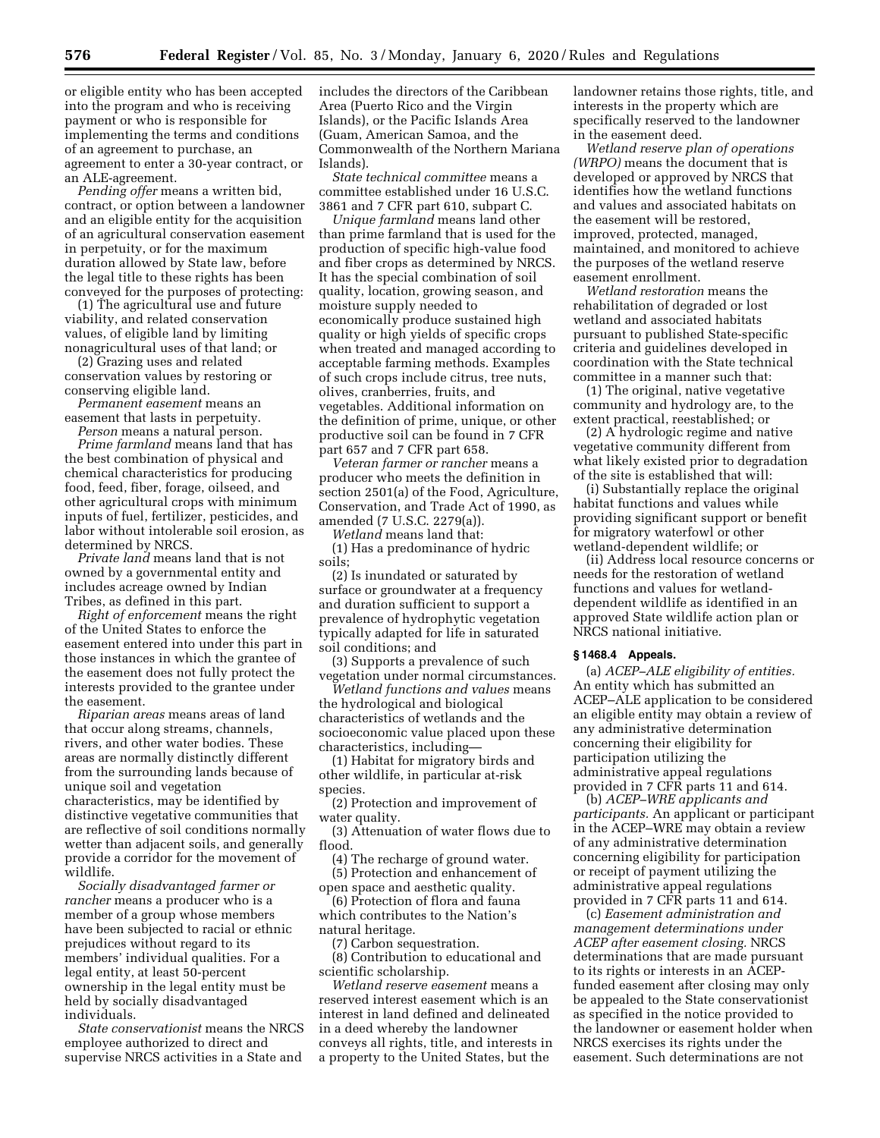or eligible entity who has been accepted into the program and who is receiving payment or who is responsible for implementing the terms and conditions of an agreement to purchase, an agreement to enter a 30-year contract, or an ALE-agreement.

*Pending offer* means a written bid, contract, or option between a landowner and an eligible entity for the acquisition of an agricultural conservation easement in perpetuity, or for the maximum duration allowed by State law, before the legal title to these rights has been conveyed for the purposes of protecting:

(1) The agricultural use and future viability, and related conservation values, of eligible land by limiting nonagricultural uses of that land; or

(2) Grazing uses and related conservation values by restoring or conserving eligible land.

*Permanent easement* means an easement that lasts in perpetuity.

*Person* means a natural person. *Prime farmland* means land that has the best combination of physical and chemical characteristics for producing food, feed, fiber, forage, oilseed, and other agricultural crops with minimum inputs of fuel, fertilizer, pesticides, and labor without intolerable soil erosion, as determined by NRCS.

*Private land* means land that is not owned by a governmental entity and includes acreage owned by Indian Tribes, as defined in this part.

*Right of enforcement* means the right of the United States to enforce the easement entered into under this part in those instances in which the grantee of the easement does not fully protect the interests provided to the grantee under the easement.

*Riparian areas* means areas of land that occur along streams, channels, rivers, and other water bodies. These areas are normally distinctly different from the surrounding lands because of unique soil and vegetation characteristics, may be identified by distinctive vegetative communities that are reflective of soil conditions normally wetter than adjacent soils, and generally provide a corridor for the movement of wildlife.

*Socially disadvantaged farmer or rancher* means a producer who is a member of a group whose members have been subjected to racial or ethnic prejudices without regard to its members' individual qualities. For a legal entity, at least 50-percent ownership in the legal entity must be held by socially disadvantaged individuals.

*State conservationist* means the NRCS employee authorized to direct and supervise NRCS activities in a State and

includes the directors of the Caribbean Area (Puerto Rico and the Virgin Islands), or the Pacific Islands Area (Guam, American Samoa, and the Commonwealth of the Northern Mariana Islands).

*State technical committee* means a committee established under 16 U.S.C. 3861 and 7 CFR part 610, subpart C.

*Unique farmland* means land other than prime farmland that is used for the production of specific high-value food and fiber crops as determined by NRCS. It has the special combination of soil quality, location, growing season, and moisture supply needed to economically produce sustained high quality or high yields of specific crops when treated and managed according to acceptable farming methods. Examples of such crops include citrus, tree nuts, olives, cranberries, fruits, and vegetables. Additional information on the definition of prime, unique, or other productive soil can be found in 7 CFR part 657 and 7 CFR part 658.

*Veteran farmer or rancher* means a producer who meets the definition in section 2501(a) of the Food, Agriculture, Conservation, and Trade Act of 1990, as amended (7 U.S.C. 2279(a)).

*Wetland* means land that:

(1) Has a predominance of hydric soils;

(2) Is inundated or saturated by surface or groundwater at a frequency and duration sufficient to support a prevalence of hydrophytic vegetation typically adapted for life in saturated soil conditions; and

(3) Supports a prevalence of such vegetation under normal circumstances.

*Wetland functions and values* means the hydrological and biological characteristics of wetlands and the socioeconomic value placed upon these characteristics, including—

(1) Habitat for migratory birds and other wildlife, in particular at-risk species.

(2) Protection and improvement of water quality.

(3) Attenuation of water flows due to flood.

(4) The recharge of ground water. (5) Protection and enhancement of open space and aesthetic quality.

(6) Protection of flora and fauna which contributes to the Nation's natural heritage.

(7) Carbon sequestration.

(8) Contribution to educational and scientific scholarship.

*Wetland reserve easement* means a reserved interest easement which is an interest in land defined and delineated in a deed whereby the landowner conveys all rights, title, and interests in a property to the United States, but the

landowner retains those rights, title, and interests in the property which are specifically reserved to the landowner in the easement deed.

*Wetland reserve plan of operations (WRPO)* means the document that is developed or approved by NRCS that identifies how the wetland functions and values and associated habitats on the easement will be restored, improved, protected, managed, maintained, and monitored to achieve the purposes of the wetland reserve easement enrollment.

*Wetland restoration* means the rehabilitation of degraded or lost wetland and associated habitats pursuant to published State-specific criteria and guidelines developed in coordination with the State technical committee in a manner such that:

(1) The original, native vegetative community and hydrology are, to the extent practical, reestablished; or

(2) A hydrologic regime and native vegetative community different from what likely existed prior to degradation of the site is established that will:

(i) Substantially replace the original habitat functions and values while providing significant support or benefit for migratory waterfowl or other wetland-dependent wildlife; or

(ii) Address local resource concerns or needs for the restoration of wetland functions and values for wetlanddependent wildlife as identified in an approved State wildlife action plan or NRCS national initiative.

#### **§ 1468.4 Appeals.**

(a) *ACEP–ALE eligibility of entities.*  An entity which has submitted an ACEP–ALE application to be considered an eligible entity may obtain a review of any administrative determination concerning their eligibility for participation utilizing the administrative appeal regulations provided in 7 CFR parts 11 and 614.

(b) *ACEP–WRE applicants and participants.* An applicant or participant in the ACEP–WRE may obtain a review of any administrative determination concerning eligibility for participation or receipt of payment utilizing the administrative appeal regulations provided in 7 CFR parts 11 and 614.

(c) *Easement administration and management determinations under ACEP after easement closing.* NRCS determinations that are made pursuant to its rights or interests in an ACEPfunded easement after closing may only be appealed to the State conservationist as specified in the notice provided to the landowner or easement holder when NRCS exercises its rights under the easement. Such determinations are not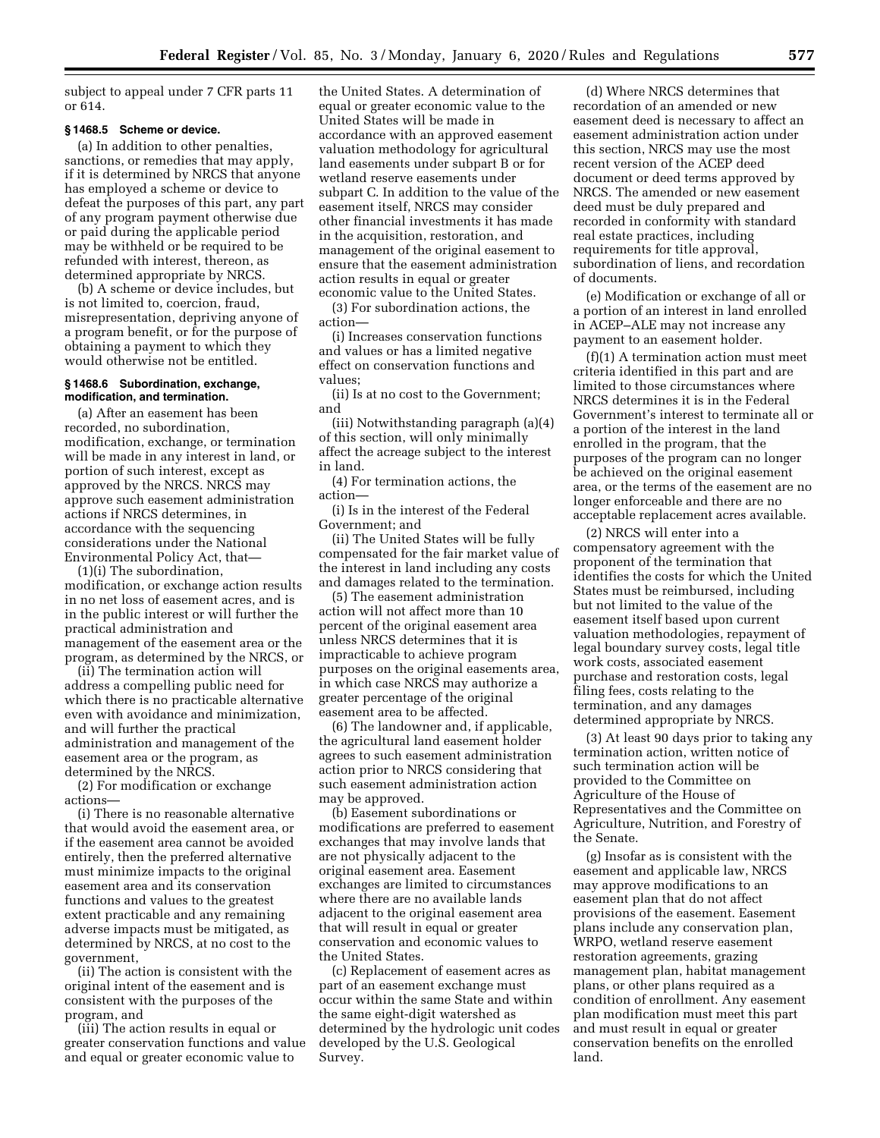subject to appeal under 7 CFR parts 11 or 614.

### **§ 1468.5 Scheme or device.**

(a) In addition to other penalties, sanctions, or remedies that may apply, if it is determined by NRCS that anyone has employed a scheme or device to defeat the purposes of this part, any part of any program payment otherwise due or paid during the applicable period may be withheld or be required to be refunded with interest, thereon, as determined appropriate by NRCS.

(b) A scheme or device includes, but is not limited to, coercion, fraud, misrepresentation, depriving anyone of a program benefit, or for the purpose of obtaining a payment to which they would otherwise not be entitled.

#### **§ 1468.6 Subordination, exchange, modification, and termination.**

(a) After an easement has been recorded, no subordination, modification, exchange, or termination will be made in any interest in land, or portion of such interest, except as approved by the NRCS. NRCS may approve such easement administration actions if NRCS determines, in accordance with the sequencing considerations under the National Environmental Policy Act, that—

(1)(i) The subordination, modification, or exchange action results in no net loss of easement acres, and is in the public interest or will further the practical administration and management of the easement area or the program, as determined by the NRCS, or

(ii) The termination action will address a compelling public need for which there is no practicable alternative even with avoidance and minimization, and will further the practical administration and management of the easement area or the program, as determined by the NRCS.

(2) For modification or exchange actions—

(i) There is no reasonable alternative that would avoid the easement area, or if the easement area cannot be avoided entirely, then the preferred alternative must minimize impacts to the original easement area and its conservation functions and values to the greatest extent practicable and any remaining adverse impacts must be mitigated, as determined by NRCS, at no cost to the government,

(ii) The action is consistent with the original intent of the easement and is consistent with the purposes of the program, and

(iii) The action results in equal or greater conservation functions and value and equal or greater economic value to

the United States. A determination of equal or greater economic value to the United States will be made in accordance with an approved easement valuation methodology for agricultural land easements under subpart B or for wetland reserve easements under subpart C. In addition to the value of the easement itself, NRCS may consider other financial investments it has made in the acquisition, restoration, and management of the original easement to ensure that the easement administration action results in equal or greater economic value to the United States.

(3) For subordination actions, the action—

(i) Increases conservation functions and values or has a limited negative effect on conservation functions and values;

(ii) Is at no cost to the Government; and

(iii) Notwithstanding paragraph (a)(4) of this section, will only minimally affect the acreage subject to the interest in land.

(4) For termination actions, the action—

(i) Is in the interest of the Federal Government; and

(ii) The United States will be fully compensated for the fair market value of the interest in land including any costs and damages related to the termination.

(5) The easement administration action will not affect more than 10 percent of the original easement area unless NRCS determines that it is impracticable to achieve program purposes on the original easements area, in which case NRCS may authorize a greater percentage of the original easement area to be affected.

(6) The landowner and, if applicable, the agricultural land easement holder agrees to such easement administration action prior to NRCS considering that such easement administration action may be approved.

(b) Easement subordinations or modifications are preferred to easement exchanges that may involve lands that are not physically adjacent to the original easement area. Easement exchanges are limited to circumstances where there are no available lands adjacent to the original easement area that will result in equal or greater conservation and economic values to the United States.

(c) Replacement of easement acres as part of an easement exchange must occur within the same State and within the same eight-digit watershed as determined by the hydrologic unit codes developed by the U.S. Geological Survey.

(d) Where NRCS determines that recordation of an amended or new easement deed is necessary to affect an easement administration action under this section, NRCS may use the most recent version of the ACEP deed document or deed terms approved by NRCS. The amended or new easement deed must be duly prepared and recorded in conformity with standard real estate practices, including requirements for title approval, subordination of liens, and recordation of documents.

(e) Modification or exchange of all or a portion of an interest in land enrolled in ACEP–ALE may not increase any payment to an easement holder.

(f)(1) A termination action must meet criteria identified in this part and are limited to those circumstances where NRCS determines it is in the Federal Government's interest to terminate all or a portion of the interest in the land enrolled in the program, that the purposes of the program can no longer be achieved on the original easement area, or the terms of the easement are no longer enforceable and there are no acceptable replacement acres available.

(2) NRCS will enter into a compensatory agreement with the proponent of the termination that identifies the costs for which the United States must be reimbursed, including but not limited to the value of the easement itself based upon current valuation methodologies, repayment of legal boundary survey costs, legal title work costs, associated easement purchase and restoration costs, legal filing fees, costs relating to the termination, and any damages determined appropriate by NRCS.

(3) At least 90 days prior to taking any termination action, written notice of such termination action will be provided to the Committee on Agriculture of the House of Representatives and the Committee on Agriculture, Nutrition, and Forestry of the Senate.

(g) Insofar as is consistent with the easement and applicable law, NRCS may approve modifications to an easement plan that do not affect provisions of the easement. Easement plans include any conservation plan, WRPO, wetland reserve easement restoration agreements, grazing management plan, habitat management plans, or other plans required as a condition of enrollment. Any easement plan modification must meet this part and must result in equal or greater conservation benefits on the enrolled land.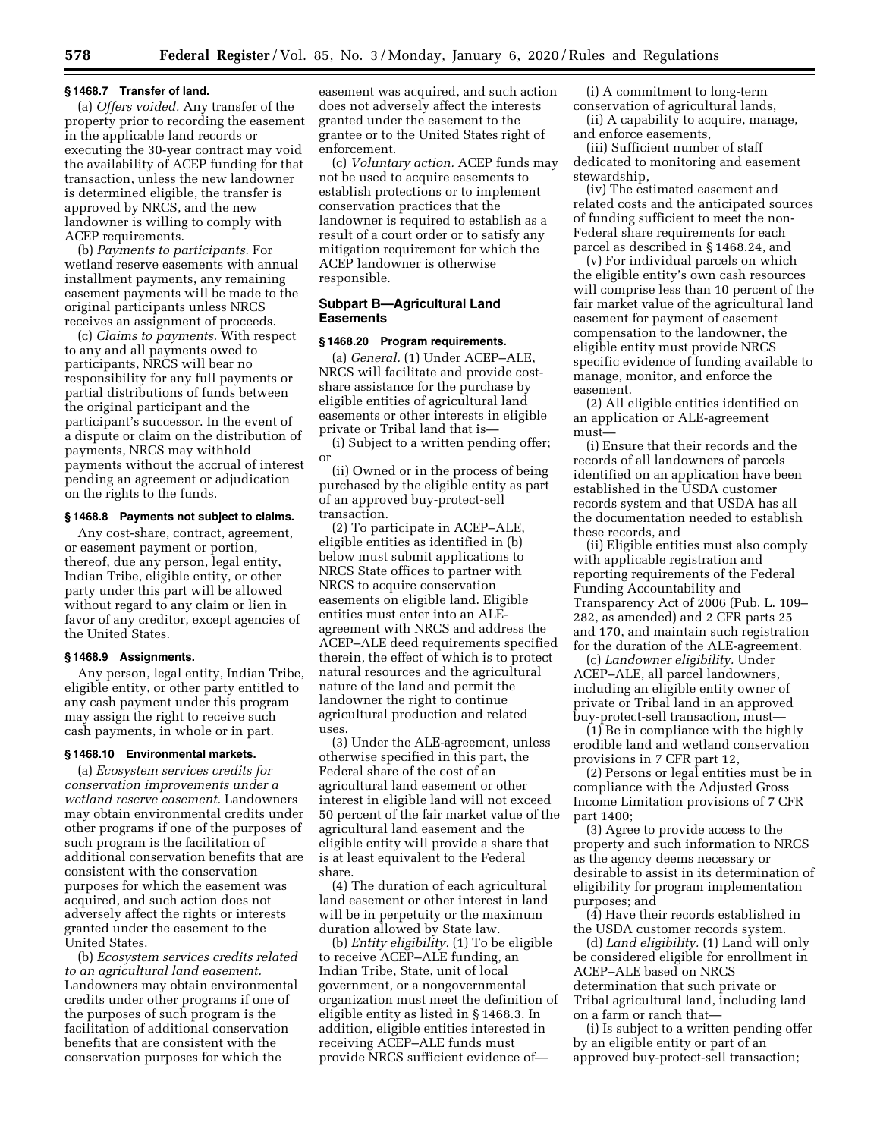#### **§ 1468.7 Transfer of land.**

(a) *Offers voided.* Any transfer of the property prior to recording the easement in the applicable land records or executing the 30-year contract may void the availability of ACEP funding for that transaction, unless the new landowner is determined eligible, the transfer is approved by NRCS, and the new landowner is willing to comply with ACEP requirements.

(b) *Payments to participants.* For wetland reserve easements with annual installment payments, any remaining easement payments will be made to the original participants unless NRCS receives an assignment of proceeds.

(c) *Claims to payments.* With respect to any and all payments owed to participants, NRCS will bear no responsibility for any full payments or partial distributions of funds between the original participant and the participant's successor. In the event of a dispute or claim on the distribution of payments, NRCS may withhold payments without the accrual of interest pending an agreement or adjudication on the rights to the funds.

#### **§ 1468.8 Payments not subject to claims.**

Any cost-share, contract, agreement, or easement payment or portion, thereof, due any person, legal entity, Indian Tribe, eligible entity, or other party under this part will be allowed without regard to any claim or lien in favor of any creditor, except agencies of the United States.

#### **§ 1468.9 Assignments.**

Any person, legal entity, Indian Tribe, eligible entity, or other party entitled to any cash payment under this program may assign the right to receive such cash payments, in whole or in part.

#### **§ 1468.10 Environmental markets.**

(a) *Ecosystem services credits for conservation improvements under a wetland reserve easement.* Landowners may obtain environmental credits under other programs if one of the purposes of such program is the facilitation of additional conservation benefits that are consistent with the conservation purposes for which the easement was acquired, and such action does not adversely affect the rights or interests granted under the easement to the United States.

(b) *Ecosystem services credits related to an agricultural land easement.*  Landowners may obtain environmental credits under other programs if one of the purposes of such program is the facilitation of additional conservation benefits that are consistent with the conservation purposes for which the

easement was acquired, and such action does not adversely affect the interests granted under the easement to the grantee or to the United States right of enforcement.

(c) *Voluntary action.* ACEP funds may not be used to acquire easements to establish protections or to implement conservation practices that the landowner is required to establish as a result of a court order or to satisfy any mitigation requirement for which the ACEP landowner is otherwise responsible.

### **Subpart B—Agricultural Land Easements**

## **§ 1468.20 Program requirements.**

(a) *General.* (1) Under ACEP–ALE, NRCS will facilitate and provide costshare assistance for the purchase by eligible entities of agricultural land easements or other interests in eligible private or Tribal land that is—

(i) Subject to a written pending offer; or

(ii) Owned or in the process of being purchased by the eligible entity as part of an approved buy-protect-sell transaction.

(2) To participate in ACEP–ALE, eligible entities as identified in (b) below must submit applications to NRCS State offices to partner with NRCS to acquire conservation easements on eligible land. Eligible entities must enter into an ALEagreement with NRCS and address the ACEP–ALE deed requirements specified therein, the effect of which is to protect natural resources and the agricultural nature of the land and permit the landowner the right to continue agricultural production and related uses

(3) Under the ALE-agreement, unless otherwise specified in this part, the Federal share of the cost of an agricultural land easement or other interest in eligible land will not exceed 50 percent of the fair market value of the agricultural land easement and the eligible entity will provide a share that is at least equivalent to the Federal share.

(4) The duration of each agricultural land easement or other interest in land will be in perpetuity or the maximum duration allowed by State law.

(b) *Entity eligibility.* (1) To be eligible to receive ACEP–ALE funding, an Indian Tribe, State, unit of local government, or a nongovernmental organization must meet the definition of eligible entity as listed in § 1468.3. In addition, eligible entities interested in receiving ACEP–ALE funds must provide NRCS sufficient evidence of—

(i) A commitment to long-term conservation of agricultural lands,

(ii) A capability to acquire, manage, and enforce easements,

(iii) Sufficient number of staff dedicated to monitoring and easement stewardship,

(iv) The estimated easement and related costs and the anticipated sources of funding sufficient to meet the non-Federal share requirements for each parcel as described in § 1468.24, and

(v) For individual parcels on which the eligible entity's own cash resources will comprise less than 10 percent of the fair market value of the agricultural land easement for payment of easement compensation to the landowner, the eligible entity must provide NRCS specific evidence of funding available to manage, monitor, and enforce the easement.

(2) All eligible entities identified on an application or ALE-agreement must—

(i) Ensure that their records and the records of all landowners of parcels identified on an application have been established in the USDA customer records system and that USDA has all the documentation needed to establish these records, and

(ii) Eligible entities must also comply with applicable registration and reporting requirements of the Federal Funding Accountability and Transparency Act of 2006 (Pub. L. 109– 282, as amended) and 2 CFR parts 25 and 170, and maintain such registration for the duration of the ALE-agreement.

(c) *Landowner eligibility.* Under ACEP–ALE, all parcel landowners, including an eligible entity owner of private or Tribal land in an approved buy-protect-sell transaction, must—

(1) Be in compliance with the highly erodible land and wetland conservation provisions in 7 CFR part 12,

(2) Persons or legal entities must be in compliance with the Adjusted Gross Income Limitation provisions of 7 CFR part 1400;

(3) Agree to provide access to the property and such information to NRCS as the agency deems necessary or desirable to assist in its determination of eligibility for program implementation purposes; and

(4) Have their records established in the USDA customer records system.

(d) *Land eligibility.* (1) Land will only be considered eligible for enrollment in ACEP–ALE based on NRCS determination that such private or Tribal agricultural land, including land on a farm or ranch that—

(i) Is subject to a written pending offer by an eligible entity or part of an approved buy-protect-sell transaction;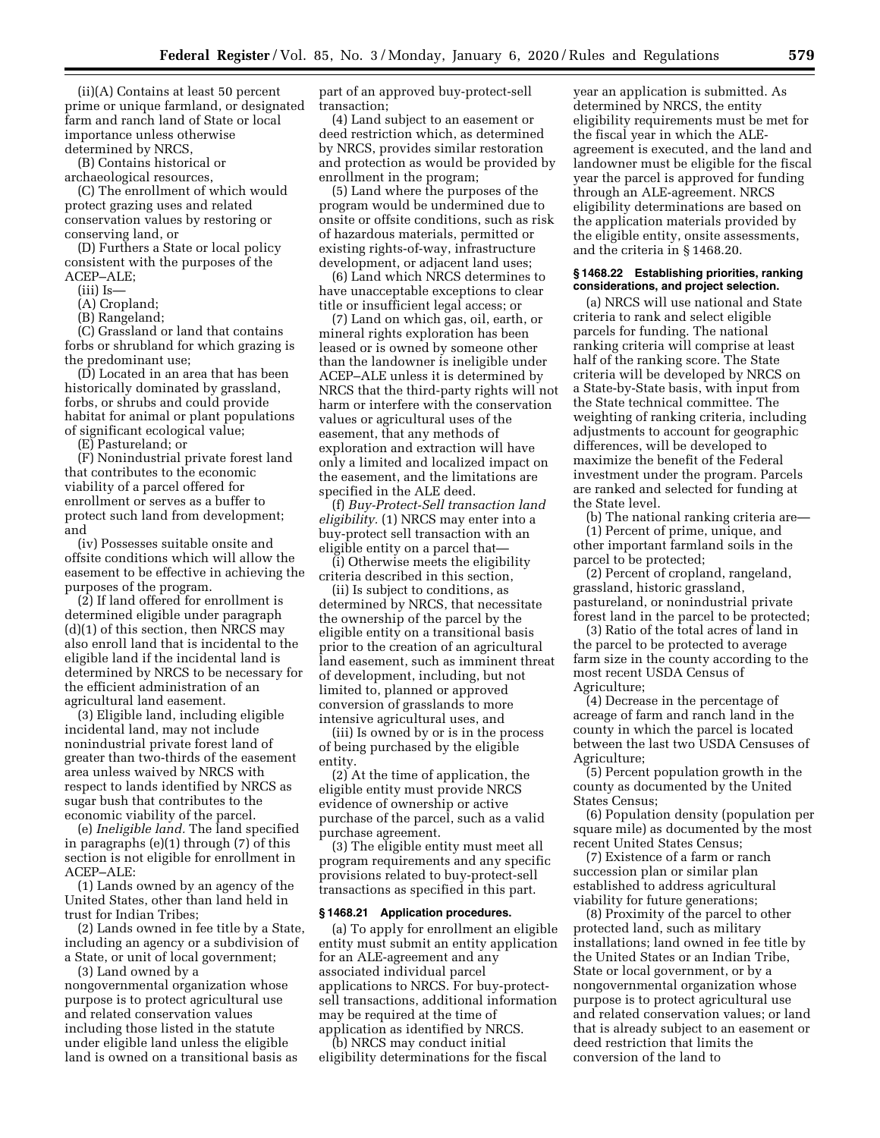(ii)(A) Contains at least 50 percent prime or unique farmland, or designated farm and ranch land of State or local importance unless otherwise determined by NRCS,

(B) Contains historical or

archaeological resources, (C) The enrollment of which would

protect grazing uses and related conservation values by restoring or conserving land, or

(D) Furthers a State or local policy consistent with the purposes of the ACEP–ALE;

(iii) Is—

- (A) Cropland;
- (B) Rangeland;

(C) Grassland or land that contains forbs or shrubland for which grazing is the predominant use;

(D) Located in an area that has been historically dominated by grassland, forbs, or shrubs and could provide habitat for animal or plant populations of significant ecological value;

(E) Pastureland; or

(F) Nonindustrial private forest land that contributes to the economic viability of a parcel offered for enrollment or serves as a buffer to protect such land from development; and

(iv) Possesses suitable onsite and offsite conditions which will allow the easement to be effective in achieving the purposes of the program.

(2) If land offered for enrollment is determined eligible under paragraph (d)(1) of this section, then NRCS may also enroll land that is incidental to the eligible land if the incidental land is determined by NRCS to be necessary for the efficient administration of an agricultural land easement.

(3) Eligible land, including eligible incidental land, may not include nonindustrial private forest land of greater than two-thirds of the easement area unless waived by NRCS with respect to lands identified by NRCS as sugar bush that contributes to the economic viability of the parcel.

(e) *Ineligible land.* The land specified in paragraphs (e)(1) through (7) of this section is not eligible for enrollment in ACEP–ALE:

(1) Lands owned by an agency of the United States, other than land held in trust for Indian Tribes;

(2) Lands owned in fee title by a State, including an agency or a subdivision of a State, or unit of local government;

(3) Land owned by a

nongovernmental organization whose purpose is to protect agricultural use and related conservation values including those listed in the statute under eligible land unless the eligible land is owned on a transitional basis as part of an approved buy-protect-sell transaction;

(4) Land subject to an easement or deed restriction which, as determined by NRCS, provides similar restoration and protection as would be provided by enrollment in the program;

(5) Land where the purposes of the program would be undermined due to onsite or offsite conditions, such as risk of hazardous materials, permitted or existing rights-of-way, infrastructure development, or adjacent land uses;

(6) Land which NRCS determines to have unacceptable exceptions to clear title or insufficient legal access; or

(7) Land on which gas, oil, earth, or mineral rights exploration has been leased or is owned by someone other than the landowner is ineligible under ACEP–ALE unless it is determined by NRCS that the third-party rights will not harm or interfere with the conservation values or agricultural uses of the easement, that any methods of exploration and extraction will have only a limited and localized impact on the easement, and the limitations are specified in the ALE deed.

(f) *Buy-Protect-Sell transaction land eligibility.* (1) NRCS may enter into a buy-protect sell transaction with an eligible entity on a parcel that—

(i) Otherwise meets the eligibility criteria described in this section,

(ii) Is subject to conditions, as determined by NRCS, that necessitate the ownership of the parcel by the eligible entity on a transitional basis prior to the creation of an agricultural land easement, such as imminent threat of development, including, but not limited to, planned or approved conversion of grasslands to more intensive agricultural uses, and

(iii) Is owned by or is in the process of being purchased by the eligible entity.

(2) At the time of application, the eligible entity must provide NRCS evidence of ownership or active purchase of the parcel, such as a valid purchase agreement.

(3) The eligible entity must meet all program requirements and any specific provisions related to buy-protect-sell transactions as specified in this part.

#### **§ 1468.21 Application procedures.**

(a) To apply for enrollment an eligible entity must submit an entity application for an ALE-agreement and any associated individual parcel applications to NRCS. For buy-protectsell transactions, additional information may be required at the time of application as identified by NRCS.

(b) NRCS may conduct initial eligibility determinations for the fiscal

year an application is submitted. As determined by NRCS, the entity eligibility requirements must be met for the fiscal year in which the ALEagreement is executed, and the land and landowner must be eligible for the fiscal year the parcel is approved for funding through an ALE-agreement. NRCS eligibility determinations are based on the application materials provided by the eligible entity, onsite assessments, and the criteria in § 1468.20.

### **§ 1468.22 Establishing priorities, ranking considerations, and project selection.**

(a) NRCS will use national and State criteria to rank and select eligible parcels for funding. The national ranking criteria will comprise at least half of the ranking score. The State criteria will be developed by NRCS on a State-by-State basis, with input from the State technical committee. The weighting of ranking criteria, including adjustments to account for geographic differences, will be developed to maximize the benefit of the Federal investment under the program. Parcels are ranked and selected for funding at the State level.

(b) The national ranking criteria are—

(1) Percent of prime, unique, and other important farmland soils in the parcel to be protected;

(2) Percent of cropland, rangeland, grassland, historic grassland, pastureland, or nonindustrial private forest land in the parcel to be protected;

(3) Ratio of the total acres of land in the parcel to be protected to average farm size in the county according to the most recent USDA Census of Agriculture;

(4) Decrease in the percentage of acreage of farm and ranch land in the county in which the parcel is located between the last two USDA Censuses of Agriculture;

(5) Percent population growth in the county as documented by the United States Census;

(6) Population density (population per square mile) as documented by the most recent United States Census;

(7) Existence of a farm or ranch succession plan or similar plan established to address agricultural viability for future generations;

(8) Proximity of the parcel to other protected land, such as military installations; land owned in fee title by the United States or an Indian Tribe, State or local government, or by a nongovernmental organization whose purpose is to protect agricultural use and related conservation values; or land that is already subject to an easement or deed restriction that limits the conversion of the land to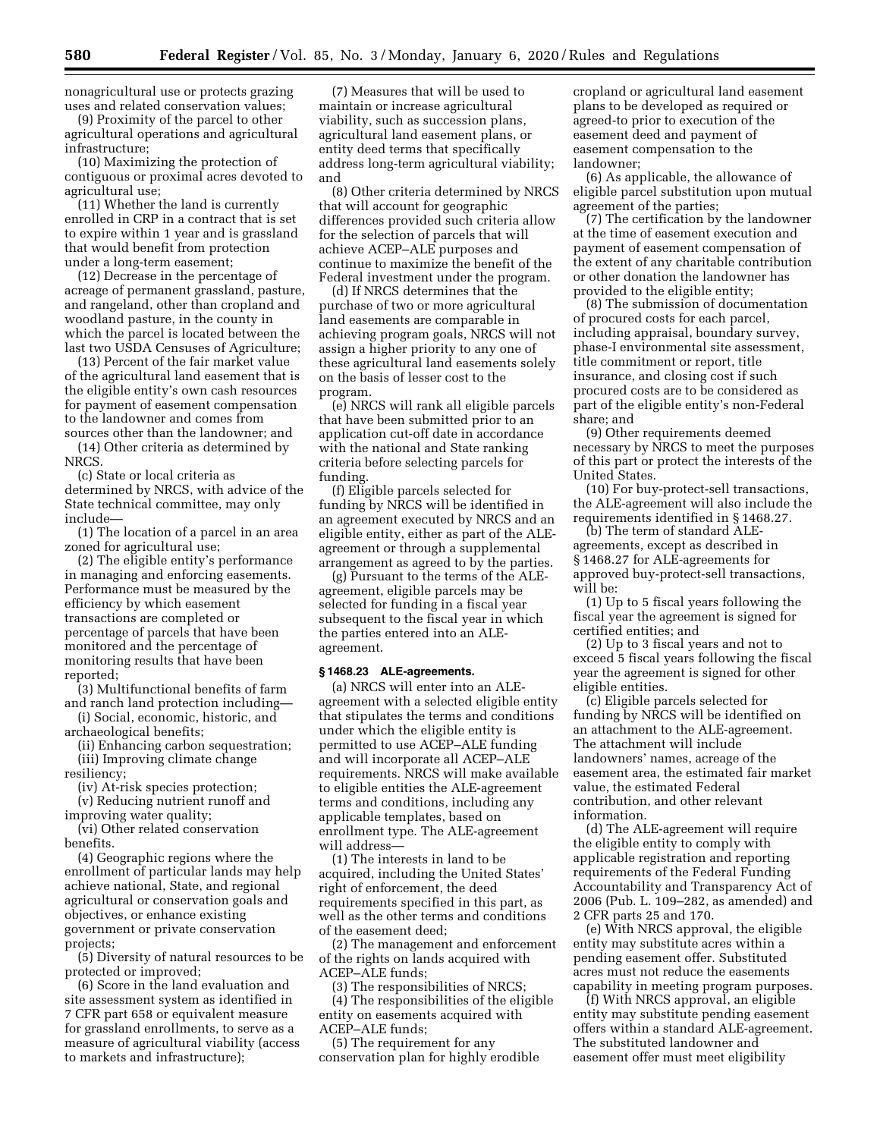nonagricultural use or protects grazing uses and related conservation values;

(9) Proximity of the parcel to other agricultural operations and agricultural infrastructure;

(10) Maximizing the protection of contiguous or proximal acres devoted to agricultural use;

(11) Whether the land is currently enrolled in CRP in a contract that is set to expire within 1 year and is grassland that would benefit from protection under a long-term easement;

(12) Decrease in the percentage of acreage of permanent grassland, pasture, and rangeland, other than cropland and woodland pasture, in the county in which the parcel is located between the last two USDA Censuses of Agriculture;

(13) Percent of the fair market value of the agricultural land easement that is the eligible entity's own cash resources for payment of easement compensation to the landowner and comes from sources other than the landowner; and

(14) Other criteria as determined by NRCS.

(c) State or local criteria as determined by NRCS, with advice of the State technical committee, may only include—

(1) The location of a parcel in an area zoned for agricultural use;

(2) The eligible entity's performance in managing and enforcing easements. Performance must be measured by the efficiency by which easement transactions are completed or percentage of parcels that have been monitored and the percentage of monitoring results that have been reported;

(3) Multifunctional benefits of farm and ranch land protection including—

(i) Social, economic, historic, and archaeological benefits;

(ii) Enhancing carbon sequestration; (iii) Improving climate change resiliency;

(iv) At-risk species protection;

(v) Reducing nutrient runoff and improving water quality;

(vi) Other related conservation benefits.

(4) Geographic regions where the enrollment of particular lands may help achieve national, State, and regional agricultural or conservation goals and objectives, or enhance existing government or private conservation projects;

(5) Diversity of natural resources to be protected or improved;

(6) Score in the land evaluation and site assessment system as identified in 7 CFR part 658 or equivalent measure for grassland enrollments, to serve as a measure of agricultural viability (access to markets and infrastructure);

(7) Measures that will be used to maintain or increase agricultural viability, such as succession plans, agricultural land easement plans, or entity deed terms that specifically address long-term agricultural viability; and

(8) Other criteria determined by NRCS that will account for geographic differences provided such criteria allow for the selection of parcels that will achieve ACEP–ALE purposes and continue to maximize the benefit of the Federal investment under the program.

(d) If NRCS determines that the purchase of two or more agricultural land easements are comparable in achieving program goals, NRCS will not assign a higher priority to any one of these agricultural land easements solely on the basis of lesser cost to the program.

(e) NRCS will rank all eligible parcels that have been submitted prior to an application cut-off date in accordance with the national and State ranking criteria before selecting parcels for funding.

(f) Eligible parcels selected for funding by NRCS will be identified in an agreement executed by NRCS and an eligible entity, either as part of the ALEagreement or through a supplemental arrangement as agreed to by the parties.

(g) Pursuant to the terms of the ALEagreement, eligible parcels may be selected for funding in a fiscal year subsequent to the fiscal year in which the parties entered into an ALEagreement.

#### **§ 1468.23 ALE-agreements.**

(a) NRCS will enter into an ALEagreement with a selected eligible entity that stipulates the terms and conditions under which the eligible entity is permitted to use ACEP–ALE funding and will incorporate all ACEP–ALE requirements. NRCS will make available to eligible entities the ALE-agreement terms and conditions, including any applicable templates, based on enrollment type. The ALE-agreement will address—

(1) The interests in land to be acquired, including the United States' right of enforcement, the deed requirements specified in this part, as well as the other terms and conditions of the easement deed;

(2) The management and enforcement of the rights on lands acquired with ACEP–ALE funds;

(3) The responsibilities of NRCS;

(4) The responsibilities of the eligible entity on easements acquired with ACEP–ALE funds;

(5) The requirement for any conservation plan for highly erodible cropland or agricultural land easement plans to be developed as required or agreed-to prior to execution of the easement deed and payment of easement compensation to the landowner;

(6) As applicable, the allowance of eligible parcel substitution upon mutual agreement of the parties;

(7) The certification by the landowner at the time of easement execution and payment of easement compensation of the extent of any charitable contribution or other donation the landowner has provided to the eligible entity;

(8) The submission of documentation of procured costs for each parcel, including appraisal, boundary survey, phase-I environmental site assessment, title commitment or report, title insurance, and closing cost if such procured costs are to be considered as part of the eligible entity's non-Federal share; and

(9) Other requirements deemed necessary by NRCS to meet the purposes of this part or protect the interests of the United States.

(10) For buy-protect-sell transactions, the ALE-agreement will also include the requirements identified in § 1468.27.

(b) The term of standard ALEagreements, except as described in § 1468.27 for ALE-agreements for approved buy-protect-sell transactions, will be:

(1) Up to 5 fiscal years following the fiscal year the agreement is signed for certified entities; and

(2) Up to 3 fiscal years and not to exceed 5 fiscal years following the fiscal year the agreement is signed for other eligible entities.

(c) Eligible parcels selected for funding by NRCS will be identified on an attachment to the ALE-agreement. The attachment will include landowners' names, acreage of the easement area, the estimated fair market value, the estimated Federal contribution, and other relevant information.

(d) The ALE-agreement will require the eligible entity to comply with applicable registration and reporting requirements of the Federal Funding Accountability and Transparency Act of 2006 (Pub. L. 109–282, as amended) and 2 CFR parts 25 and 170.

(e) With NRCS approval, the eligible entity may substitute acres within a pending easement offer. Substituted acres must not reduce the easements capability in meeting program purposes.

(f) With NRCS approval, an eligible entity may substitute pending easement offers within a standard ALE-agreement. The substituted landowner and easement offer must meet eligibility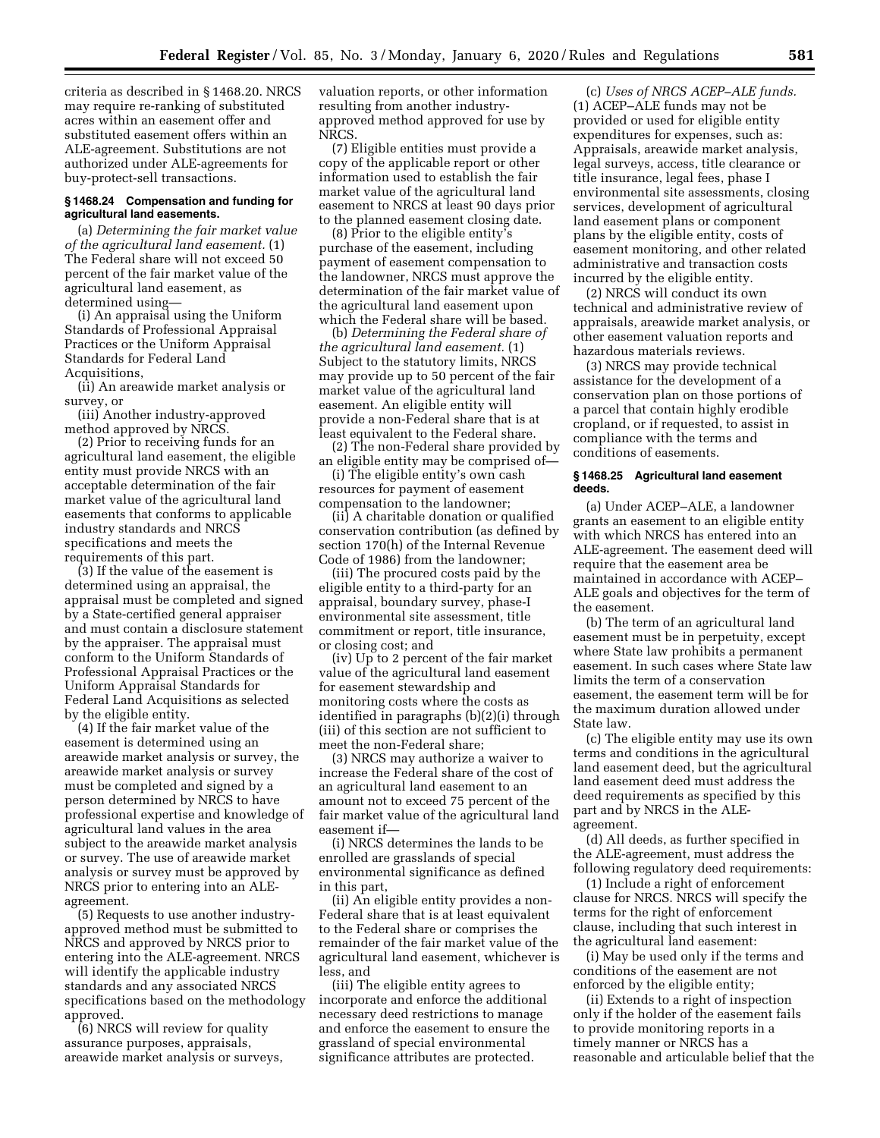criteria as described in § 1468.20. NRCS may require re-ranking of substituted acres within an easement offer and substituted easement offers within an ALE-agreement. Substitutions are not authorized under ALE-agreements for buy-protect-sell transactions.

## **§ 1468.24 Compensation and funding for agricultural land easements.**

(a) *Determining the fair market value of the agricultural land easement.* (1) The Federal share will not exceed 50 percent of the fair market value of the agricultural land easement, as determined using—

(i) An appraisal using the Uniform Standards of Professional Appraisal Practices or the Uniform Appraisal Standards for Federal Land Acquisitions,

(ii) An areawide market analysis or survey, or

(iii) Another industry-approved method approved by NRCS.

(2) Prior to receiving funds for an agricultural land easement, the eligible entity must provide NRCS with an acceptable determination of the fair market value of the agricultural land easements that conforms to applicable industry standards and NRCS specifications and meets the requirements of this part.

(3) If the value of the easement is determined using an appraisal, the appraisal must be completed and signed by a State-certified general appraiser and must contain a disclosure statement by the appraiser. The appraisal must conform to the Uniform Standards of Professional Appraisal Practices or the Uniform Appraisal Standards for Federal Land Acquisitions as selected by the eligible entity.

(4) If the fair market value of the easement is determined using an areawide market analysis or survey, the areawide market analysis or survey must be completed and signed by a person determined by NRCS to have professional expertise and knowledge of agricultural land values in the area subject to the areawide market analysis or survey. The use of areawide market analysis or survey must be approved by NRCS prior to entering into an ALEagreement.

(5) Requests to use another industryapproved method must be submitted to NRCS and approved by NRCS prior to entering into the ALE-agreement. NRCS will identify the applicable industry standards and any associated NRCS specifications based on the methodology approved.

(6) NRCS will review for quality assurance purposes, appraisals, areawide market analysis or surveys, valuation reports, or other information resulting from another industryapproved method approved for use by NRCS.

(7) Eligible entities must provide a copy of the applicable report or other information used to establish the fair market value of the agricultural land easement to NRCS at least 90 days prior to the planned easement closing date.

(8) Prior to the eligible entity's purchase of the easement, including payment of easement compensation to the landowner, NRCS must approve the determination of the fair market value of the agricultural land easement upon which the Federal share will be based.

(b) *Determining the Federal share of the agricultural land easement.* (1) Subject to the statutory limits, NRCS may provide up to 50 percent of the fair market value of the agricultural land easement. An eligible entity will provide a non-Federal share that is at least equivalent to the Federal share.

(2) The non-Federal share provided by an eligible entity may be comprised of—

(i) The eligible entity's own cash resources for payment of easement compensation to the landowner;

(ii) A charitable donation or qualified conservation contribution (as defined by section 170(h) of the Internal Revenue Code of 1986) from the landowner;

(iii) The procured costs paid by the eligible entity to a third-party for an appraisal, boundary survey, phase-I environmental site assessment, title commitment or report, title insurance, or closing cost; and

(iv) Up to 2 percent of the fair market value of the agricultural land easement for easement stewardship and monitoring costs where the costs as identified in paragraphs (b)(2)(i) through (iii) of this section are not sufficient to meet the non-Federal share;

(3) NRCS may authorize a waiver to increase the Federal share of the cost of an agricultural land easement to an amount not to exceed 75 percent of the fair market value of the agricultural land easement if—

(i) NRCS determines the lands to be enrolled are grasslands of special environmental significance as defined in this part,

(ii) An eligible entity provides a non-Federal share that is at least equivalent to the Federal share or comprises the remainder of the fair market value of the agricultural land easement, whichever is less, and

(iii) The eligible entity agrees to incorporate and enforce the additional necessary deed restrictions to manage and enforce the easement to ensure the grassland of special environmental significance attributes are protected.

(c) *Uses of NRCS ACEP–ALE funds.*  (1) ACEP–ALE funds may not be provided or used for eligible entity expenditures for expenses, such as: Appraisals, areawide market analysis, legal surveys, access, title clearance or title insurance, legal fees, phase I environmental site assessments, closing services, development of agricultural land easement plans or component plans by the eligible entity, costs of easement monitoring, and other related administrative and transaction costs incurred by the eligible entity.

(2) NRCS will conduct its own technical and administrative review of appraisals, areawide market analysis, or other easement valuation reports and hazardous materials reviews.

(3) NRCS may provide technical assistance for the development of a conservation plan on those portions of a parcel that contain highly erodible cropland, or if requested, to assist in compliance with the terms and conditions of easements.

#### **§ 1468.25 Agricultural land easement deeds.**

(a) Under ACEP–ALE, a landowner grants an easement to an eligible entity with which NRCS has entered into an ALE-agreement. The easement deed will require that the easement area be maintained in accordance with ACEP– ALE goals and objectives for the term of the easement.

(b) The term of an agricultural land easement must be in perpetuity, except where State law prohibits a permanent easement. In such cases where State law limits the term of a conservation easement, the easement term will be for the maximum duration allowed under State law.

(c) The eligible entity may use its own terms and conditions in the agricultural land easement deed, but the agricultural land easement deed must address the deed requirements as specified by this part and by NRCS in the ALEagreement.

(d) All deeds, as further specified in the ALE-agreement, must address the following regulatory deed requirements:

(1) Include a right of enforcement clause for NRCS. NRCS will specify the terms for the right of enforcement clause, including that such interest in the agricultural land easement:

(i) May be used only if the terms and conditions of the easement are not enforced by the eligible entity;

(ii) Extends to a right of inspection only if the holder of the easement fails to provide monitoring reports in a timely manner or NRCS has a reasonable and articulable belief that the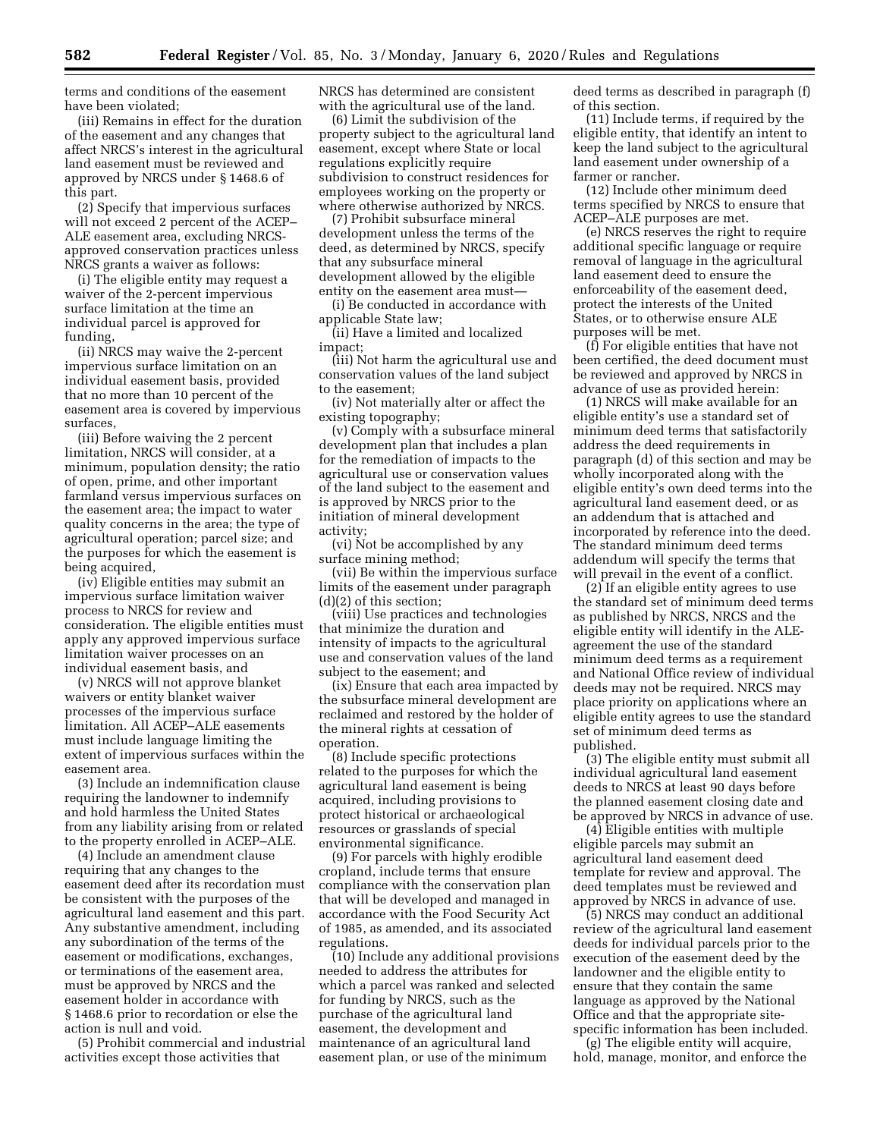terms and conditions of the easement have been violated;

(iii) Remains in effect for the duration of the easement and any changes that affect NRCS's interest in the agricultural land easement must be reviewed and approved by NRCS under § 1468.6 of this part.

(2) Specify that impervious surfaces will not exceed 2 percent of the ACEP– ALE easement area, excluding NRCSapproved conservation practices unless NRCS grants a waiver as follows:

(i) The eligible entity may request a waiver of the 2-percent impervious surface limitation at the time an individual parcel is approved for funding,

(ii) NRCS may waive the 2-percent impervious surface limitation on an individual easement basis, provided that no more than 10 percent of the easement area is covered by impervious surfaces,

(iii) Before waiving the 2 percent limitation, NRCS will consider, at a minimum, population density; the ratio of open, prime, and other important farmland versus impervious surfaces on the easement area; the impact to water quality concerns in the area; the type of agricultural operation; parcel size; and the purposes for which the easement is being acquired,

(iv) Eligible entities may submit an impervious surface limitation waiver process to NRCS for review and consideration. The eligible entities must apply any approved impervious surface limitation waiver processes on an individual easement basis, and

(v) NRCS will not approve blanket waivers or entity blanket waiver processes of the impervious surface limitation. All ACEP–ALE easements must include language limiting the extent of impervious surfaces within the easement area.

(3) Include an indemnification clause requiring the landowner to indemnify and hold harmless the United States from any liability arising from or related to the property enrolled in ACEP–ALE.

(4) Include an amendment clause requiring that any changes to the easement deed after its recordation must be consistent with the purposes of the agricultural land easement and this part. Any substantive amendment, including any subordination of the terms of the easement or modifications, exchanges, or terminations of the easement area, must be approved by NRCS and the easement holder in accordance with § 1468.6 prior to recordation or else the action is null and void.

(5) Prohibit commercial and industrial activities except those activities that

NRCS has determined are consistent with the agricultural use of the land.

(6) Limit the subdivision of the property subject to the agricultural land easement, except where State or local regulations explicitly require subdivision to construct residences for employees working on the property or where otherwise authorized by NRCS.

(7) Prohibit subsurface mineral development unless the terms of the deed, as determined by NRCS, specify that any subsurface mineral development allowed by the eligible entity on the easement area must—

(i) Be conducted in accordance with applicable State law;

(ii) Have a limited and localized impact;

(iii) Not harm the agricultural use and conservation values of the land subject to the easement;

(iv) Not materially alter or affect the existing topography;

(v) Comply with a subsurface mineral development plan that includes a plan for the remediation of impacts to the agricultural use or conservation values of the land subject to the easement and is approved by NRCS prior to the initiation of mineral development activity;

(vi) Not be accomplished by any surface mining method;

(vii) Be within the impervious surface limits of the easement under paragraph (d)(2) of this section;

(viii) Use practices and technologies that minimize the duration and intensity of impacts to the agricultural use and conservation values of the land subject to the easement; and

(ix) Ensure that each area impacted by the subsurface mineral development are reclaimed and restored by the holder of the mineral rights at cessation of operation.

(8) Include specific protections related to the purposes for which the agricultural land easement is being acquired, including provisions to protect historical or archaeological resources or grasslands of special environmental significance.

(9) For parcels with highly erodible cropland, include terms that ensure compliance with the conservation plan that will be developed and managed in accordance with the Food Security Act of 1985, as amended, and its associated regulations.

(10) Include any additional provisions needed to address the attributes for which a parcel was ranked and selected for funding by NRCS, such as the purchase of the agricultural land easement, the development and maintenance of an agricultural land easement plan, or use of the minimum

deed terms as described in paragraph (f) of this section.

(11) Include terms, if required by the eligible entity, that identify an intent to keep the land subject to the agricultural land easement under ownership of a farmer or rancher.

(12) Include other minimum deed terms specified by NRCS to ensure that ACEP–ALE purposes are met.

(e) NRCS reserves the right to require additional specific language or require removal of language in the agricultural land easement deed to ensure the enforceability of the easement deed, protect the interests of the United States, or to otherwise ensure ALE purposes will be met.

(f) For eligible entities that have not been certified, the deed document must be reviewed and approved by NRCS in advance of use as provided herein:

(1) NRCS will make available for an eligible entity's use a standard set of minimum deed terms that satisfactorily address the deed requirements in paragraph (d) of this section and may be wholly incorporated along with the eligible entity's own deed terms into the agricultural land easement deed, or as an addendum that is attached and incorporated by reference into the deed. The standard minimum deed terms addendum will specify the terms that will prevail in the event of a conflict.

(2) If an eligible entity agrees to use the standard set of minimum deed terms as published by NRCS, NRCS and the eligible entity will identify in the ALEagreement the use of the standard minimum deed terms as a requirement and National Office review of individual deeds may not be required. NRCS may place priority on applications where an eligible entity agrees to use the standard set of minimum deed terms as published.

(3) The eligible entity must submit all individual agricultural land easement deeds to NRCS at least 90 days before the planned easement closing date and be approved by NRCS in advance of use.

(4) Eligible entities with multiple eligible parcels may submit an agricultural land easement deed template for review and approval. The deed templates must be reviewed and approved by NRCS in advance of use.

(5) NRCS may conduct an additional review of the agricultural land easement deeds for individual parcels prior to the execution of the easement deed by the landowner and the eligible entity to ensure that they contain the same language as approved by the National Office and that the appropriate sitespecific information has been included.

(g) The eligible entity will acquire, hold, manage, monitor, and enforce the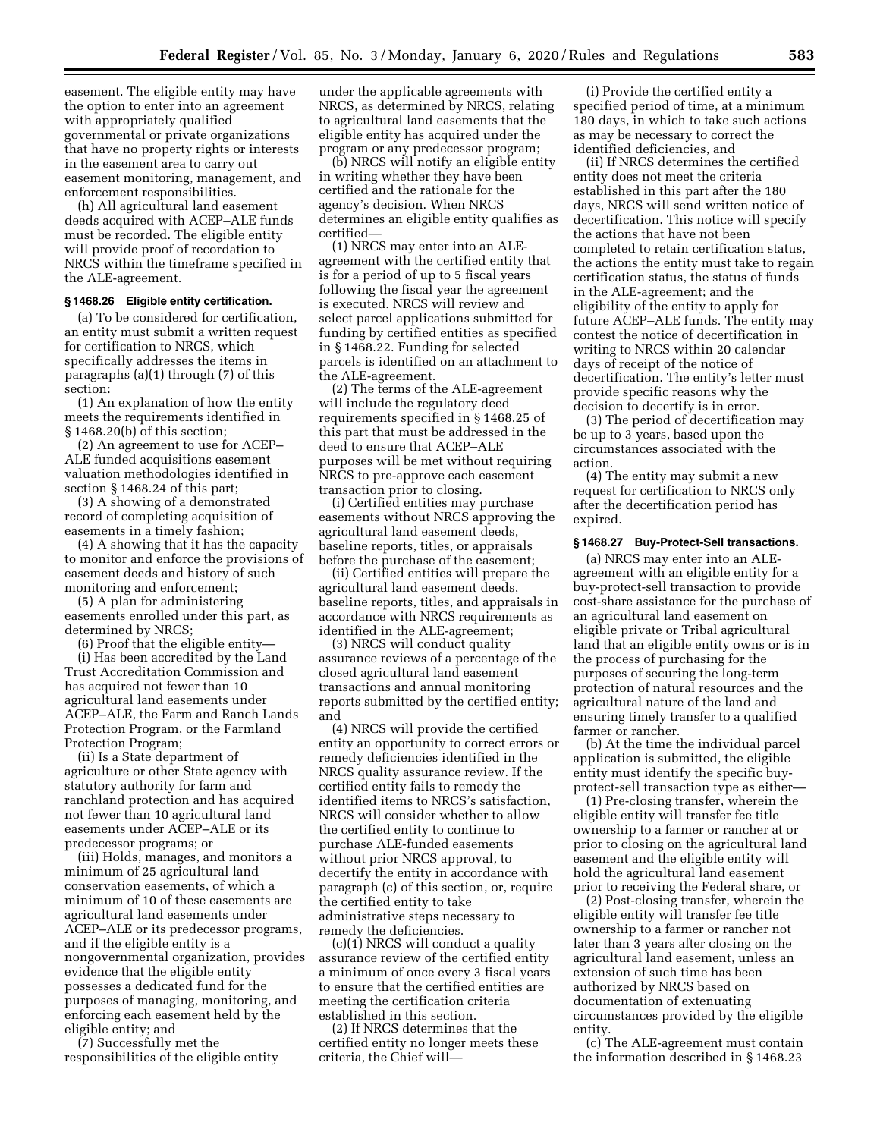easement. The eligible entity may have the option to enter into an agreement with appropriately qualified governmental or private organizations that have no property rights or interests in the easement area to carry out easement monitoring, management, and enforcement responsibilities.

(h) All agricultural land easement deeds acquired with ACEP–ALE funds must be recorded. The eligible entity will provide proof of recordation to NRCS within the timeframe specified in the ALE-agreement.

# **§ 1468.26 Eligible entity certification.**

(a) To be considered for certification, an entity must submit a written request for certification to NRCS, which specifically addresses the items in paragraphs (a)(1) through (7) of this section:

(1) An explanation of how the entity meets the requirements identified in § 1468.20(b) of this section;

(2) An agreement to use for ACEP– ALE funded acquisitions easement valuation methodologies identified in section § 1468.24 of this part;

(3) A showing of a demonstrated record of completing acquisition of easements in a timely fashion;

(4) A showing that it has the capacity to monitor and enforce the provisions of easement deeds and history of such monitoring and enforcement;

(5) A plan for administering easements enrolled under this part, as determined by NRCS;

(6) Proof that the eligible entity—

(i) Has been accredited by the Land Trust Accreditation Commission and has acquired not fewer than 10 agricultural land easements under ACEP–ALE, the Farm and Ranch Lands Protection Program, or the Farmland Protection Program;

(ii) Is a State department of agriculture or other State agency with statutory authority for farm and ranchland protection and has acquired not fewer than 10 agricultural land easements under ACEP–ALE or its predecessor programs; or

(iii) Holds, manages, and monitors a minimum of 25 agricultural land conservation easements, of which a minimum of 10 of these easements are agricultural land easements under ACEP–ALE or its predecessor programs, and if the eligible entity is a nongovernmental organization, provides evidence that the eligible entity possesses a dedicated fund for the purposes of managing, monitoring, and enforcing each easement held by the eligible entity; and

(7) Successfully met the responsibilities of the eligible entity under the applicable agreements with NRCS, as determined by NRCS, relating to agricultural land easements that the eligible entity has acquired under the program or any predecessor program;

(b) NRCS will notify an eligible entity in writing whether they have been certified and the rationale for the agency's decision. When NRCS determines an eligible entity qualifies as certified—

(1) NRCS may enter into an ALEagreement with the certified entity that is for a period of up to 5 fiscal years following the fiscal year the agreement is executed. NRCS will review and select parcel applications submitted for funding by certified entities as specified in § 1468.22. Funding for selected parcels is identified on an attachment to the ALE-agreement.

(2) The terms of the ALE-agreement will include the regulatory deed requirements specified in § 1468.25 of this part that must be addressed in the deed to ensure that ACEP–ALE purposes will be met without requiring NRCS to pre-approve each easement transaction prior to closing.

(i) Certified entities may purchase easements without NRCS approving the agricultural land easement deeds, baseline reports, titles, or appraisals before the purchase of the easement;

(ii) Certified entities will prepare the agricultural land easement deeds, baseline reports, titles, and appraisals in accordance with NRCS requirements as identified in the ALE-agreement;

(3) NRCS will conduct quality assurance reviews of a percentage of the closed agricultural land easement transactions and annual monitoring reports submitted by the certified entity; and

(4) NRCS will provide the certified entity an opportunity to correct errors or remedy deficiencies identified in the NRCS quality assurance review. If the certified entity fails to remedy the identified items to NRCS's satisfaction, NRCS will consider whether to allow the certified entity to continue to purchase ALE-funded easements without prior NRCS approval, to decertify the entity in accordance with paragraph (c) of this section, or, require the certified entity to take administrative steps necessary to remedy the deficiencies.

(c)(1) NRCS will conduct a quality assurance review of the certified entity a minimum of once every 3 fiscal years to ensure that the certified entities are meeting the certification criteria established in this section.

(2) If NRCS determines that the certified entity no longer meets these criteria, the Chief will—

(i) Provide the certified entity a specified period of time, at a minimum 180 days, in which to take such actions as may be necessary to correct the identified deficiencies, and

(ii) If NRCS determines the certified entity does not meet the criteria established in this part after the 180 days, NRCS will send written notice of decertification. This notice will specify the actions that have not been completed to retain certification status, the actions the entity must take to regain certification status, the status of funds in the ALE-agreement; and the eligibility of the entity to apply for future ACEP–ALE funds. The entity may contest the notice of decertification in writing to NRCS within 20 calendar days of receipt of the notice of decertification. The entity's letter must provide specific reasons why the decision to decertify is in error.

(3) The period of decertification may be up to 3 years, based upon the circumstances associated with the action.

(4) The entity may submit a new request for certification to NRCS only after the decertification period has expired.

## **§ 1468.27 Buy-Protect-Sell transactions.**

(a) NRCS may enter into an ALEagreement with an eligible entity for a buy-protect-sell transaction to provide cost-share assistance for the purchase of an agricultural land easement on eligible private or Tribal agricultural land that an eligible entity owns or is in the process of purchasing for the purposes of securing the long-term protection of natural resources and the agricultural nature of the land and ensuring timely transfer to a qualified farmer or rancher.

(b) At the time the individual parcel application is submitted, the eligible entity must identify the specific buyprotect-sell transaction type as either—

(1) Pre-closing transfer, wherein the eligible entity will transfer fee title ownership to a farmer or rancher at or prior to closing on the agricultural land easement and the eligible entity will hold the agricultural land easement prior to receiving the Federal share, or

(2) Post-closing transfer, wherein the eligible entity will transfer fee title ownership to a farmer or rancher not later than 3 years after closing on the agricultural land easement, unless an extension of such time has been authorized by NRCS based on documentation of extenuating circumstances provided by the eligible entity.

(c) The ALE-agreement must contain the information described in § 1468.23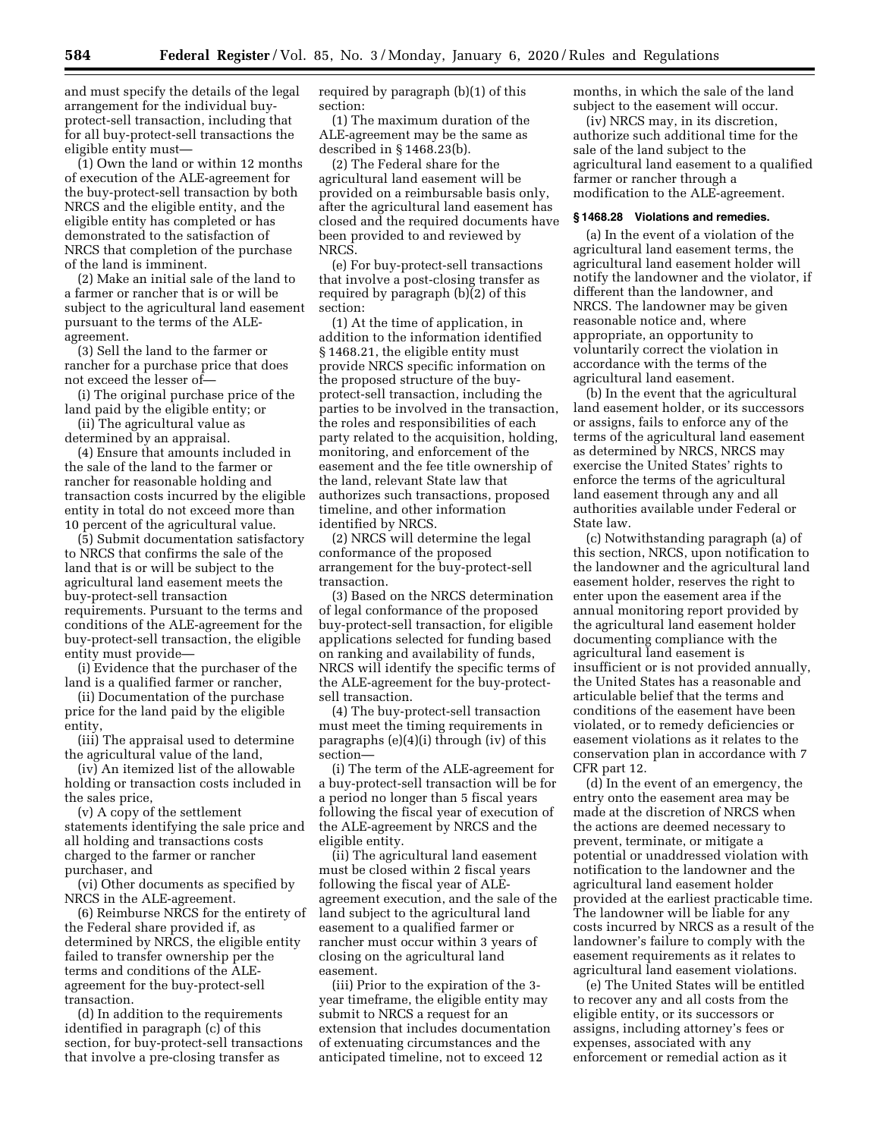and must specify the details of the legal arrangement for the individual buyprotect-sell transaction, including that for all buy-protect-sell transactions the eligible entity must—

(1) Own the land or within 12 months of execution of the ALE-agreement for the buy-protect-sell transaction by both NRCS and the eligible entity, and the eligible entity has completed or has demonstrated to the satisfaction of NRCS that completion of the purchase of the land is imminent.

(2) Make an initial sale of the land to a farmer or rancher that is or will be subject to the agricultural land easement pursuant to the terms of the ALEagreement.

(3) Sell the land to the farmer or rancher for a purchase price that does not exceed the lesser of—

(i) The original purchase price of the land paid by the eligible entity; or

(ii) The agricultural value as determined by an appraisal.

(4) Ensure that amounts included in the sale of the land to the farmer or rancher for reasonable holding and transaction costs incurred by the eligible entity in total do not exceed more than 10 percent of the agricultural value.

(5) Submit documentation satisfactory to NRCS that confirms the sale of the land that is or will be subject to the agricultural land easement meets the buy-protect-sell transaction requirements. Pursuant to the terms and conditions of the ALE-agreement for the buy-protect-sell transaction, the eligible entity must provide—

(i) Evidence that the purchaser of the land is a qualified farmer or rancher,

(ii) Documentation of the purchase price for the land paid by the eligible entity,

(iii) The appraisal used to determine the agricultural value of the land,

(iv) An itemized list of the allowable holding or transaction costs included in the sales price,

(v) A copy of the settlement statements identifying the sale price and all holding and transactions costs charged to the farmer or rancher purchaser, and

(vi) Other documents as specified by NRCS in the ALE-agreement.

(6) Reimburse NRCS for the entirety of the Federal share provided if, as determined by NRCS, the eligible entity failed to transfer ownership per the terms and conditions of the ALEagreement for the buy-protect-sell transaction.

(d) In addition to the requirements identified in paragraph (c) of this section, for buy-protect-sell transactions that involve a pre-closing transfer as

required by paragraph (b)(1) of this section:

(1) The maximum duration of the ALE-agreement may be the same as described in § 1468.23(b).

(2) The Federal share for the agricultural land easement will be provided on a reimbursable basis only, after the agricultural land easement has closed and the required documents have been provided to and reviewed by NRCS.

(e) For buy-protect-sell transactions that involve a post-closing transfer as required by paragraph (b)(2) of this section:

(1) At the time of application, in addition to the information identified § 1468.21, the eligible entity must provide NRCS specific information on the proposed structure of the buyprotect-sell transaction, including the parties to be involved in the transaction, the roles and responsibilities of each party related to the acquisition, holding, monitoring, and enforcement of the easement and the fee title ownership of the land, relevant State law that authorizes such transactions, proposed timeline, and other information identified by NRCS.

(2) NRCS will determine the legal conformance of the proposed arrangement for the buy-protect-sell transaction.

(3) Based on the NRCS determination of legal conformance of the proposed buy-protect-sell transaction, for eligible applications selected for funding based on ranking and availability of funds, NRCS will identify the specific terms of the ALE-agreement for the buy-protectsell transaction.

(4) The buy-protect-sell transaction must meet the timing requirements in paragraphs (e)(4)(i) through (iv) of this section—

(i) The term of the ALE-agreement for a buy-protect-sell transaction will be for a period no longer than 5 fiscal years following the fiscal year of execution of the ALE-agreement by NRCS and the eligible entity.

(ii) The agricultural land easement must be closed within 2 fiscal years following the fiscal year of ALEagreement execution, and the sale of the land subject to the agricultural land easement to a qualified farmer or rancher must occur within 3 years of closing on the agricultural land easement.

(iii) Prior to the expiration of the 3 year timeframe, the eligible entity may submit to NRCS a request for an extension that includes documentation of extenuating circumstances and the anticipated timeline, not to exceed 12

months, in which the sale of the land subject to the easement will occur.

(iv) NRCS may, in its discretion, authorize such additional time for the sale of the land subject to the agricultural land easement to a qualified farmer or rancher through a modification to the ALE-agreement.

## **§ 1468.28 Violations and remedies.**

(a) In the event of a violation of the agricultural land easement terms, the agricultural land easement holder will notify the landowner and the violator, if different than the landowner, and NRCS. The landowner may be given reasonable notice and, where appropriate, an opportunity to voluntarily correct the violation in accordance with the terms of the agricultural land easement.

(b) In the event that the agricultural land easement holder, or its successors or assigns, fails to enforce any of the terms of the agricultural land easement as determined by NRCS, NRCS may exercise the United States' rights to enforce the terms of the agricultural land easement through any and all authorities available under Federal or State law.

(c) Notwithstanding paragraph (a) of this section, NRCS, upon notification to the landowner and the agricultural land easement holder, reserves the right to enter upon the easement area if the annual monitoring report provided by the agricultural land easement holder documenting compliance with the agricultural land easement is insufficient or is not provided annually, the United States has a reasonable and articulable belief that the terms and conditions of the easement have been violated, or to remedy deficiencies or easement violations as it relates to the conservation plan in accordance with 7 CFR part 12.

(d) In the event of an emergency, the entry onto the easement area may be made at the discretion of NRCS when the actions are deemed necessary to prevent, terminate, or mitigate a potential or unaddressed violation with notification to the landowner and the agricultural land easement holder provided at the earliest practicable time. The landowner will be liable for any costs incurred by NRCS as a result of the landowner's failure to comply with the easement requirements as it relates to agricultural land easement violations.

(e) The United States will be entitled to recover any and all costs from the eligible entity, or its successors or assigns, including attorney's fees or expenses, associated with any enforcement or remedial action as it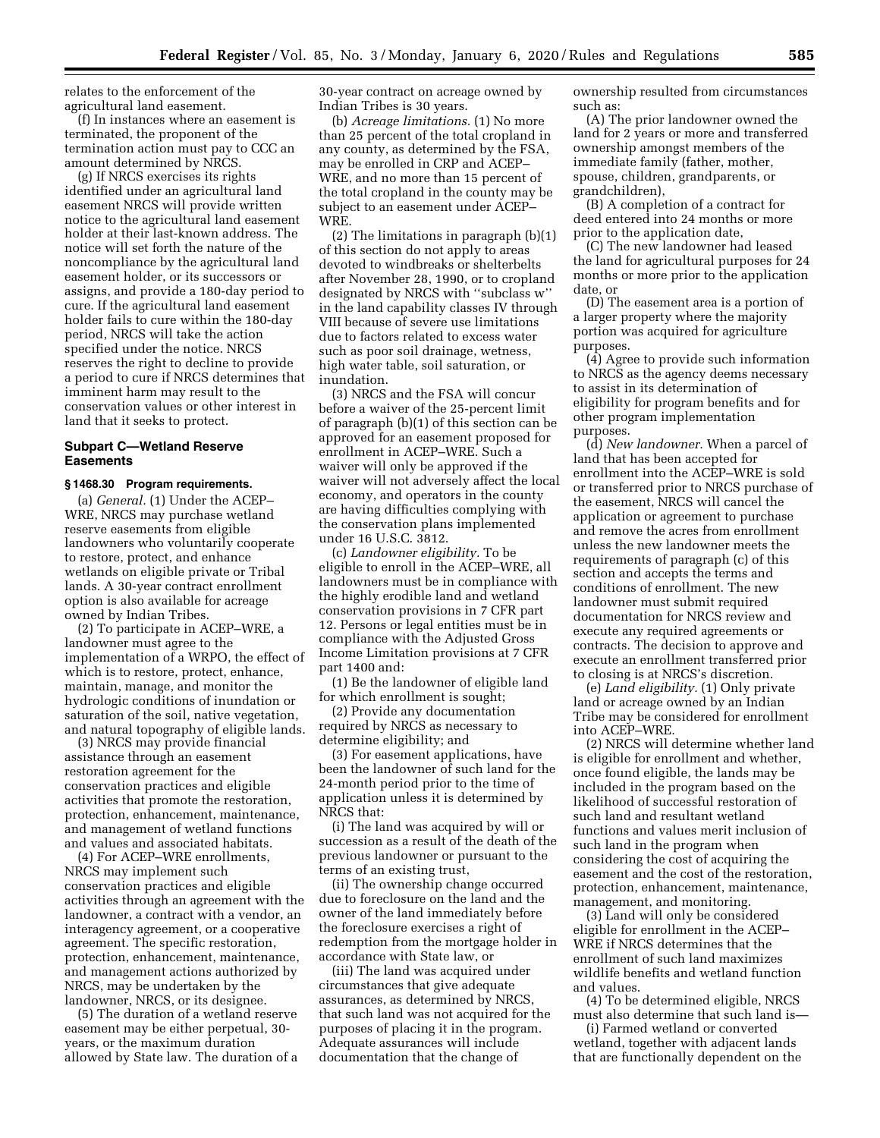relates to the enforcement of the agricultural land easement.

(f) In instances where an easement is terminated, the proponent of the termination action must pay to CCC an amount determined by NRCS.

(g) If NRCS exercises its rights identified under an agricultural land easement NRCS will provide written notice to the agricultural land easement holder at their last-known address. The notice will set forth the nature of the noncompliance by the agricultural land easement holder, or its successors or assigns, and provide a 180-day period to cure. If the agricultural land easement holder fails to cure within the 180-day period, NRCS will take the action specified under the notice. NRCS reserves the right to decline to provide a period to cure if NRCS determines that imminent harm may result to the conservation values or other interest in land that it seeks to protect.

### **Subpart C—Wetland Reserve Easements**

#### **§ 1468.30 Program requirements.**

(a) *General.* (1) Under the ACEP– WRE, NRCS may purchase wetland reserve easements from eligible landowners who voluntarily cooperate to restore, protect, and enhance wetlands on eligible private or Tribal lands. A 30-year contract enrollment option is also available for acreage owned by Indian Tribes.

(2) To participate in ACEP–WRE, a landowner must agree to the implementation of a WRPO, the effect of which is to restore, protect, enhance, maintain, manage, and monitor the hydrologic conditions of inundation or saturation of the soil, native vegetation, and natural topography of eligible lands.

(3) NRCS may provide financial assistance through an easement restoration agreement for the conservation practices and eligible activities that promote the restoration, protection, enhancement, maintenance, and management of wetland functions and values and associated habitats.

(4) For ACEP–WRE enrollments, NRCS may implement such conservation practices and eligible activities through an agreement with the landowner, a contract with a vendor, an interagency agreement, or a cooperative agreement. The specific restoration, protection, enhancement, maintenance, and management actions authorized by NRCS, may be undertaken by the landowner, NRCS, or its designee.

(5) The duration of a wetland reserve easement may be either perpetual, 30 years, or the maximum duration allowed by State law. The duration of a 30-year contract on acreage owned by Indian Tribes is 30 years.

(b) *Acreage limitations.* (1) No more than 25 percent of the total cropland in any county, as determined by the FSA, may be enrolled in CRP and ACEP– WRE, and no more than 15 percent of the total cropland in the county may be subject to an easement under ACEP– WRE.

(2) The limitations in paragraph (b)(1) of this section do not apply to areas devoted to windbreaks or shelterbelts after November 28, 1990, or to cropland designated by NRCS with ''subclass w'' in the land capability classes IV through VIII because of severe use limitations due to factors related to excess water such as poor soil drainage, wetness, high water table, soil saturation, or inundation.

(3) NRCS and the FSA will concur before a waiver of the 25-percent limit of paragraph (b)(1) of this section can be approved for an easement proposed for enrollment in ACEP–WRE. Such a waiver will only be approved if the waiver will not adversely affect the local economy, and operators in the county are having difficulties complying with the conservation plans implemented under 16 U.S.C. 3812.

(c) *Landowner eligibility.* To be eligible to enroll in the ACEP–WRE, all landowners must be in compliance with the highly erodible land and wetland conservation provisions in 7 CFR part 12. Persons or legal entities must be in compliance with the Adjusted Gross Income Limitation provisions at 7 CFR part 1400 and:

(1) Be the landowner of eligible land for which enrollment is sought;

(2) Provide any documentation required by NRCS as necessary to determine eligibility; and

(3) For easement applications, have been the landowner of such land for the 24-month period prior to the time of application unless it is determined by NRCS that:

(i) The land was acquired by will or succession as a result of the death of the previous landowner or pursuant to the terms of an existing trust,

(ii) The ownership change occurred due to foreclosure on the land and the owner of the land immediately before the foreclosure exercises a right of redemption from the mortgage holder in accordance with State law, or

(iii) The land was acquired under circumstances that give adequate assurances, as determined by NRCS, that such land was not acquired for the purposes of placing it in the program. Adequate assurances will include documentation that the change of

ownership resulted from circumstances such as:

(A) The prior landowner owned the land for 2 years or more and transferred ownership amongst members of the immediate family (father, mother, spouse, children, grandparents, or grandchildren),

(B) A completion of a contract for deed entered into 24 months or more prior to the application date,

(C) The new landowner had leased the land for agricultural purposes for 24 months or more prior to the application date, or

(D) The easement area is a portion of a larger property where the majority portion was acquired for agriculture purposes.

(4) Agree to provide such information to NRCS as the agency deems necessary to assist in its determination of eligibility for program benefits and for other program implementation purposes.

(d) *New landowner.* When a parcel of land that has been accepted for enrollment into the ACEP–WRE is sold or transferred prior to NRCS purchase of the easement, NRCS will cancel the application or agreement to purchase and remove the acres from enrollment unless the new landowner meets the requirements of paragraph (c) of this section and accepts the terms and conditions of enrollment. The new landowner must submit required documentation for NRCS review and execute any required agreements or contracts. The decision to approve and execute an enrollment transferred prior to closing is at NRCS's discretion.

(e) *Land eligibility.* (1) Only private land or acreage owned by an Indian Tribe may be considered for enrollment into ACEP–WRE.

(2) NRCS will determine whether land is eligible for enrollment and whether, once found eligible, the lands may be included in the program based on the likelihood of successful restoration of such land and resultant wetland functions and values merit inclusion of such land in the program when considering the cost of acquiring the easement and the cost of the restoration, protection, enhancement, maintenance, management, and monitoring.

(3) Land will only be considered eligible for enrollment in the ACEP– WRE if NRCS determines that the enrollment of such land maximizes wildlife benefits and wetland function and values.

(4) To be determined eligible, NRCS must also determine that such land is—

(i) Farmed wetland or converted wetland, together with adjacent lands that are functionally dependent on the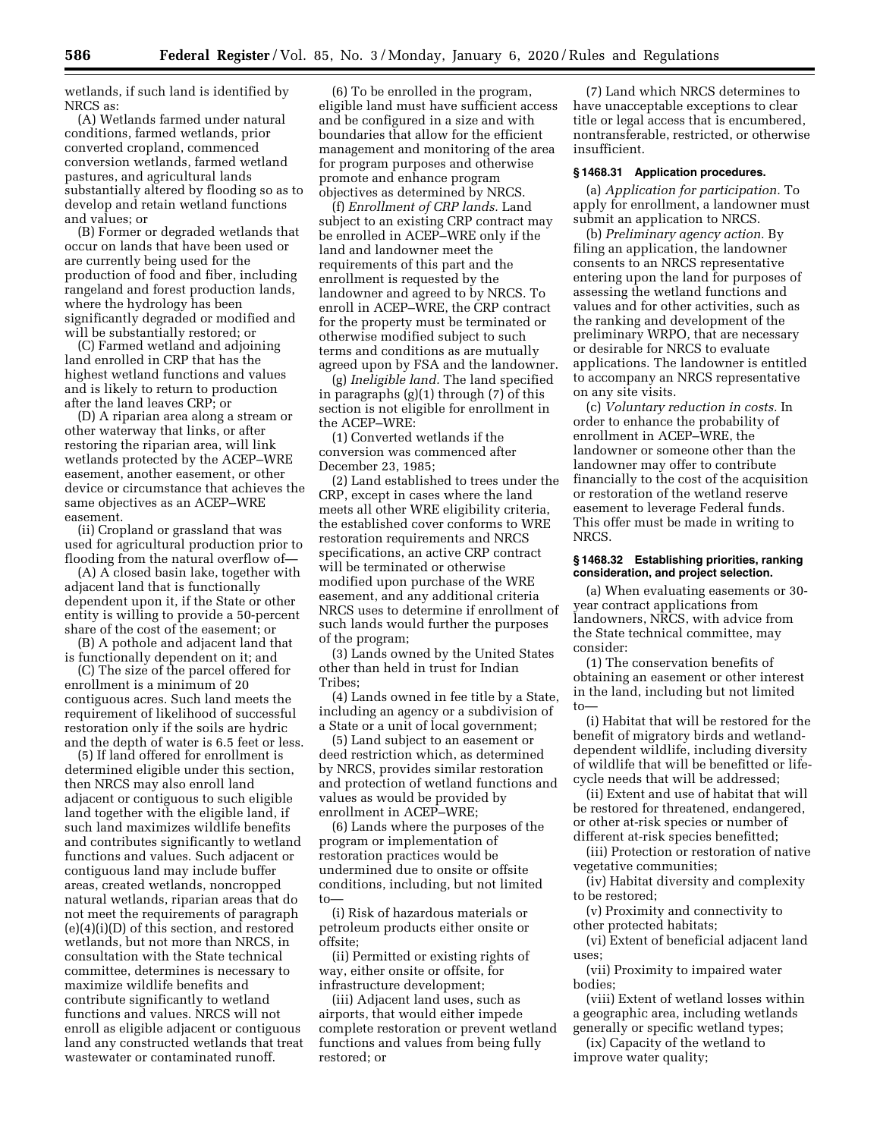wetlands, if such land is identified by NRCS as:

(A) Wetlands farmed under natural conditions, farmed wetlands, prior converted cropland, commenced conversion wetlands, farmed wetland pastures, and agricultural lands substantially altered by flooding so as to develop and retain wetland functions and values; or

(B) Former or degraded wetlands that occur on lands that have been used or are currently being used for the production of food and fiber, including rangeland and forest production lands, where the hydrology has been significantly degraded or modified and will be substantially restored; or

(C) Farmed wetland and adjoining land enrolled in CRP that has the highest wetland functions and values and is likely to return to production after the land leaves CRP; or

(D) A riparian area along a stream or other waterway that links, or after restoring the riparian area, will link wetlands protected by the ACEP–WRE easement, another easement, or other device or circumstance that achieves the same objectives as an ACEP–WRE easement.

(ii) Cropland or grassland that was used for agricultural production prior to flooding from the natural overflow of—

(A) A closed basin lake, together with adjacent land that is functionally dependent upon it, if the State or other entity is willing to provide a 50-percent share of the cost of the easement; or

(B) A pothole and adjacent land that is functionally dependent on it; and

(C) The size of the parcel offered for enrollment is a minimum of 20 contiguous acres. Such land meets the requirement of likelihood of successful restoration only if the soils are hydric and the depth of water is 6.5 feet or less.

(5) If land offered for enrollment is determined eligible under this section, then NRCS may also enroll land adjacent or contiguous to such eligible land together with the eligible land, if such land maximizes wildlife benefits and contributes significantly to wetland functions and values. Such adjacent or contiguous land may include buffer areas, created wetlands, noncropped natural wetlands, riparian areas that do not meet the requirements of paragraph (e)(4)(i)(D) of this section, and restored wetlands, but not more than NRCS, in consultation with the State technical committee, determines is necessary to maximize wildlife benefits and contribute significantly to wetland functions and values. NRCS will not enroll as eligible adjacent or contiguous land any constructed wetlands that treat wastewater or contaminated runoff.

(6) To be enrolled in the program, eligible land must have sufficient access and be configured in a size and with boundaries that allow for the efficient management and monitoring of the area for program purposes and otherwise promote and enhance program objectives as determined by NRCS.

(f) *Enrollment of CRP lands.* Land subject to an existing CRP contract may be enrolled in ACEP–WRE only if the land and landowner meet the requirements of this part and the enrollment is requested by the landowner and agreed to by NRCS. To enroll in ACEP–WRE, the CRP contract for the property must be terminated or otherwise modified subject to such terms and conditions as are mutually agreed upon by FSA and the landowner.

(g) *Ineligible land.* The land specified in paragraphs (g)(1) through (7) of this section is not eligible for enrollment in the ACEP–WRE:

(1) Converted wetlands if the conversion was commenced after December 23, 1985;

(2) Land established to trees under the CRP, except in cases where the land meets all other WRE eligibility criteria, the established cover conforms to WRE restoration requirements and NRCS specifications, an active CRP contract will be terminated or otherwise modified upon purchase of the WRE easement, and any additional criteria NRCS uses to determine if enrollment of such lands would further the purposes of the program;

(3) Lands owned by the United States other than held in trust for Indian Tribes;

(4) Lands owned in fee title by a State, including an agency or a subdivision of a State or a unit of local government;

(5) Land subject to an easement or deed restriction which, as determined by NRCS, provides similar restoration and protection of wetland functions and values as would be provided by enrollment in ACEP–WRE;

(6) Lands where the purposes of the program or implementation of restoration practices would be undermined due to onsite or offsite conditions, including, but not limited to—

(i) Risk of hazardous materials or petroleum products either onsite or offsite;

(ii) Permitted or existing rights of way, either onsite or offsite, for infrastructure development;

(iii) Adjacent land uses, such as airports, that would either impede complete restoration or prevent wetland functions and values from being fully restored; or

(7) Land which NRCS determines to have unacceptable exceptions to clear title or legal access that is encumbered, nontransferable, restricted, or otherwise insufficient.

#### **§ 1468.31 Application procedures.**

(a) *Application for participation.* To apply for enrollment, a landowner must submit an application to NRCS.

(b) *Preliminary agency action.* By filing an application, the landowner consents to an NRCS representative entering upon the land for purposes of assessing the wetland functions and values and for other activities, such as the ranking and development of the preliminary WRPO, that are necessary or desirable for NRCS to evaluate applications. The landowner is entitled to accompany an NRCS representative on any site visits.

(c) *Voluntary reduction in costs.* In order to enhance the probability of enrollment in ACEP–WRE, the landowner or someone other than the landowner may offer to contribute financially to the cost of the acquisition or restoration of the wetland reserve easement to leverage Federal funds. This offer must be made in writing to NRCS.

#### **§ 1468.32 Establishing priorities, ranking consideration, and project selection.**

(a) When evaluating easements or 30 year contract applications from landowners, NRCS, with advice from the State technical committee, may consider:

(1) The conservation benefits of obtaining an easement or other interest in the land, including but not limited to—

(i) Habitat that will be restored for the benefit of migratory birds and wetlanddependent wildlife, including diversity of wildlife that will be benefitted or lifecycle needs that will be addressed;

(ii) Extent and use of habitat that will be restored for threatened, endangered, or other at-risk species or number of different at-risk species benefitted;

(iii) Protection or restoration of native vegetative communities;

(iv) Habitat diversity and complexity to be restored;

(v) Proximity and connectivity to other protected habitats;

(vi) Extent of beneficial adjacent land uses;

(vii) Proximity to impaired water bodies;

(viii) Extent of wetland losses within a geographic area, including wetlands generally or specific wetland types;

(ix) Capacity of the wetland to improve water quality;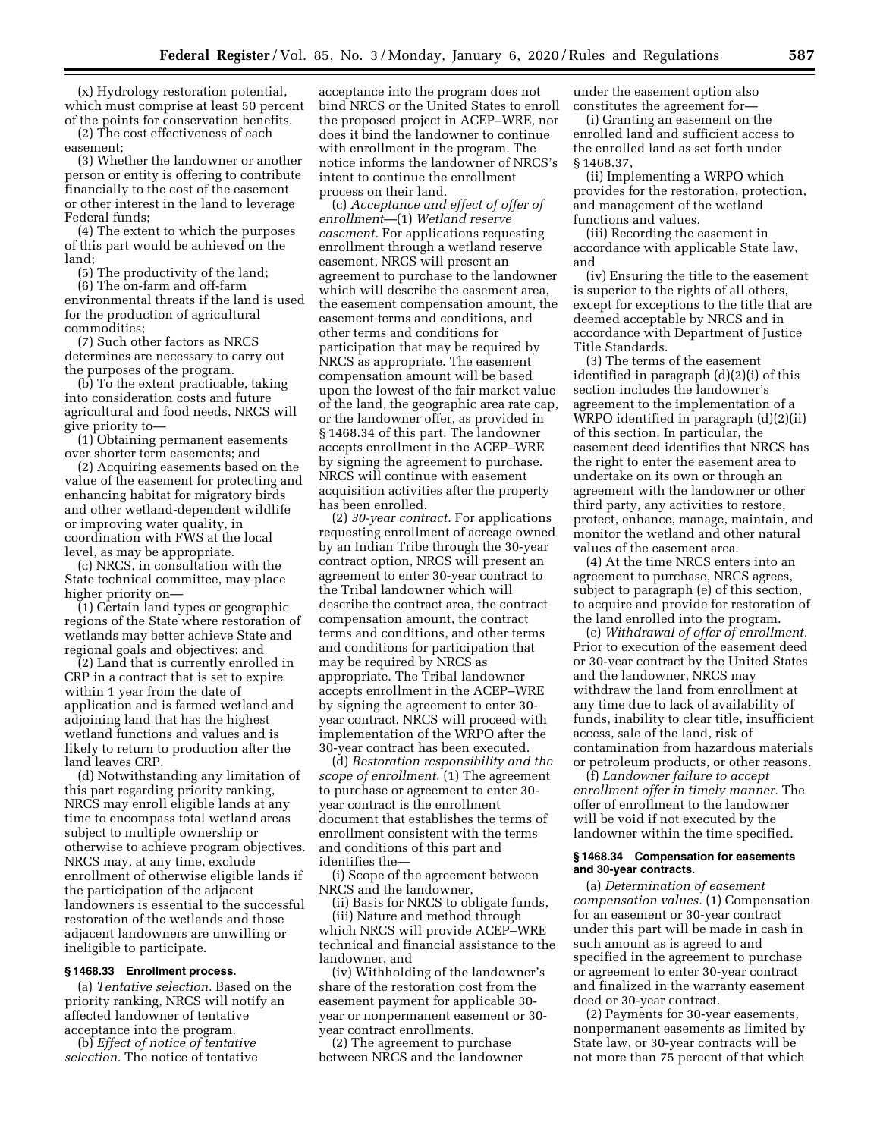(x) Hydrology restoration potential, which must comprise at least 50 percent of the points for conservation benefits.

(2) The cost effectiveness of each easement;

(3) Whether the landowner or another person or entity is offering to contribute financially to the cost of the easement or other interest in the land to leverage Federal funds;

(4) The extent to which the purposes of this part would be achieved on the land;

(5) The productivity of the land; (6) The on-farm and off-farm

environmental threats if the land is used for the production of agricultural commodities;

(7) Such other factors as NRCS determines are necessary to carry out the purposes of the program.

(b) To the extent practicable, taking into consideration costs and future agricultural and food needs, NRCS will give priority to—

(1) Obtaining permanent easements over shorter term easements; and

(2) Acquiring easements based on the value of the easement for protecting and enhancing habitat for migratory birds and other wetland-dependent wildlife or improving water quality, in coordination with FWS at the local level, as may be appropriate.

(c) NRCS, in consultation with the State technical committee, may place higher priority on—

(1) Certain land types or geographic regions of the State where restoration of wetlands may better achieve State and regional goals and objectives; and

(2) Land that is currently enrolled in CRP in a contract that is set to expire within 1 year from the date of application and is farmed wetland and adjoining land that has the highest wetland functions and values and is likely to return to production after the land leaves CRP.

(d) Notwithstanding any limitation of this part regarding priority ranking, NRCS may enroll eligible lands at any time to encompass total wetland areas subject to multiple ownership or otherwise to achieve program objectives. NRCS may, at any time, exclude enrollment of otherwise eligible lands if the participation of the adjacent landowners is essential to the successful restoration of the wetlands and those adjacent landowners are unwilling or ineligible to participate.

#### **§ 1468.33 Enrollment process.**

(a) *Tentative selection.* Based on the priority ranking, NRCS will notify an affected landowner of tentative acceptance into the program.

(b) *Effect of notice of tentative selection.* The notice of tentative

acceptance into the program does not bind NRCS or the United States to enroll the proposed project in ACEP–WRE, nor does it bind the landowner to continue with enrollment in the program. The notice informs the landowner of NRCS's intent to continue the enrollment process on their land.

(c) *Acceptance and effect of offer of enrollment*—(1) *Wetland reserve easement.* For applications requesting enrollment through a wetland reserve easement, NRCS will present an agreement to purchase to the landowner which will describe the easement area, the easement compensation amount, the easement terms and conditions, and other terms and conditions for participation that may be required by NRCS as appropriate. The easement compensation amount will be based upon the lowest of the fair market value of the land, the geographic area rate cap, or the landowner offer, as provided in § 1468.34 of this part. The landowner accepts enrollment in the ACEP–WRE by signing the agreement to purchase. NRCS will continue with easement acquisition activities after the property has been enrolled.

(2) *30-year contract.* For applications requesting enrollment of acreage owned by an Indian Tribe through the 30-year contract option, NRCS will present an agreement to enter 30-year contract to the Tribal landowner which will describe the contract area, the contract compensation amount, the contract terms and conditions, and other terms and conditions for participation that may be required by NRCS as appropriate. The Tribal landowner accepts enrollment in the ACEP–WRE by signing the agreement to enter 30 year contract. NRCS will proceed with implementation of the WRPO after the 30-year contract has been executed.

(d) *Restoration responsibility and the scope of enrollment.* (1) The agreement to purchase or agreement to enter 30 year contract is the enrollment document that establishes the terms of enrollment consistent with the terms and conditions of this part and identifies the—

(i) Scope of the agreement between NRCS and the landowner,

(ii) Basis for NRCS to obligate funds,

(iii) Nature and method through which NRCS will provide ACEP–WRE technical and financial assistance to the landowner, and

(iv) Withholding of the landowner's share of the restoration cost from the easement payment for applicable 30 year or nonpermanent easement or 30 year contract enrollments.

(2) The agreement to purchase between NRCS and the landowner

under the easement option also constitutes the agreement for—

(i) Granting an easement on the enrolled land and sufficient access to the enrolled land as set forth under § 1468.37,

(ii) Implementing a WRPO which provides for the restoration, protection, and management of the wetland functions and values,

(iii) Recording the easement in accordance with applicable State law, and

(iv) Ensuring the title to the easement is superior to the rights of all others, except for exceptions to the title that are deemed acceptable by NRCS and in accordance with Department of Justice Title Standards.

(3) The terms of the easement identified in paragraph (d)(2)(i) of this section includes the landowner's agreement to the implementation of a WRPO identified in paragraph (d)(2)(ii) of this section. In particular, the easement deed identifies that NRCS has the right to enter the easement area to undertake on its own or through an agreement with the landowner or other third party, any activities to restore, protect, enhance, manage, maintain, and monitor the wetland and other natural values of the easement area.

(4) At the time NRCS enters into an agreement to purchase, NRCS agrees, subject to paragraph (e) of this section, to acquire and provide for restoration of the land enrolled into the program.

(e) *Withdrawal of offer of enrollment.*  Prior to execution of the easement deed or 30-year contract by the United States and the landowner, NRCS may withdraw the land from enrollment at any time due to lack of availability of funds, inability to clear title, insufficient access, sale of the land, risk of contamination from hazardous materials or petroleum products, or other reasons.

(f) *Landowner failure to accept enrollment offer in timely manner.* The offer of enrollment to the landowner will be void if not executed by the landowner within the time specified.

#### **§ 1468.34 Compensation for easements and 30-year contracts.**

(a) *Determination of easement compensation values.* (1) Compensation for an easement or 30-year contract under this part will be made in cash in such amount as is agreed to and specified in the agreement to purchase or agreement to enter 30-year contract and finalized in the warranty easement deed or 30-year contract.

(2) Payments for 30-year easements, nonpermanent easements as limited by State law, or 30-year contracts will be not more than 75 percent of that which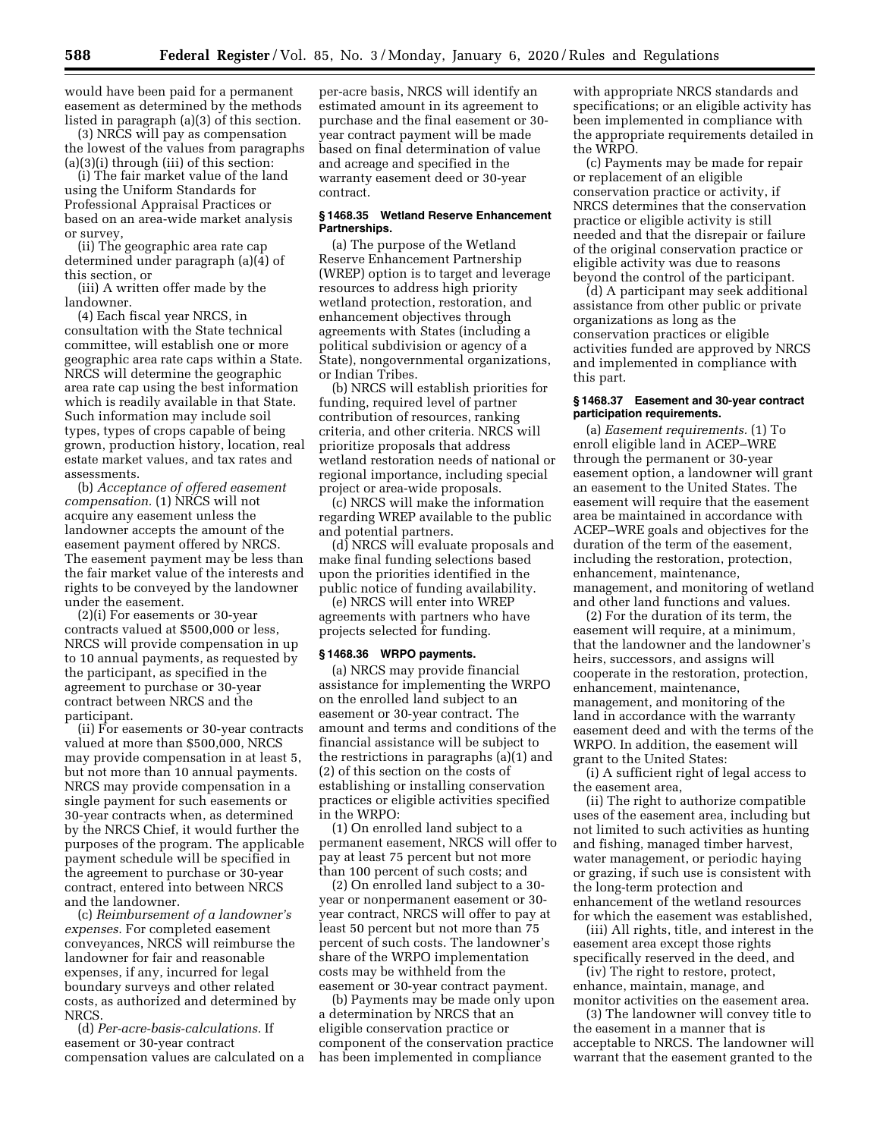would have been paid for a permanent easement as determined by the methods listed in paragraph (a)(3) of this section.

(3) NRCS will pay as compensation the lowest of the values from paragraphs (a)(3)(i) through (iii) of this section:

(i) The fair market value of the land using the Uniform Standards for Professional Appraisal Practices or based on an area-wide market analysis or survey,

(ii) The geographic area rate cap determined under paragraph (a)(4) of this section, or

(iii) A written offer made by the landowner.

(4) Each fiscal year NRCS, in consultation with the State technical committee, will establish one or more geographic area rate caps within a State. NRCS will determine the geographic area rate cap using the best information which is readily available in that State. Such information may include soil types, types of crops capable of being grown, production history, location, real estate market values, and tax rates and assessments.

(b) *Acceptance of offered easement compensation.* (1) NRCS will not acquire any easement unless the landowner accepts the amount of the easement payment offered by NRCS. The easement payment may be less than the fair market value of the interests and rights to be conveyed by the landowner under the easement.

(2)(i) For easements or 30-year contracts valued at \$500,000 or less, NRCS will provide compensation in up to 10 annual payments, as requested by the participant, as specified in the agreement to purchase or 30-year contract between NRCS and the participant.

(ii) For easements or 30-year contracts valued at more than \$500,000, NRCS may provide compensation in at least 5, but not more than 10 annual payments. NRCS may provide compensation in a single payment for such easements or 30-year contracts when, as determined by the NRCS Chief, it would further the purposes of the program. The applicable payment schedule will be specified in the agreement to purchase or 30-year contract, entered into between NRCS and the landowner.

(c) *Reimbursement of a landowner's expenses.* For completed easement conveyances, NRCS will reimburse the landowner for fair and reasonable expenses, if any, incurred for legal boundary surveys and other related costs, as authorized and determined by NRCS.

(d) *Per-acre-basis-calculations.* If easement or 30-year contract compensation values are calculated on a

per-acre basis, NRCS will identify an estimated amount in its agreement to purchase and the final easement or 30 year contract payment will be made based on final determination of value and acreage and specified in the warranty easement deed or 30-year contract.

#### **§ 1468.35 Wetland Reserve Enhancement Partnerships.**

(a) The purpose of the Wetland Reserve Enhancement Partnership (WREP) option is to target and leverage resources to address high priority wetland protection, restoration, and enhancement objectives through agreements with States (including a political subdivision or agency of a State), nongovernmental organizations, or Indian Tribes.

(b) NRCS will establish priorities for funding, required level of partner contribution of resources, ranking criteria, and other criteria. NRCS will prioritize proposals that address wetland restoration needs of national or regional importance, including special project or area-wide proposals.

(c) NRCS will make the information regarding WREP available to the public and potential partners.

(d) NRCS will evaluate proposals and make final funding selections based upon the priorities identified in the public notice of funding availability.

(e) NRCS will enter into WREP agreements with partners who have projects selected for funding.

#### **§ 1468.36 WRPO payments.**

(a) NRCS may provide financial assistance for implementing the WRPO on the enrolled land subject to an easement or 30-year contract. The amount and terms and conditions of the financial assistance will be subject to the restrictions in paragraphs (a)(1) and (2) of this section on the costs of establishing or installing conservation practices or eligible activities specified in the WRPO:

(1) On enrolled land subject to a permanent easement, NRCS will offer to pay at least 75 percent but not more than 100 percent of such costs; and

(2) On enrolled land subject to a 30 year or nonpermanent easement or 30 year contract, NRCS will offer to pay at least 50 percent but not more than 75 percent of such costs. The landowner's share of the WRPO implementation costs may be withheld from the easement or 30-year contract payment.

(b) Payments may be made only upon a determination by NRCS that an eligible conservation practice or component of the conservation practice has been implemented in compliance

with appropriate NRCS standards and specifications; or an eligible activity has been implemented in compliance with the appropriate requirements detailed in the WRPO.

(c) Payments may be made for repair or replacement of an eligible conservation practice or activity, if NRCS determines that the conservation practice or eligible activity is still needed and that the disrepair or failure of the original conservation practice or eligible activity was due to reasons beyond the control of the participant.

(d) A participant may seek additional assistance from other public or private organizations as long as the conservation practices or eligible activities funded are approved by NRCS and implemented in compliance with this part.

## **§ 1468.37 Easement and 30-year contract participation requirements.**

(a) *Easement requirements.* (1) To enroll eligible land in ACEP–WRE through the permanent or 30-year easement option, a landowner will grant an easement to the United States. The easement will require that the easement area be maintained in accordance with ACEP–WRE goals and objectives for the duration of the term of the easement, including the restoration, protection, enhancement, maintenance, management, and monitoring of wetland and other land functions and values.

(2) For the duration of its term, the easement will require, at a minimum, that the landowner and the landowner's heirs, successors, and assigns will cooperate in the restoration, protection, enhancement, maintenance, management, and monitoring of the land in accordance with the warranty easement deed and with the terms of the WRPO. In addition, the easement will grant to the United States:

(i) A sufficient right of legal access to the easement area,

(ii) The right to authorize compatible uses of the easement area, including but not limited to such activities as hunting and fishing, managed timber harvest, water management, or periodic haying or grazing, if such use is consistent with the long-term protection and enhancement of the wetland resources for which the easement was established,

(iii) All rights, title, and interest in the easement area except those rights specifically reserved in the deed, and

(iv) The right to restore, protect, enhance, maintain, manage, and monitor activities on the easement area.

(3) The landowner will convey title to the easement in a manner that is acceptable to NRCS. The landowner will warrant that the easement granted to the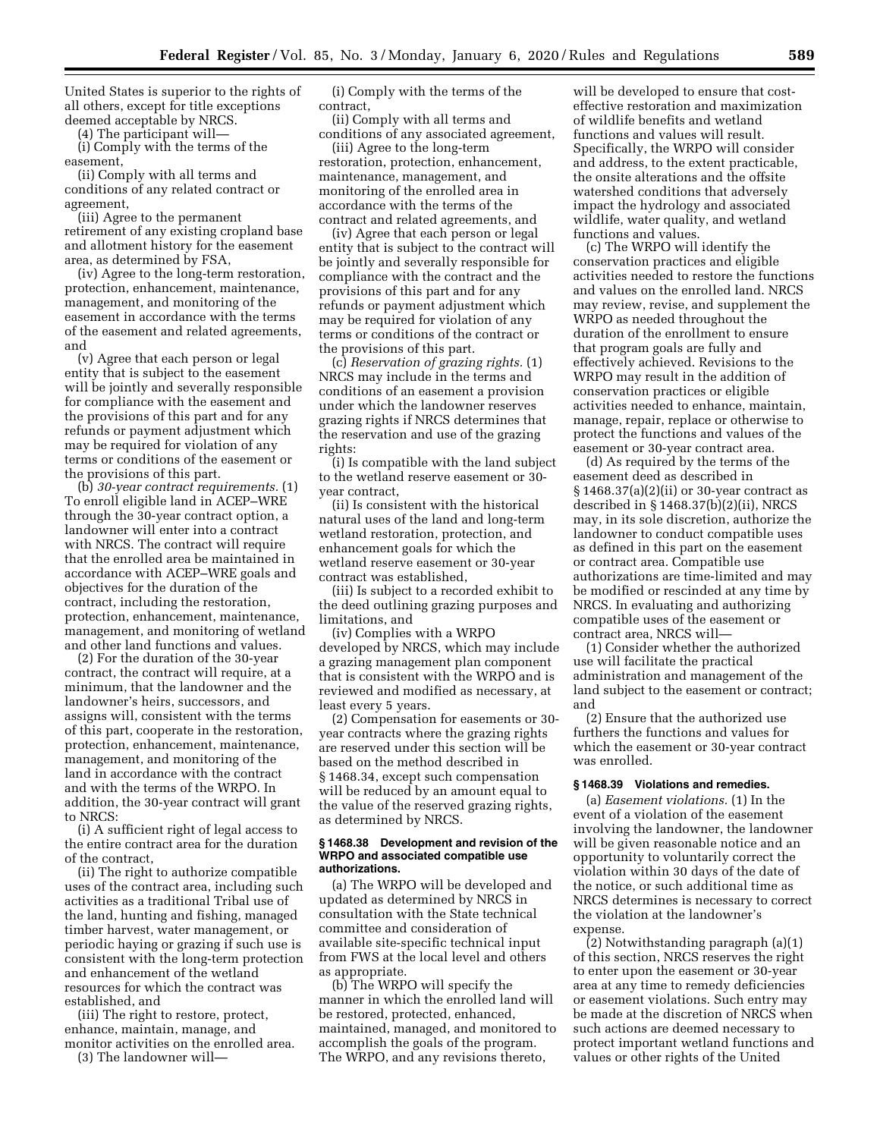United States is superior to the rights of all others, except for title exceptions deemed acceptable by NRCS.

(4) The participant will—

(i) Comply with the terms of the easement,

(ii) Comply with all terms and conditions of any related contract or agreement,

(iii) Agree to the permanent retirement of any existing cropland base and allotment history for the easement area, as determined by FSA,

(iv) Agree to the long-term restoration, protection, enhancement, maintenance, management, and monitoring of the easement in accordance with the terms of the easement and related agreements, and

(v) Agree that each person or legal entity that is subject to the easement will be jointly and severally responsible for compliance with the easement and the provisions of this part and for any refunds or payment adjustment which may be required for violation of any terms or conditions of the easement or the provisions of this part.

(b) *30-year contract requirements.* (1) To enroll eligible land in ACEP–WRE through the 30-year contract option, a landowner will enter into a contract with NRCS. The contract will require that the enrolled area be maintained in accordance with ACEP–WRE goals and objectives for the duration of the contract, including the restoration, protection, enhancement, maintenance, management, and monitoring of wetland and other land functions and values.

(2) For the duration of the 30-year contract, the contract will require, at a minimum, that the landowner and the landowner's heirs, successors, and assigns will, consistent with the terms of this part, cooperate in the restoration, protection, enhancement, maintenance, management, and monitoring of the land in accordance with the contract and with the terms of the WRPO. In addition, the 30-year contract will grant to NRCS:

(i) A sufficient right of legal access to the entire contract area for the duration of the contract,

(ii) The right to authorize compatible uses of the contract area, including such activities as a traditional Tribal use of the land, hunting and fishing, managed timber harvest, water management, or periodic haying or grazing if such use is consistent with the long-term protection and enhancement of the wetland resources for which the contract was established, and

(iii) The right to restore, protect, enhance, maintain, manage, and monitor activities on the enrolled area.

(3) The landowner will—

(i) Comply with the terms of the contract,

(ii) Comply with all terms and conditions of any associated agreement,

(iii) Agree to the long-term restoration, protection, enhancement, maintenance, management, and monitoring of the enrolled area in accordance with the terms of the contract and related agreements, and

(iv) Agree that each person or legal entity that is subject to the contract will be jointly and severally responsible for compliance with the contract and the provisions of this part and for any refunds or payment adjustment which may be required for violation of any terms or conditions of the contract or the provisions of this part.

(c) *Reservation of grazing rights.* (1) NRCS may include in the terms and conditions of an easement a provision under which the landowner reserves grazing rights if NRCS determines that the reservation and use of the grazing rights:

(i) Is compatible with the land subject to the wetland reserve easement or 30 year contract,

(ii) Is consistent with the historical natural uses of the land and long-term wetland restoration, protection, and enhancement goals for which the wetland reserve easement or 30-year contract was established,

(iii) Is subject to a recorded exhibit to the deed outlining grazing purposes and limitations, and

(iv) Complies with a WRPO developed by NRCS, which may include a grazing management plan component that is consistent with the WRPO and is reviewed and modified as necessary, at least every 5 years.

(2) Compensation for easements or 30 year contracts where the grazing rights are reserved under this section will be based on the method described in § 1468.34, except such compensation will be reduced by an amount equal to the value of the reserved grazing rights, as determined by NRCS.

#### **§ 1468.38 Development and revision of the WRPO and associated compatible use authorizations.**

(a) The WRPO will be developed and updated as determined by NRCS in consultation with the State technical committee and consideration of available site-specific technical input from FWS at the local level and others as appropriate.

(b) The WRPO will specify the manner in which the enrolled land will be restored, protected, enhanced, maintained, managed, and monitored to accomplish the goals of the program. The WRPO, and any revisions thereto,

will be developed to ensure that costeffective restoration and maximization of wildlife benefits and wetland functions and values will result. Specifically, the WRPO will consider and address, to the extent practicable, the onsite alterations and the offsite watershed conditions that adversely impact the hydrology and associated wildlife, water quality, and wetland functions and values.

(c) The WRPO will identify the conservation practices and eligible activities needed to restore the functions and values on the enrolled land. NRCS may review, revise, and supplement the WRPO as needed throughout the duration of the enrollment to ensure that program goals are fully and effectively achieved. Revisions to the WRPO may result in the addition of conservation practices or eligible activities needed to enhance, maintain, manage, repair, replace or otherwise to protect the functions and values of the easement or 30-year contract area.

(d) As required by the terms of the easement deed as described in § 1468.37(a)(2)(ii) or 30-year contract as described in § 1468.37(b)(2)(ii), NRCS may, in its sole discretion, authorize the landowner to conduct compatible uses as defined in this part on the easement or contract area. Compatible use authorizations are time-limited and may be modified or rescinded at any time by NRCS. In evaluating and authorizing compatible uses of the easement or contract area, NRCS will—

(1) Consider whether the authorized use will facilitate the practical administration and management of the land subject to the easement or contract; and

(2) Ensure that the authorized use furthers the functions and values for which the easement or 30-year contract was enrolled.

#### **§ 1468.39 Violations and remedies.**

(a) *Easement violations.* (1) In the event of a violation of the easement involving the landowner, the landowner will be given reasonable notice and an opportunity to voluntarily correct the violation within 30 days of the date of the notice, or such additional time as NRCS determines is necessary to correct the violation at the landowner's expense.

(2) Notwithstanding paragraph (a)(1) of this section, NRCS reserves the right to enter upon the easement or 30-year area at any time to remedy deficiencies or easement violations. Such entry may be made at the discretion of NRCS when such actions are deemed necessary to protect important wetland functions and values or other rights of the United